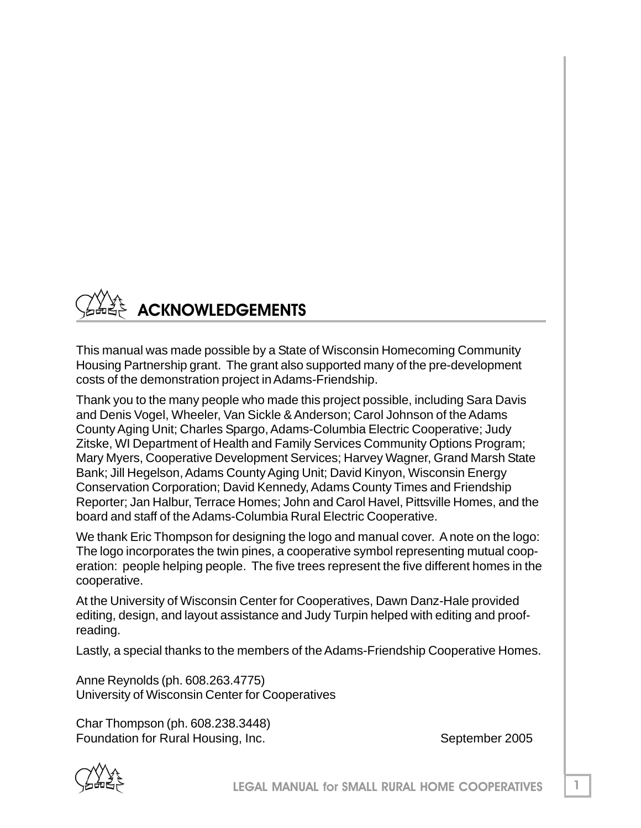

This manual was made possible by a State of Wisconsin Homecoming Community Housing Partnership grant. The grant also supported many of the pre-development costs of the demonstration project in Adams-Friendship.

Thank you to the many people who made this project possible, including Sara Davis and Denis Vogel, Wheeler, Van Sickle & Anderson; Carol Johnson of the Adams County Aging Unit; Charles Spargo, Adams-Columbia Electric Cooperative; Judy Zitske, WI Department of Health and Family Services Community Options Program; Mary Myers, Cooperative Development Services; Harvey Wagner, Grand Marsh State Bank; Jill Hegelson, Adams County Aging Unit; David Kinyon, Wisconsin Energy Conservation Corporation; David Kennedy, Adams County Times and Friendship Reporter; Jan Halbur, Terrace Homes; John and Carol Havel, Pittsville Homes, and the board and staff of the Adams-Columbia Rural Electric Cooperative.

We thank Eric Thompson for designing the logo and manual cover. A note on the logo: The logo incorporates the twin pines, a cooperative symbol representing mutual cooperation: people helping people. The five trees represent the five different homes in the cooperative.

At the University of Wisconsin Center for Cooperatives, Dawn Danz-Hale provided editing, design, and layout assistance and Judy Turpin helped with editing and proofreading.

Lastly, a special thanks to the members of the Adams-Friendship Cooperative Homes.

Anne Reynolds (ph. 608.263.4775) University of Wisconsin Center for Cooperatives

Char Thompson (ph. 608.238.3448) Foundation for Rural Housing, Inc. The September 2005

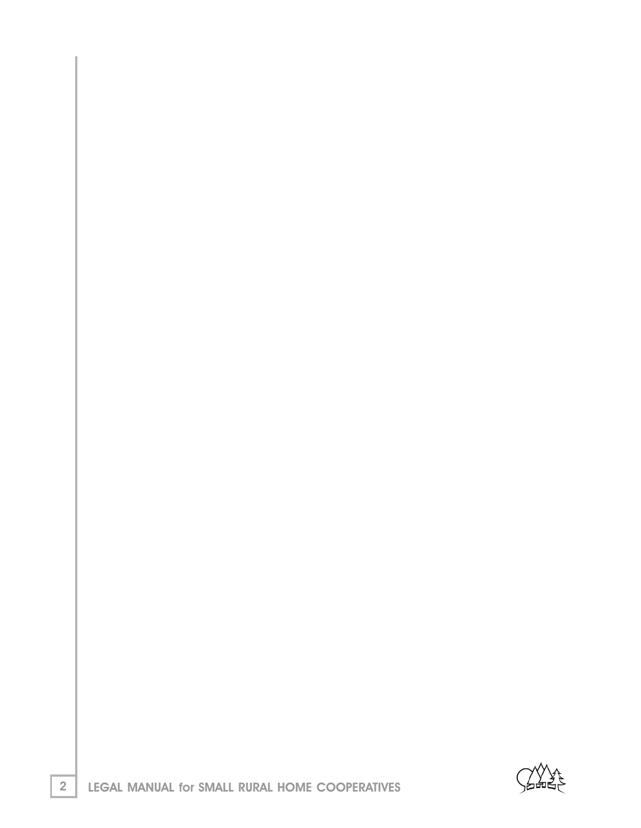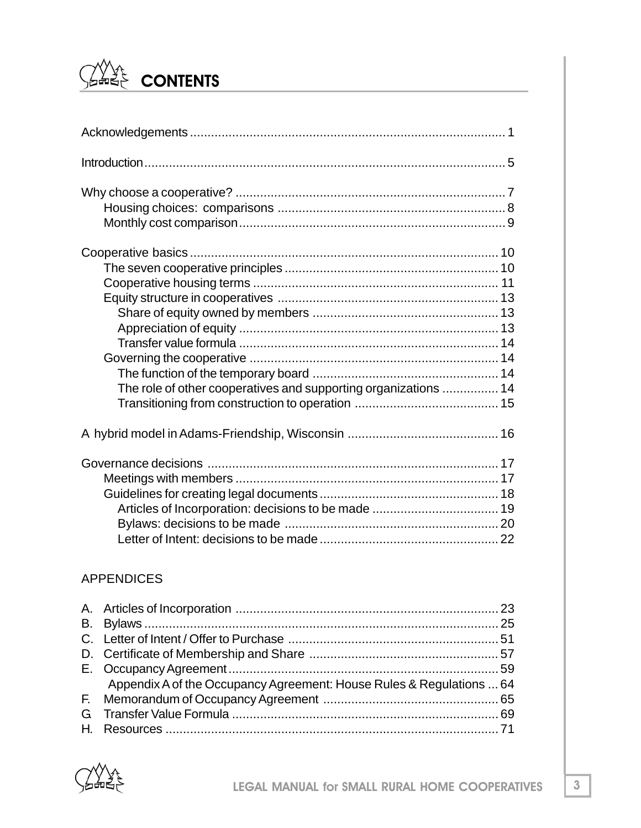

| The role of other cooperatives and supporting organizations  14 |
|-----------------------------------------------------------------|
|                                                                 |
|                                                                 |

## APPENDICES

| Appendix A of the Occupancy Agreement: House Rules & Regulations  64 |  |
|----------------------------------------------------------------------|--|
|                                                                      |  |
|                                                                      |  |
|                                                                      |  |

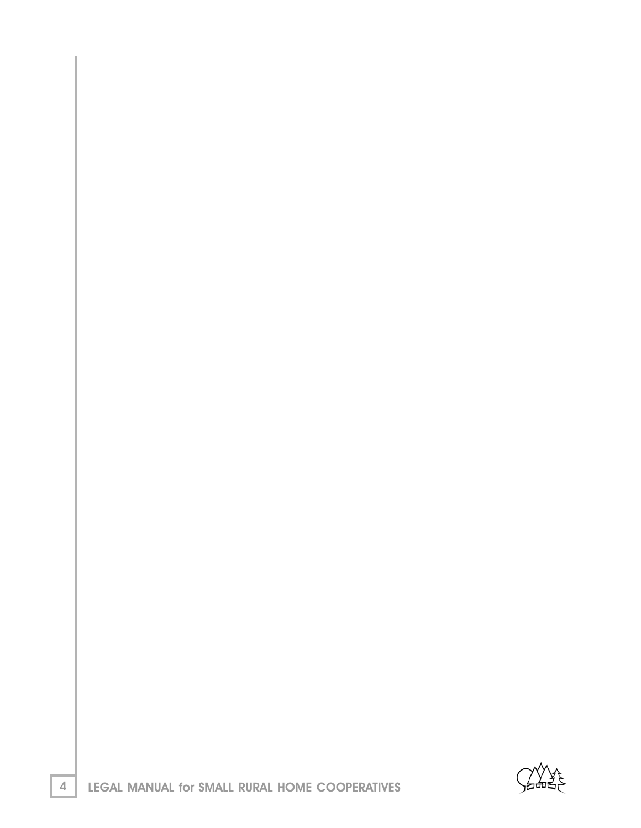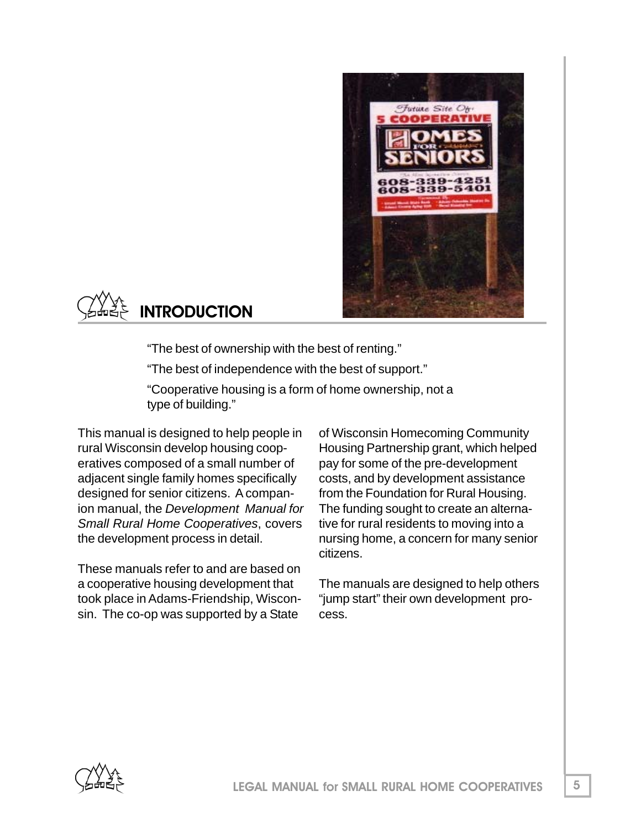



"The best of ownership with the best of renting."

"The best of independence with the best of support."

"Cooperative housing is a form of home ownership, not a type of building."

This manual is designed to help people in rural Wisconsin develop housing cooperatives composed of a small number of adjacent single family homes specifically designed for senior citizens. A companion manual, the *Development Manual for Small Rural Home Cooperatives*, covers the development process in detail.

These manuals refer to and are based on a cooperative housing development that took place in Adams-Friendship, Wisconsin. The co-op was supported by a State

of Wisconsin Homecoming Community Housing Partnership grant, which helped pay for some of the pre-development costs, and by development assistance from the Foundation for Rural Housing. The funding sought to create an alternative for rural residents to moving into a nursing home, a concern for many senior citizens.

The manuals are designed to help others "jump start" their own development process.

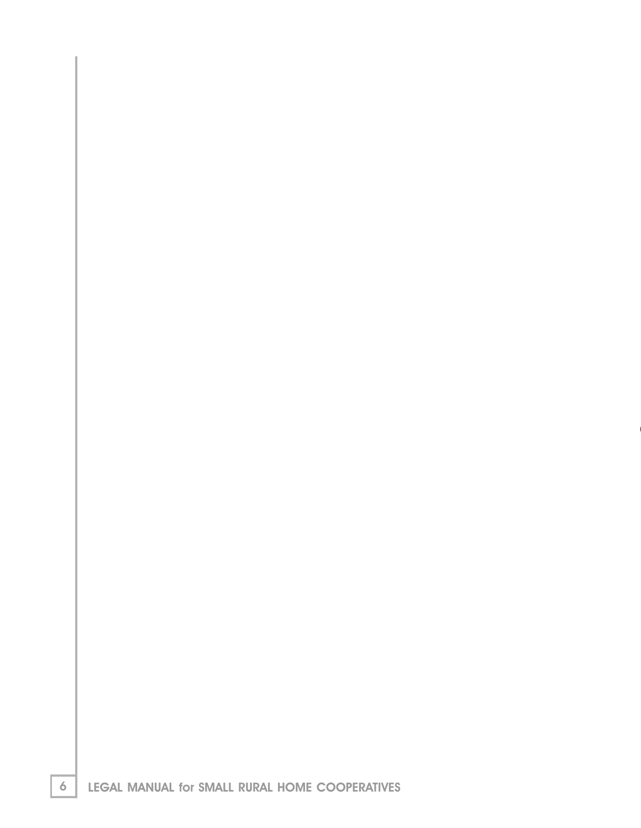## LEGAL MANUAL for SMALL RURAL HOME COOPERATIVES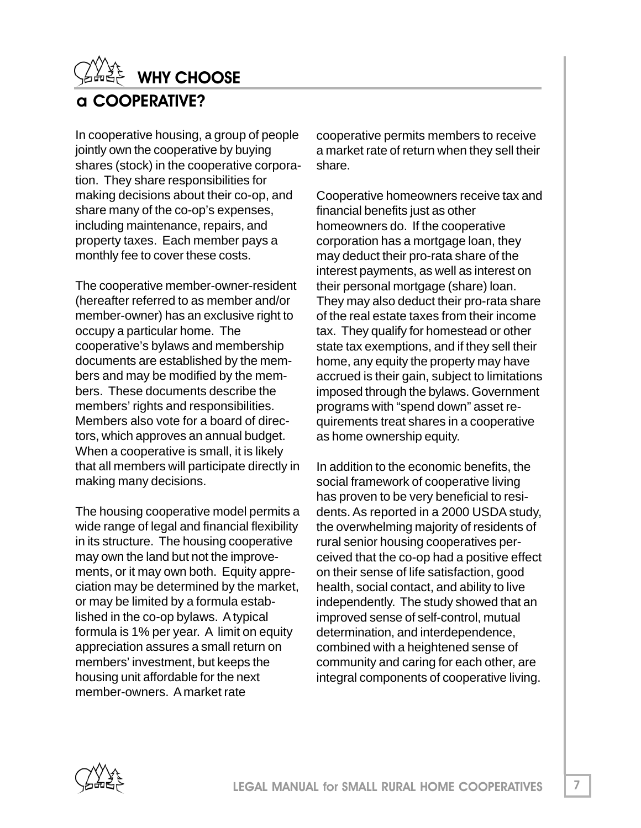# WHY CHOOSE a COOPERATIVE?

In cooperative housing, a group of people jointly own the cooperative by buying shares (stock) in the cooperative corporation. They share responsibilities for making decisions about their co-op, and share many of the co-op's expenses, including maintenance, repairs, and property taxes. Each member pays a monthly fee to cover these costs.

The cooperative member-owner-resident (hereafter referred to as member and/or member-owner) has an exclusive right to occupy a particular home. The cooperative's bylaws and membership documents are established by the members and may be modified by the members. These documents describe the members' rights and responsibilities. Members also vote for a board of directors, which approves an annual budget. When a cooperative is small, it is likely that all members will participate directly in making many decisions.

The housing cooperative model permits a wide range of legal and financial flexibility in its structure. The housing cooperative may own the land but not the improvements, or it may own both. Equity appreciation may be determined by the market, or may be limited by a formula established in the co-op bylaws. A typical formula is 1% per year. A limit on equity appreciation assures a small return on members' investment, but keeps the housing unit affordable for the next member-owners. A market rate

cooperative permits members to receive a market rate of return when they sell their share.

Cooperative homeowners receive tax and financial benefits just as other homeowners do. If the cooperative corporation has a mortgage loan, they may deduct their pro-rata share of the interest payments, as well as interest on their personal mortgage (share) loan. They may also deduct their pro-rata share of the real estate taxes from their income tax. They qualify for homestead or other state tax exemptions, and if they sell their home, any equity the property may have accrued is their gain, subject to limitations imposed through the bylaws. Government programs with "spend down" asset requirements treat shares in a cooperative as home ownership equity.

In addition to the economic benefits, the social framework of cooperative living has proven to be very beneficial to residents. As reported in a 2000 USDA study, the overwhelming majority of residents of rural senior housing cooperatives perceived that the co-op had a positive effect on their sense of life satisfaction, good health, social contact, and ability to live independently. The study showed that an improved sense of self-control, mutual determination, and interdependence, combined with a heightened sense of community and caring for each other, are integral components of cooperative living.

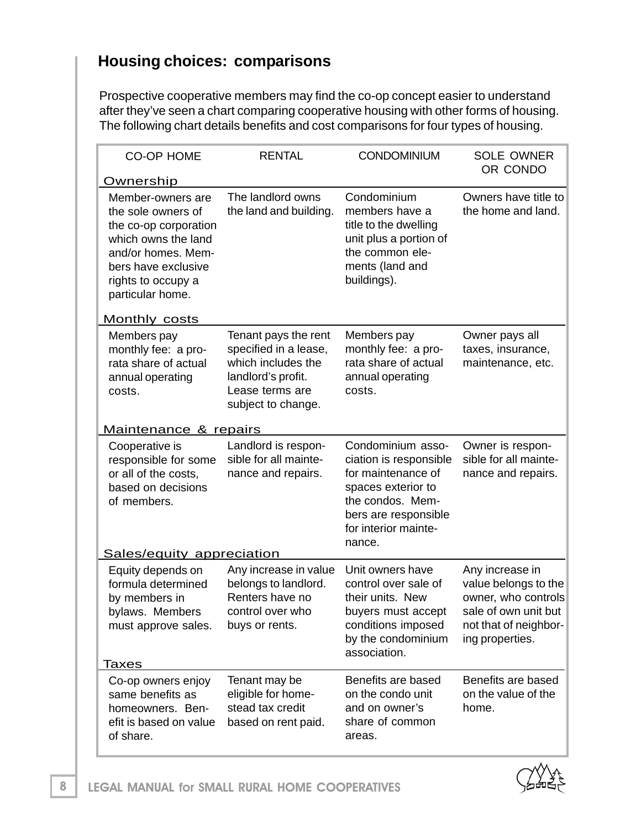# **Housing choices: comparisons**

Prospective cooperative members may find the co-op concept easier to understand after they've seen a chart comparing cooperative housing with other forms of housing. The following chart details benefits and cost comparisons for four types of housing.

| <b>CO-OP HOME</b>                                                                                                                                                                           | <b>RENTAL</b>                                                                                                                      | <b>CONDOMINIUM</b>                                                                                                                                                    | <b>SOLE OWNER</b><br>OR CONDO                                                                                                      |
|---------------------------------------------------------------------------------------------------------------------------------------------------------------------------------------------|------------------------------------------------------------------------------------------------------------------------------------|-----------------------------------------------------------------------------------------------------------------------------------------------------------------------|------------------------------------------------------------------------------------------------------------------------------------|
| Ownership<br>Member-owners are<br>the sole owners of<br>the co-op corporation<br>which owns the land<br>and/or homes. Mem-<br>bers have exclusive<br>rights to occupy a<br>particular home. | The landlord owns<br>the land and building.                                                                                        | Condominium<br>members have a<br>title to the dwelling<br>unit plus a portion of<br>the common ele-<br>ments (land and<br>buildings).                                 | Owners have title to<br>the home and land.                                                                                         |
| Monthly costs<br>Members pay<br>monthly fee: a pro-<br>rata share of actual<br>annual operating<br>costs.<br><u>Maintenance &amp; repairs</u>                                               | Tenant pays the rent<br>specified in a lease,<br>which includes the<br>landlord's profit.<br>Lease terms are<br>subject to change. | Members pay<br>monthly fee: a pro-<br>rata share of actual<br>annual operating<br>costs.                                                                              | Owner pays all<br>taxes, insurance,<br>maintenance, etc.                                                                           |
| Cooperative is<br>responsible for some<br>or all of the costs,<br>based on decisions<br>of members.<br>Sales/equity appreciation                                                            | Landlord is respon-<br>sible for all mainte-<br>nance and repairs.                                                                 | Condominium asso-<br>ciation is responsible<br>for maintenance of<br>spaces exterior to<br>the condos. Mem-<br>bers are responsible<br>for interior mainte-<br>nance. | Owner is respon-<br>sible for all mainte-<br>nance and repairs.                                                                    |
| Equity depends on<br>formula determined<br>by members in<br>bylaws. Members<br>must approve sales.<br>Taxes                                                                                 | Any increase in value<br>belongs to landlord.<br>Renters have no<br>control over who<br>buys or rents.                             | Unit owners have<br>control over sale of<br>their units. New<br>buyers must accept<br>conditions imposed<br>by the condominium<br>association.                        | Any increase in<br>value belongs to the<br>owner, who controls<br>sale of own unit but<br>not that of neighbor-<br>ing properties. |
| Co-op owners enjoy<br>same benefits as<br>homeowners. Ben-<br>efit is based on value<br>of share.                                                                                           | Tenant may be<br>eligible for home-<br>stead tax credit<br>based on rent paid.                                                     | Benefits are based<br>on the condo unit<br>and on owner's<br>share of common<br>areas.                                                                                | Benefits are based<br>on the value of the<br>home.                                                                                 |

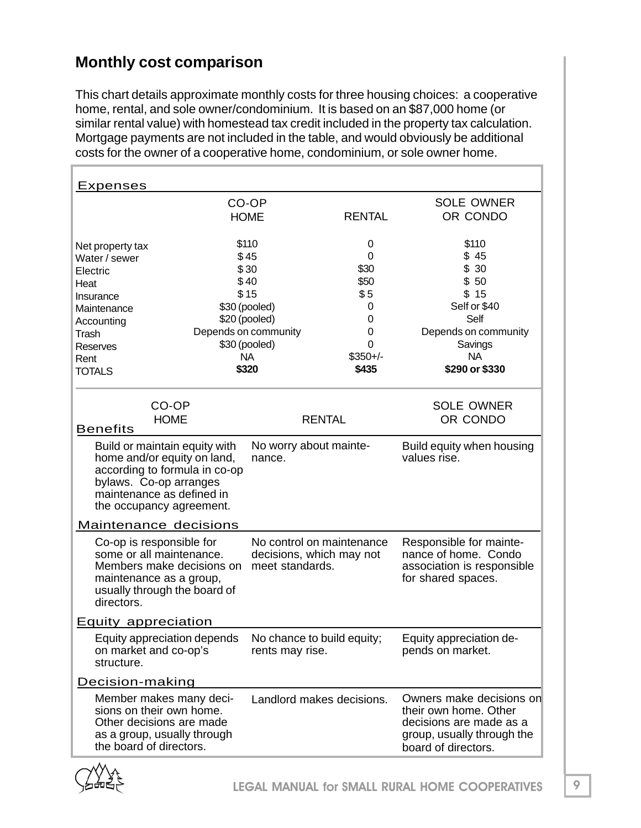# **Monthly cost comparison**

Ī.

This chart details approximate monthly costs for three housing choices: a cooperative home, rental, and sole owner/condominium. It is based on an \$87,000 home (or similar rental value) with homestead tax credit included in the property tax calculation. Mortgage payments are not included in the table, and would obviously be additional costs for the owner of a cooperative home, condominium, or sole owner home.

| <b>Expenses</b>                                                                                                                                                                  |                       |                                                                          |                           |                                                                                                                                   |
|----------------------------------------------------------------------------------------------------------------------------------------------------------------------------------|-----------------------|--------------------------------------------------------------------------|---------------------------|-----------------------------------------------------------------------------------------------------------------------------------|
|                                                                                                                                                                                  | CO-OP                 |                                                                          |                           | <b>SOLE OWNER</b>                                                                                                                 |
|                                                                                                                                                                                  | <b>HOME</b>           |                                                                          | <b>RENTAL</b>             | OR CONDO                                                                                                                          |
|                                                                                                                                                                                  |                       |                                                                          |                           |                                                                                                                                   |
| Net property tax                                                                                                                                                                 | \$110                 |                                                                          | 0                         | \$110                                                                                                                             |
| Water / sewer                                                                                                                                                                    | \$45                  |                                                                          | 0                         | \$45                                                                                                                              |
| Electric                                                                                                                                                                         | \$30<br>\$40          |                                                                          | \$30<br>\$50              | \$30<br>\$50                                                                                                                      |
| Heat                                                                                                                                                                             | \$15                  |                                                                          | \$5                       | \$15                                                                                                                              |
| Insurance<br>Maintenance                                                                                                                                                         | \$30 (pooled)         |                                                                          | 0                         | Self or \$40                                                                                                                      |
| Accounting                                                                                                                                                                       | \$20 (pooled)         |                                                                          | 0                         | Self                                                                                                                              |
| Trash                                                                                                                                                                            |                       | Depends on community                                                     | 0                         | Depends on community                                                                                                              |
| Reserves                                                                                                                                                                         |                       | \$30 (pooled)                                                            | 0                         | Savings                                                                                                                           |
| Rent                                                                                                                                                                             |                       | <b>NA</b>                                                                | $$350+/-$                 | <b>NA</b>                                                                                                                         |
| <b>TOTALS</b>                                                                                                                                                                    |                       | \$320                                                                    | \$435                     | \$290 or \$330                                                                                                                    |
| CO-OP<br><b>HOME</b><br><b>Benefits</b>                                                                                                                                          |                       | <b>RENTAL</b>                                                            |                           | <b>SOLE OWNER</b><br>OR CONDO                                                                                                     |
| Build or maintain equity with<br>home and/or equity on land,<br>according to formula in co-op<br>bylaws. Co-op arranges<br>maintenance as defined in<br>the occupancy agreement. |                       | No worry about mainte-<br>nance.                                         |                           | Build equity when housing<br>values rise.                                                                                         |
|                                                                                                                                                                                  | Maintenance decisions |                                                                          |                           |                                                                                                                                   |
| Co-op is responsible for<br>some or all maintenance.<br>Members make decisions on<br>maintenance as a group,<br>usually through the board of<br>directors.                       |                       | No control on maintenance<br>decisions, which may not<br>meet standards. |                           | Responsible for mainte-<br>nance of home. Condo<br>association is responsible<br>for shared spaces.                               |
| <b>Equity appreciation</b>                                                                                                                                                       |                       |                                                                          |                           |                                                                                                                                   |
| Equity appreciation depends<br>on market and co-op's<br>structure.                                                                                                               |                       | No chance to build equity;<br>rents may rise.                            |                           | Equity appreciation de-<br>pends on market.                                                                                       |
| Decision-making                                                                                                                                                                  |                       |                                                                          |                           |                                                                                                                                   |
| Member makes many deci-<br>sions on their own home.<br>Other decisions are made<br>as a group, usually through<br>the board of directors.                                        |                       |                                                                          | Landlord makes decisions. | Owners make decisions on<br>their own home. Other<br>decisions are made as a<br>group, usually through the<br>board of directors. |

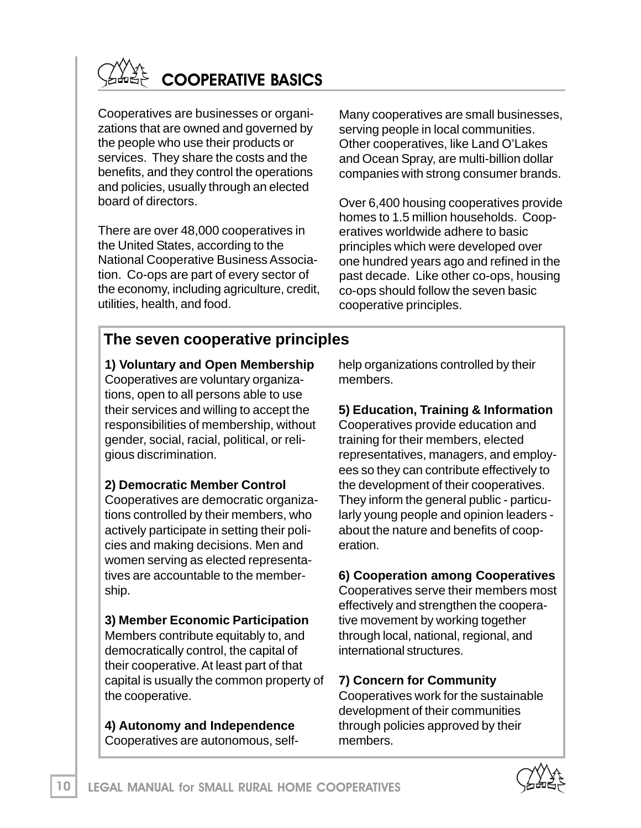

Cooperatives are businesses or organizations that are owned and governed by the people who use their products or services. They share the costs and the benefits, and they control the operations and policies, usually through an elected board of directors.

There are over 48,000 cooperatives in the United States, according to the National Cooperative Business Association. Co-ops are part of every sector of the economy, including agriculture, credit, utilities, health, and food.

Many cooperatives are small businesses, serving people in local communities. Other cooperatives, like Land O'Lakes and Ocean Spray, are multi-billion dollar companies with strong consumer brands.

Over 6,400 housing cooperatives provide homes to 1.5 million households. Cooperatives worldwide adhere to basic principles which were developed over one hundred years ago and refined in the past decade. Like other co-ops, housing co-ops should follow the seven basic cooperative principles.

# **The seven cooperative principles**

**1) Voluntary and Open Membership** Cooperatives are voluntary organizations, open to all persons able to use their services and willing to accept the responsibilities of membership, without gender, social, racial, political, or religious discrimination.

## **2) Democratic Member Control**

Cooperatives are democratic organizations controlled by their members, who actively participate in setting their policies and making decisions. Men and women serving as elected representatives are accountable to the membership.

## **3) Member Economic Participation**

Members contribute equitably to, and democratically control, the capital of their cooperative. At least part of that capital is usually the common property of the cooperative.

**4) Autonomy and Independence** Cooperatives are autonomous, self-

help organizations controlled by their members.

## **5) Education, Training & Information**

Cooperatives provide education and training for their members, elected representatives, managers, and employees so they can contribute effectively to the development of their cooperatives. They inform the general public - particularly young people and opinion leaders about the nature and benefits of cooperation.

## **6) Cooperation among Cooperatives**

Cooperatives serve their members most effectively and strengthen the cooperative movement by working together through local, national, regional, and international structures.

## **7) Concern for Community**

Cooperatives work for the sustainable development of their communities through policies approved by their members.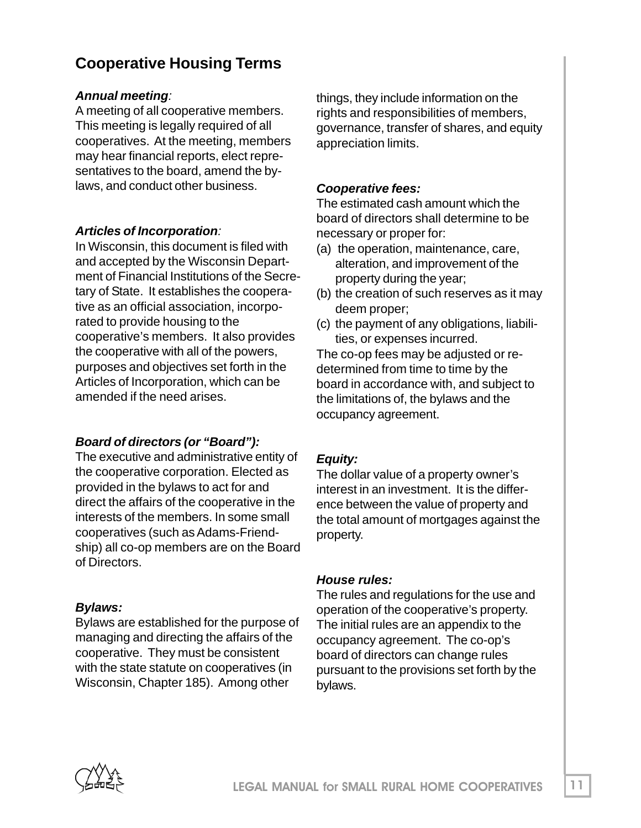# **Cooperative Housing Terms**

#### *Annual meeting:*

A meeting of all cooperative members. This meeting is legally required of all cooperatives. At the meeting, members may hear financial reports, elect representatives to the board, amend the bylaws, and conduct other business.

#### *Articles of Incorporation:*

In Wisconsin, this document is filed with and accepted by the Wisconsin Department of Financial Institutions of the Secretary of State. It establishes the cooperative as an official association, incorporated to provide housing to the cooperative's members. It also provides the cooperative with all of the powers, purposes and objectives set forth in the Articles of Incorporation, which can be amended if the need arises.

## *Board of directors (or "Board"):*

The executive and administrative entity of the cooperative corporation. Elected as provided in the bylaws to act for and direct the affairs of the cooperative in the interests of the members. In some small cooperatives (such as Adams-Friendship) all co-op members are on the Board of Directors.

## *Bylaws:*

Bylaws are established for the purpose of managing and directing the affairs of the cooperative. They must be consistent with the state statute on cooperatives (in Wisconsin, Chapter 185). Among other

things, they include information on the rights and responsibilities of members, governance, transfer of shares, and equity appreciation limits.

#### *Cooperative fees:*

The estimated cash amount which the board of directors shall determine to be necessary or proper for:

- (a) the operation, maintenance, care, alteration, and improvement of the property during the year;
- (b) the creation of such reserves as it may deem proper;
- (c) the payment of any obligations, liabilities, or expenses incurred.

The co-op fees may be adjusted or redetermined from time to time by the board in accordance with, and subject to the limitations of, the bylaws and the occupancy agreement.

## *Equity:*

The dollar value of a property owner's interest in an investment. It is the difference between the value of property and the total amount of mortgages against the property.

## *House rules:*

The rules and regulations for the use and operation of the cooperative's property. The initial rules are an appendix to the occupancy agreement. The co-op's board of directors can change rules pursuant to the provisions set forth by the bylaws.

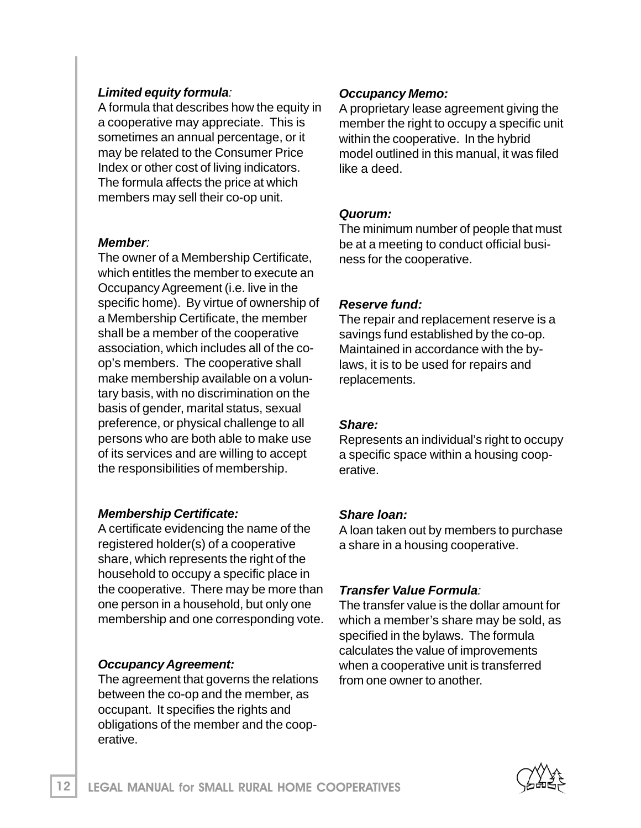#### *Limited equity formula:*

A formula that describes how the equity in a cooperative may appreciate. This is sometimes an annual percentage, or it may be related to the Consumer Price Index or other cost of living indicators. The formula affects the price at which members may sell their co-op unit.

#### *Member:*

The owner of a Membership Certificate, which entitles the member to execute an Occupancy Agreement (i.e. live in the specific home). By virtue of ownership of a Membership Certificate, the member shall be a member of the cooperative association, which includes all of the coop's members. The cooperative shall make membership available on a voluntary basis, with no discrimination on the basis of gender, marital status, sexual preference, or physical challenge to all persons who are both able to make use of its services and are willing to accept the responsibilities of membership.

#### *Membership Certificate:*

A certificate evidencing the name of the registered holder(s) of a cooperative share, which represents the right of the household to occupy a specific place in the cooperative. There may be more than one person in a household, but only one membership and one corresponding vote.

#### *Occupancy Agreement:*

The agreement that governs the relations between the co-op and the member, as occupant. It specifies the rights and obligations of the member and the cooperative.

#### *Occupancy Memo:*

A proprietary lease agreement giving the member the right to occupy a specific unit within the cooperative. In the hybrid model outlined in this manual, it was filed like a deed.

#### *Quorum:*

The minimum number of people that must be at a meeting to conduct official business for the cooperative.

#### *Reserve fund:*

The repair and replacement reserve is a savings fund established by the co-op. Maintained in accordance with the bylaws, it is to be used for repairs and replacements.

#### *Share:*

Represents an individual's right to occupy a specific space within a housing cooperative.

#### *Share loan:*

A loan taken out by members to purchase a share in a housing cooperative.

#### *Transfer Value Formula:*

The transfer value is the dollar amount for which a member's share may be sold, as specified in the bylaws. The formula calculates the value of improvements when a cooperative unit is transferred from one owner to another.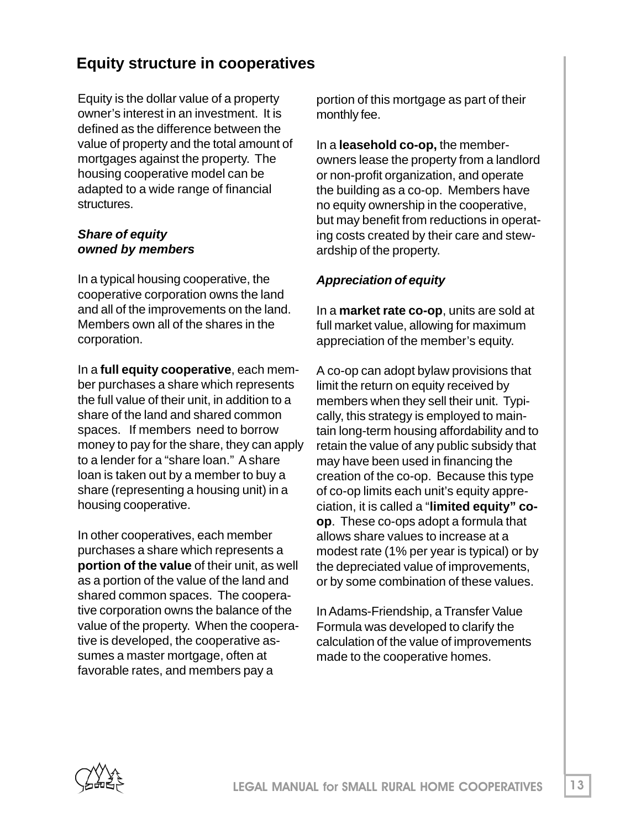# **Equity structure in cooperatives**

Equity is the dollar value of a property owner's interest in an investment. It is defined as the difference between the value of property and the total amount of mortgages against the property. The housing cooperative model can be adapted to a wide range of financial structures.

#### *Share of equity owned by members*

In a typical housing cooperative, the cooperative corporation owns the land and all of the improvements on the land. Members own all of the shares in the corporation.

In a **full equity cooperative**, each member purchases a share which represents the full value of their unit, in addition to a share of the land and shared common spaces. If members need to borrow money to pay for the share, they can apply to a lender for a "share loan." A share loan is taken out by a member to buy a share (representing a housing unit) in a housing cooperative.

In other cooperatives, each member purchases a share which represents a **portion of the value** of their unit, as well as a portion of the value of the land and shared common spaces. The cooperative corporation owns the balance of the value of the property. When the cooperative is developed, the cooperative assumes a master mortgage, often at favorable rates, and members pay a

portion of this mortgage as part of their monthly fee.

In a **leasehold co-op,** the memberowners lease the property from a landlord or non-profit organization, and operate the building as a co-op. Members have no equity ownership in the cooperative, but may benefit from reductions in operating costs created by their care and stewardship of the property.

## *Appreciation of equity*

In a **market rate co-op**, units are sold at full market value, allowing for maximum appreciation of the member's equity.

A co-op can adopt bylaw provisions that limit the return on equity received by members when they sell their unit. Typically, this strategy is employed to maintain long-term housing affordability and to retain the value of any public subsidy that may have been used in financing the creation of the co-op. Because this type of co-op limits each unit's equity appreciation, it is called a "**limited equity" coop**. These co-ops adopt a formula that allows share values to increase at a modest rate (1% per year is typical) or by the depreciated value of improvements, or by some combination of these values.

In Adams-Friendship, a Transfer Value Formula was developed to clarify the calculation of the value of improvements made to the cooperative homes.

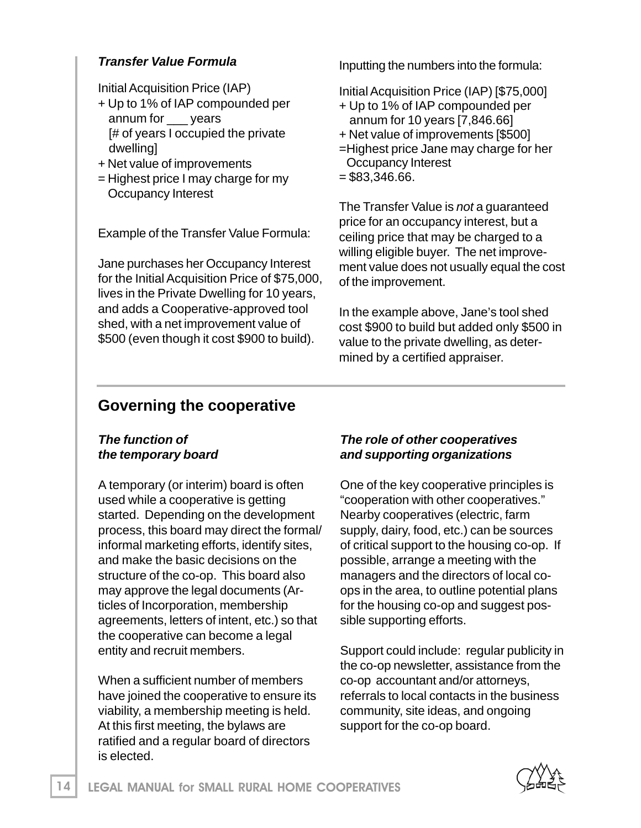#### *Transfer Value Formula*

Initial Acquisition Price (IAP)

- + Up to 1% of IAP compounded per annum for \_\_\_ years [# of years I occupied the private dwelling]
- + Net value of improvements
- = Highest price I may charge for my Occupancy Interest

Example of the Transfer Value Formula:

Jane purchases her Occupancy Interest for the Initial Acquisition Price of \$75,000, lives in the Private Dwelling for 10 years, and adds a Cooperative-approved tool shed, with a net improvement value of \$500 (even though it cost \$900 to build).

Inputting the numbers into the formula:

Initial Acquisition Price (IAP) [\$75,000]

- + Up to 1% of IAP compounded per annum for 10 years [7,846.66]
- + Net value of improvements [\$500]
- =Highest price Jane may charge for her Occupancy Interest
- $=$  \$83,346.66.

The Transfer Value is *not* a guaranteed price for an occupancy interest, but a ceiling price that may be charged to a willing eligible buyer. The net improvement value does not usually equal the cost of the improvement.

In the example above, Jane's tool shed cost \$900 to build but added only \$500 in value to the private dwelling, as determined by a certified appraiser.

# **Governing the cooperative**

## *The function of the temporary board*

A temporary (or interim) board is often used while a cooperative is getting started. Depending on the development process, this board may direct the formal/ informal marketing efforts, identify sites, and make the basic decisions on the structure of the co-op. This board also may approve the legal documents (Articles of Incorporation, membership agreements, letters of intent, etc.) so that the cooperative can become a legal entity and recruit members.

When a sufficient number of members have joined the cooperative to ensure its viability, a membership meeting is held. At this first meeting, the bylaws are ratified and a regular board of directors is elected.

## *The role of other cooperatives and supporting organizations*

One of the key cooperative principles is "cooperation with other cooperatives." Nearby cooperatives (electric, farm supply, dairy, food, etc.) can be sources of critical support to the housing co-op. If possible, arrange a meeting with the managers and the directors of local coops in the area, to outline potential plans for the housing co-op and suggest possible supporting efforts.

Support could include: regular publicity in the co-op newsletter, assistance from the co-op accountant and/or attorneys, referrals to local contacts in the business community, site ideas, and ongoing support for the co-op board.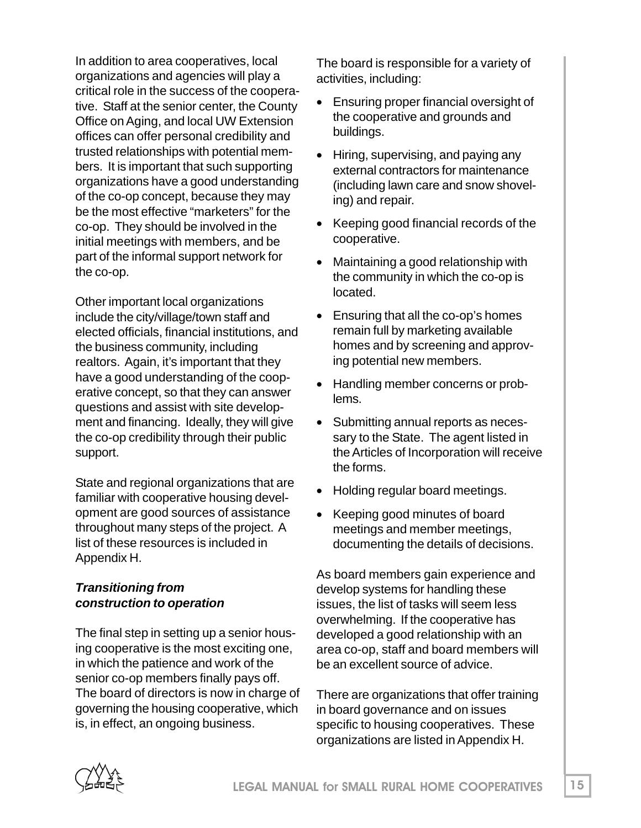In addition to area cooperatives, local organizations and agencies will play a critical role in the success of the cooperative. Staff at the senior center, the County Office on Aging, and local UW Extension offices can offer personal credibility and trusted relationships with potential members. It is important that such supporting organizations have a good understanding of the co-op concept, because they may be the most effective "marketers" for the co-op. They should be involved in the initial meetings with members, and be part of the informal support network for the co-op.

Other important local organizations include the city/village/town staff and elected officials, financial institutions, and the business community, including realtors. Again, it's important that they have a good understanding of the cooperative concept, so that they can answer questions and assist with site development and financing. Ideally, they will give the co-op credibility through their public support.

State and regional organizations that are familiar with cooperative housing development are good sources of assistance throughout many steps of the project. A list of these resources is included in Appendix H.

## *Transitioning from construction to operation*

The final step in setting up a senior housing cooperative is the most exciting one, in which the patience and work of the senior co-op members finally pays off. The board of directors is now in charge of governing the housing cooperative, which is, in effect, an ongoing business.

The board is responsible for a variety of activities, including:

- Ensuring proper financial oversight of the cooperative and grounds and buildings.
- Hiring, supervising, and paying any external contractors for maintenance (including lawn care and snow shoveling) and repair.
- Keeping good financial records of the cooperative.
- Maintaining a good relationship with the community in which the co-op is located.
- Ensuring that all the co-op's homes remain full by marketing available homes and by screening and approving potential new members.
- Handling member concerns or problems.
- Submitting annual reports as necessary to the State. The agent listed in the Articles of Incorporation will receive the forms.
- Holding regular board meetings.
- Keeping good minutes of board meetings and member meetings, documenting the details of decisions.

As board members gain experience and develop systems for handling these issues, the list of tasks will seem less overwhelming. If the cooperative has developed a good relationship with an area co-op, staff and board members will be an excellent source of advice.

There are organizations that offer training in board governance and on issues specific to housing cooperatives. These organizations are listed in Appendix H.

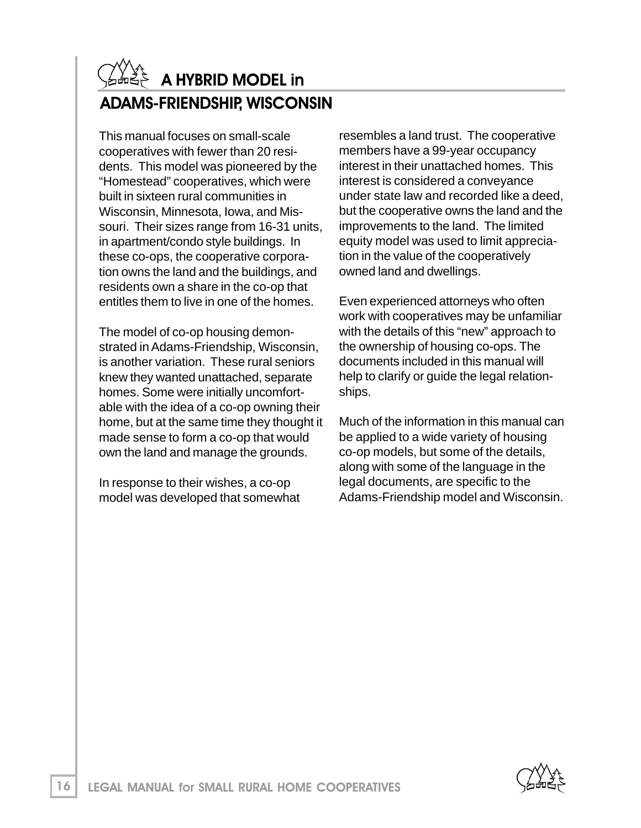# A HYBRID MODEL in ADAMS-FRIENDSHIP, WISCONSIN

This manual focuses on small-scale cooperatives with fewer than 20 residents. This model was pioneered by the "Homestead" cooperatives, which were built in sixteen rural communities in Wisconsin, Minnesota, Iowa, and Missouri. Their sizes range from 16-31 units, in apartment/condo style buildings. In these co-ops, the cooperative corporation owns the land and the buildings, and residents own a share in the co-op that entitles them to live in one of the homes.

The model of co-op housing demonstrated in Adams-Friendship, Wisconsin, is another variation. These rural seniors knew they wanted unattached, separate homes. Some were initially uncomfortable with the idea of a co-op owning their home, but at the same time they thought it made sense to form a co-op that would own the land and manage the grounds.

In response to their wishes, a co-op model was developed that somewhat resembles a land trust. The cooperative members have a 99-year occupancy interest in their unattached homes. This interest is considered a conveyance under state law and recorded like a deed, but the cooperative owns the land and the improvements to the land. The limited equity model was used to limit appreciation in the value of the cooperatively owned land and dwellings.

Even experienced attorneys who often work with cooperatives may be unfamiliar with the details of this "new" approach to the ownership of housing co-ops. The documents included in this manual will help to clarify or guide the legal relationships.

Much of the information in this manual can be applied to a wide variety of housing co-op models, but some of the details, along with some of the language in the legal documents, are specific to the Adams-Friendship model and Wisconsin.

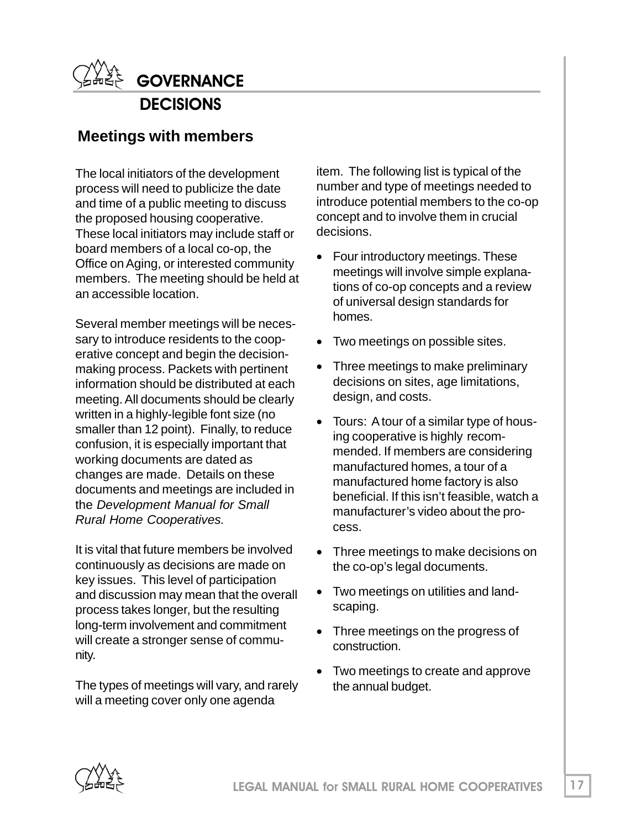

# **Meetings with members**

The local initiators of the development process will need to publicize the date and time of a public meeting to discuss the proposed housing cooperative. These local initiators may include staff or board members of a local co-op, the Office on Aging, or interested community members. The meeting should be held at an accessible location.

Several member meetings will be necessary to introduce residents to the cooperative concept and begin the decisionmaking process. Packets with pertinent information should be distributed at each meeting. All documents should be clearly written in a highly-legible font size (no smaller than 12 point). Finally, to reduce confusion, it is especially important that working documents are dated as changes are made. Details on these documents and meetings are included in the *Development Manual for Small Rural Home Cooperatives.*

It is vital that future members be involved continuously as decisions are made on key issues. This level of participation and discussion may mean that the overall process takes longer, but the resulting long-term involvement and commitment will create a stronger sense of community.

The types of meetings will vary, and rarely will a meeting cover only one agenda

item. The following list is typical of the number and type of meetings needed to introduce potential members to the co-op concept and to involve them in crucial decisions.

- Four introductory meetings. These meetings will involve simple explanations of co-op concepts and a review of universal design standards for homes.
- Two meetings on possible sites.
- Three meetings to make preliminary decisions on sites, age limitations, design, and costs.
- Tours: A tour of a similar type of housing cooperative is highly recommended. If members are considering manufactured homes, a tour of a manufactured home factory is also beneficial. If this isn't feasible, watch a manufacturer's video about the process.
- Three meetings to make decisions on the co-op's legal documents.
- Two meetings on utilities and landscaping.
- Three meetings on the progress of construction.
- Two meetings to create and approve the annual budget.

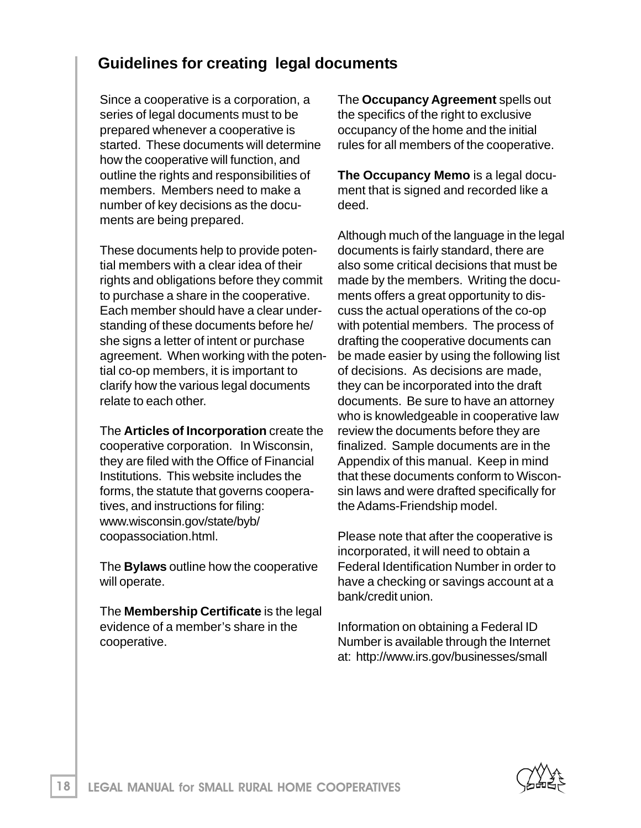## **Guidelines for creating legal documents**

Since a cooperative is a corporation, a series of legal documents must to be prepared whenever a cooperative is started. These documents will determine how the cooperative will function, and outline the rights and responsibilities of members. Members need to make a number of key decisions as the documents are being prepared.

These documents help to provide potential members with a clear idea of their rights and obligations before they commit to purchase a share in the cooperative. Each member should have a clear understanding of these documents before he/ she signs a letter of intent or purchase agreement. When working with the potential co-op members, it is important to clarify how the various legal documents relate to each other.

The **Articles of Incorporation** create the cooperative corporation. In Wisconsin, they are filed with the Office of Financial Institutions. This website includes the forms, the statute that governs cooperatives, and instructions for filing: www.wisconsin.gov/state/byb/ coopassociation.html.

The **Bylaws** outline how the cooperative will operate.

The **Membership Certificate** is the legal evidence of a member's share in the cooperative.

The **Occupancy Agreement** spells out the specifics of the right to exclusive occupancy of the home and the initial rules for all members of the cooperative.

**The Occupancy Memo** is a legal document that is signed and recorded like a deed.

Although much of the language in the legal documents is fairly standard, there are also some critical decisions that must be made by the members. Writing the documents offers a great opportunity to discuss the actual operations of the co-op with potential members. The process of drafting the cooperative documents can be made easier by using the following list of decisions. As decisions are made, they can be incorporated into the draft documents. Be sure to have an attorney who is knowledgeable in cooperative law review the documents before they are finalized. Sample documents are in the Appendix of this manual. Keep in mind that these documents conform to Wisconsin laws and were drafted specifically for the Adams-Friendship model.

Please note that after the cooperative is incorporated, it will need to obtain a Federal Identification Number in order to have a checking or savings account at a bank/credit union.

Information on obtaining a Federal ID Number is available through the Internet at: http://www.irs.gov/businesses/small

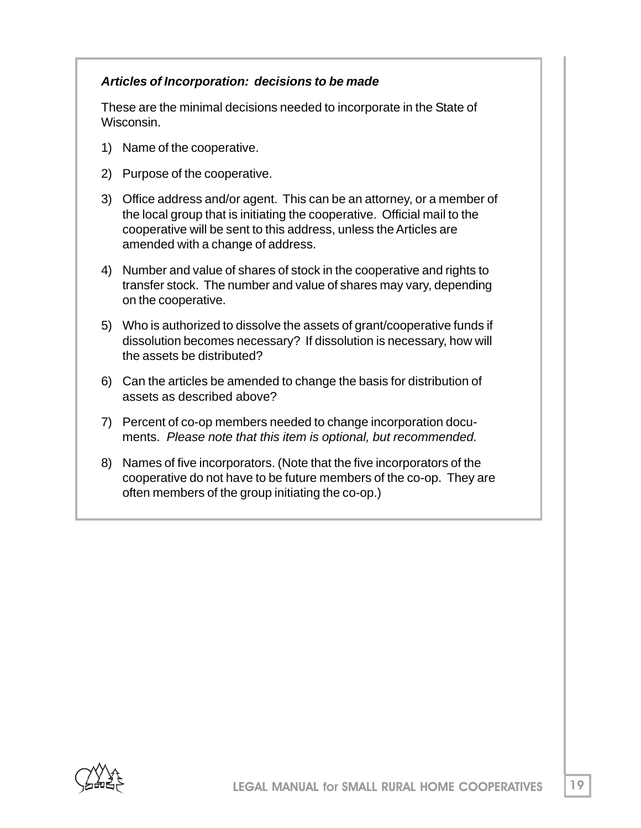## *Articles of Incorporation: decisions to be made*

These are the minimal decisions needed to incorporate in the State of Wisconsin.

- 1) Name of the cooperative.
- 2) Purpose of the cooperative.
- 3) Office address and/or agent. This can be an attorney, or a member of the local group that is initiating the cooperative. Official mail to the cooperative will be sent to this address, unless the Articles are amended with a change of address.
- 4) Number and value of shares of stock in the cooperative and rights to transfer stock. The number and value of shares may vary, depending on the cooperative.
- 5) Who is authorized to dissolve the assets of grant/cooperative funds if dissolution becomes necessary? If dissolution is necessary, how will the assets be distributed?
- 6) Can the articles be amended to change the basis for distribution of assets as described above?
- 7) Percent of co-op members needed to change incorporation documents. *Please note that this item is optional, but recommended.*
- 8) Names of five incorporators. (Note that the five incorporators of the cooperative do not have to be future members of the co-op. They are often members of the group initiating the co-op.)

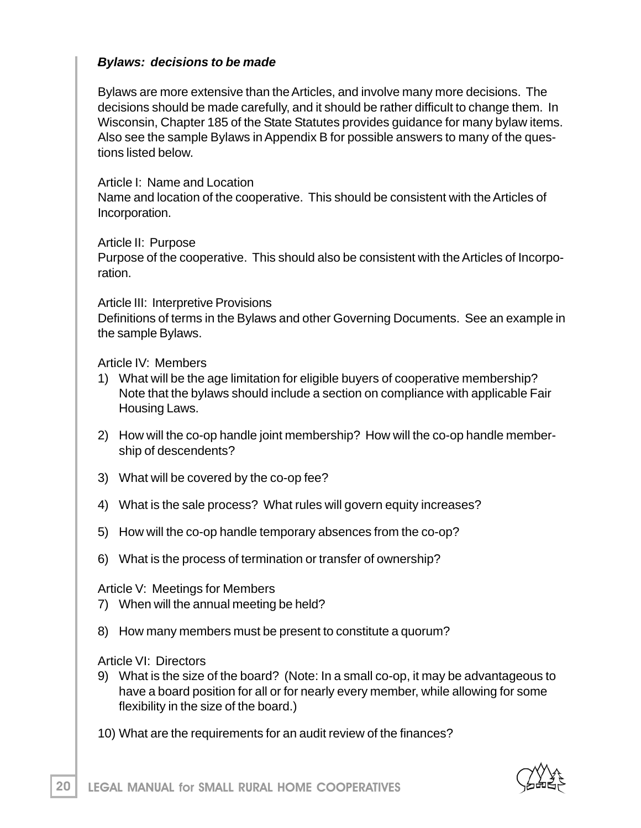#### .*Bylaws: decisions to be made*

Bylaws are more extensive than the Articles, and involve many more decisions. The decisions should be made carefully, and it should be rather difficult to change them. In Wisconsin, Chapter 185 of the State Statutes provides guidance for many bylaw items. Also see the sample Bylaws in Appendix B for possible answers to many of the questions listed below.

Article I: Name and Location

Name and location of the cooperative. This should be consistent with the Articles of Incorporation.

Article II: Purpose

Purpose of the cooperative. This should also be consistent with the Articles of Incorporation.

Article III: Interpretive Provisions

Definitions of terms in the Bylaws and other Governing Documents. See an example in the sample Bylaws.

Article IV: Members

- 1) What will be the age limitation for eligible buyers of cooperative membership? Note that the bylaws should include a section on compliance with applicable Fair Housing Laws.
- 2) How will the co-op handle joint membership? How will the co-op handle membership of descendents?
- 3) What will be covered by the co-op fee?
- 4) What is the sale process? What rules will govern equity increases?
- 5) How will the co-op handle temporary absences from the co-op?
- 6) What is the process of termination or transfer of ownership?

Article V: Meetings for Members

- 7) When will the annual meeting be held?
- 8) How many members must be present to constitute a quorum?

Article VI: Directors

- 9) What is the size of the board? (Note: In a small co-op, it may be advantageous to have a board position for all or for nearly every member, while allowing for some flexibility in the size of the board.)
- 10) What are the requirements for an audit review of the finances?

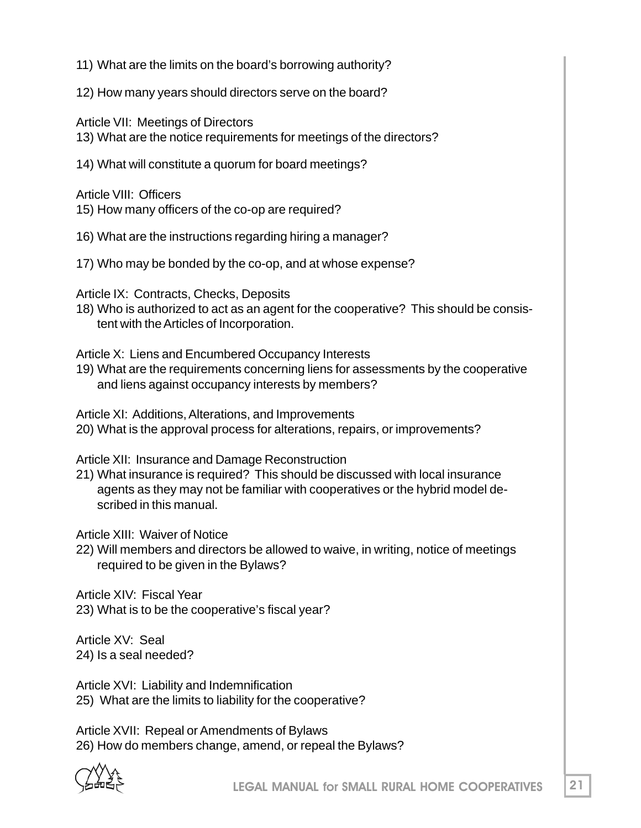- 11) What are the limits on the board's borrowing authority?
- 12) How many years should directors serve on the board?

Article VII: Meetings of Directors

- 13) What are the notice requirements for meetings of the directors?
- 14) What will constitute a quorum for board meetings?

Article VIII: Officers

- 15) How many officers of the co-op are required?
- 16) What are the instructions regarding hiring a manager?
- 17) Who may be bonded by the co-op, and at whose expense?

Article IX: Contracts, Checks, Deposits

18) Who is authorized to act as an agent for the cooperative? This should be consistent with the Articles of Incorporation.

Article X: Liens and Encumbered Occupancy Interests

19) What are the requirements concerning liens for assessments by the cooperative and liens against occupancy interests by members?

Article XI: Additions, Alterations, and Improvements 20) What is the approval process for alterations, repairs, or improvements?

Article XII: Insurance and Damage Reconstruction

21) What insurance is required? This should be discussed with local insurance agents as they may not be familiar with cooperatives or the hybrid model described in this manual.

Article XIII: Waiver of Notice

22) Will members and directors be allowed to waive, in writing, notice of meetings required to be given in the Bylaws?

Article XIV: Fiscal Year 23) What is to be the cooperative's fiscal year?

Article XV: Seal 24) Is a seal needed?

Article XVI: Liability and Indemnification 25) What are the limits to liability for the cooperative?

Article XVII: Repeal or Amendments of Bylaws 26) How do members change, amend, or repeal the Bylaws?

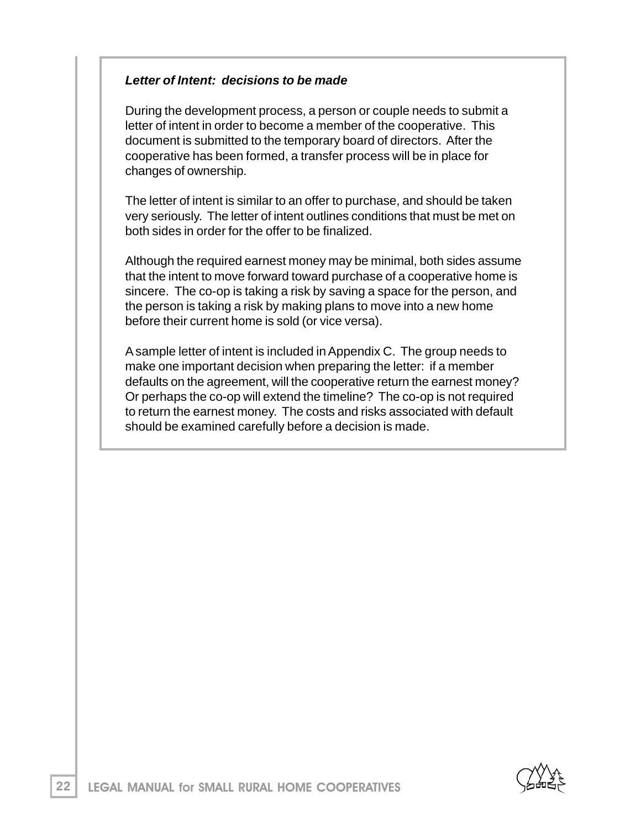#### *Letter of Intent: decisions to be made*

During the development process, a person or couple needs to submit a letter of intent in order to become a member of the cooperative. This document is submitted to the temporary board of directors. After the cooperative has been formed, a transfer process will be in place for changes of ownership.

The letter of intent is similar to an offer to purchase, and should be taken very seriously. The letter of intent outlines conditions that must be met on both sides in order for the offer to be finalized.

Although the required earnest money may be minimal, both sides assume that the intent to move forward toward purchase of a cooperative home is sincere. The co-op is taking a risk by saving a space for the person, and the person is taking a risk by making plans to move into a new home before their current home is sold (or vice versa).

A sample letter of intent is included in Appendix C. The group needs to make one important decision when preparing the letter: if a member defaults on the agreement, will the cooperative return the earnest money? Or perhaps the co-op will extend the timeline? The co-op is not required to return the earnest money. The costs and risks associated with default should be examined carefully before a decision is made.

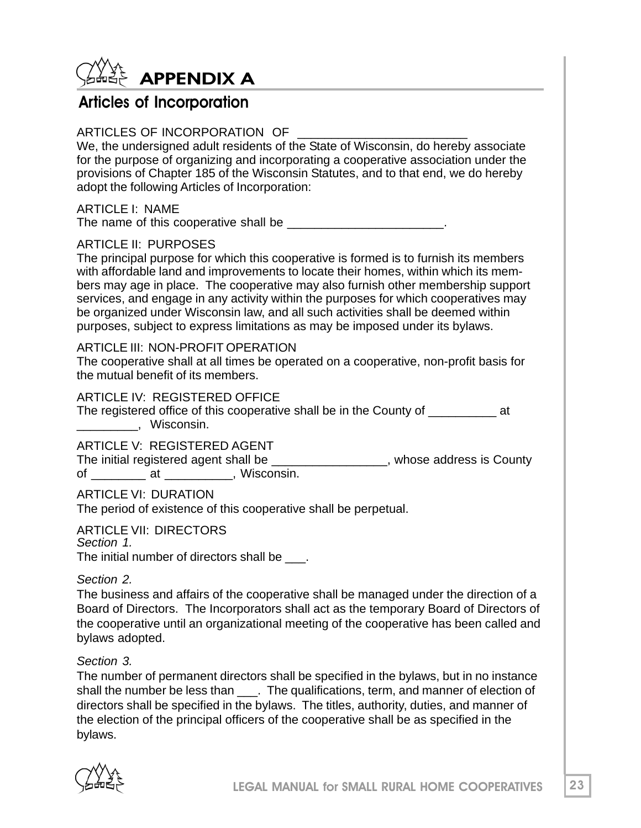

# Articles of Incorporation

## ARTICLES OF INCORPORATION OF

We, the undersigned adult residents of the State of Wisconsin, do hereby associate for the purpose of organizing and incorporating a cooperative association under the provisions of Chapter 185 of the Wisconsin Statutes, and to that end, we do hereby adopt the following Articles of Incorporation:

#### ARTICLE I: NAME

The name of this cooperative shall be

#### ARTICLE II: PURPOSES

The principal purpose for which this cooperative is formed is to furnish its members with affordable land and improvements to locate their homes, within which its members may age in place. The cooperative may also furnish other membership support services, and engage in any activity within the purposes for which cooperatives may be organized under Wisconsin law, and all such activities shall be deemed within purposes, subject to express limitations as may be imposed under its bylaws.

#### ARTICLE III: NON-PROFIT OPERATION

The cooperative shall at all times be operated on a cooperative, non-profit basis for the mutual benefit of its members.

ARTICLE IV: REGISTERED OFFICE

The registered office of this cooperative shall be in the County of \_\_\_\_\_\_\_\_\_\_\_\_ at \_\_\_\_\_\_\_\_\_, Wisconsin.

ARTICLE V: REGISTERED AGENT

The initial registered agent shall be \_\_\_\_\_\_\_\_\_\_\_\_\_\_\_\_\_, whose address is County of at at Nisconsin.

#### ARTICLE VI: DURATION

The period of existence of this cooperative shall be perpetual.

ARTICLE VII: DIRECTORS *Section 1.* The initial number of directors shall be  $\qquad$ .

*Section 2.*

The business and affairs of the cooperative shall be managed under the direction of a Board of Directors. The Incorporators shall act as the temporary Board of Directors of the cooperative until an organizational meeting of the cooperative has been called and bylaws adopted.

#### *Section 3.*

The number of permanent directors shall be specified in the bylaws, but in no instance shall the number be less than . The qualifications, term, and manner of election of directors shall be specified in the bylaws. The titles, authority, duties, and manner of the election of the principal officers of the cooperative shall be as specified in the bylaws.

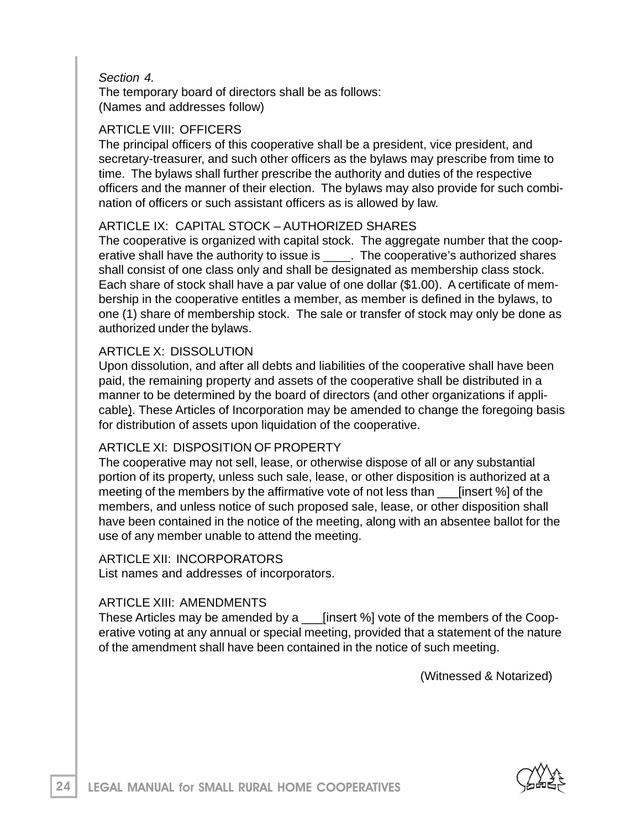#### *Section 4.*

The temporary board of directors shall be as follows: (Names and addresses follow)

#### ARTICLE VIII: OFFICERS

The principal officers of this cooperative shall be a president, vice president, and secretary-treasurer, and such other officers as the bylaws may prescribe from time to time. The bylaws shall further prescribe the authority and duties of the respective officers and the manner of their election. The bylaws may also provide for such combination of officers or such assistant officers as is allowed by law.

#### ARTICLE IX: CAPITAL STOCK – AUTHORIZED SHARES

The cooperative is organized with capital stock. The aggregate number that the cooperative shall have the authority to issue is The cooperative's authorized shares shall consist of one class only and shall be designated as membership class stock. Each share of stock shall have a par value of one dollar (\$1.00). A certificate of membership in the cooperative entitles a member, as member is defined in the bylaws, to one (1) share of membership stock. The sale or transfer of stock may only be done as authorized under the bylaws.

#### ARTICLE X: DISSOLUTION

Upon dissolution, and after all debts and liabilities of the cooperative shall have been paid, the remaining property and assets of the cooperative shall be distributed in a manner to be determined by the board of directors (and other organizations if applicable). These Articles of Incorporation may be amended to change the foregoing basis for distribution of assets upon liquidation of the cooperative.

#### ARTICLE XI: DISPOSITION OF PROPERTY

The cooperative may not sell, lease, or otherwise dispose of all or any substantial portion of its property, unless such sale, lease, or other disposition is authorized at a meeting of the members by the affirmative vote of not less than \_\_\_[insert %] of the members, and unless notice of such proposed sale, lease, or other disposition shall have been contained in the notice of the meeting, along with an absentee ballot for the use of any member unable to attend the meeting.

#### ARTICLE XII: INCORPORATORS

List names and addresses of incorporators.

#### ARTICLE XIII: AMENDMENTS

These Articles may be amended by a \_\_\_[insert %] vote of the members of the Cooperative voting at any annual or special meeting, provided that a statement of the nature of the amendment shall have been contained in the notice of such meeting.

(Witnessed & Notarized)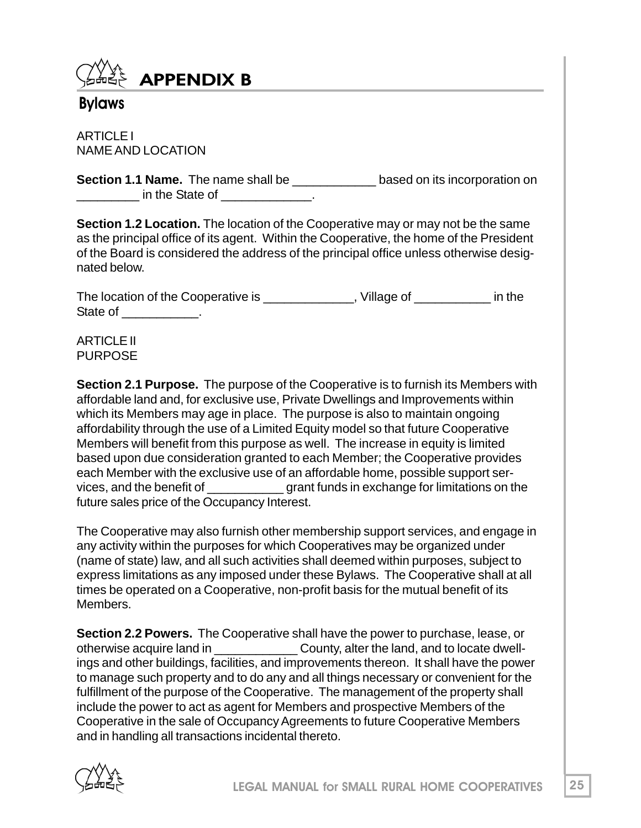

# Bylaws

ARTICLE I NAME AND LOCATION

**Section 1.1 Name.** The name shall be *\_\_\_\_\_\_\_\_\_\_\_\_\_* based on its incorporation on \_\_\_\_\_\_\_\_\_ in the State of \_\_\_\_\_\_\_\_\_\_\_\_\_.

**Section 1.2 Location.** The location of the Cooperative may or may not be the same as the principal office of its agent. Within the Cooperative, the home of the President of the Board is considered the address of the principal office unless otherwise designated below.

| The location of the Cooperative is | Village of | in the |
|------------------------------------|------------|--------|
| State of                           |            |        |

ARTICLE II PURPOSE

**Section 2.1 Purpose.** The purpose of the Cooperative is to furnish its Members with affordable land and, for exclusive use, Private Dwellings and Improvements within which its Members may age in place. The purpose is also to maintain ongoing affordability through the use of a Limited Equity model so that future Cooperative Members will benefit from this purpose as well. The increase in equity is limited based upon due consideration granted to each Member; the Cooperative provides each Member with the exclusive use of an affordable home, possible support services, and the benefit of \_\_\_\_\_\_\_\_\_\_\_ grant funds in exchange for limitations on the future sales price of the Occupancy Interest.

The Cooperative may also furnish other membership support services, and engage in any activity within the purposes for which Cooperatives may be organized under (name of state) law, and all such activities shall deemed within purposes, subject to express limitations as any imposed under these Bylaws. The Cooperative shall at all times be operated on a Cooperative, non-profit basis for the mutual benefit of its Members.

**Section 2.2 Powers.** The Cooperative shall have the power to purchase, lease, or otherwise acquire land in \_\_\_\_\_\_\_\_\_\_\_\_ County, alter the land, and to locate dwellings and other buildings, facilities, and improvements thereon. It shall have the power to manage such property and to do any and all things necessary or convenient for the fulfillment of the purpose of the Cooperative. The management of the property shall include the power to act as agent for Members and prospective Members of the Cooperative in the sale of Occupancy Agreements to future Cooperative Members and in handling all transactions incidental thereto.

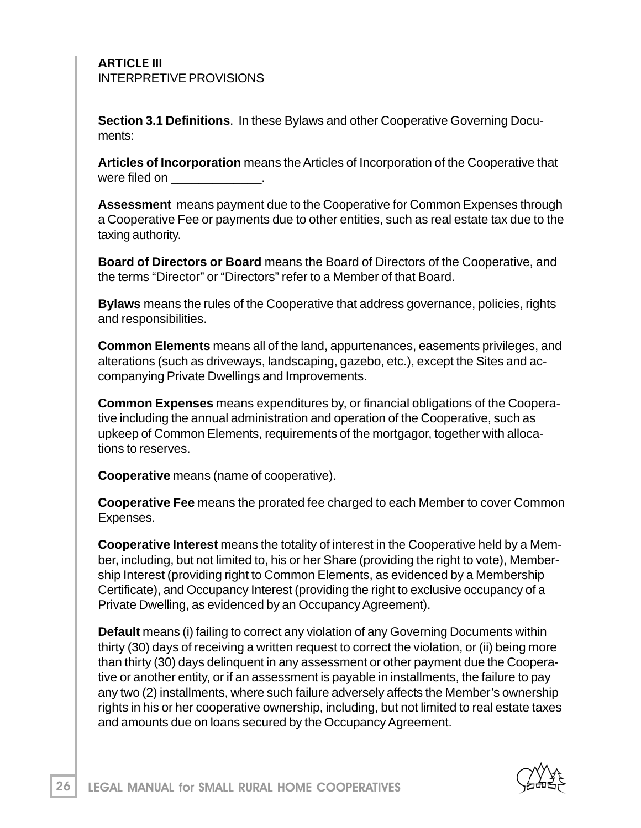#### **ARTICLE III** INTERPRETIVE PROVISIONS

**Section 3.1 Definitions**. In these Bylaws and other Cooperative Governing Documents:

**Articles of Incorporation** means the Articles of Incorporation of the Cooperative that were filed on

**Assessment** means payment due to the Cooperative for Common Expenses through a Cooperative Fee or payments due to other entities, such as real estate tax due to the taxing authority.

**Board of Directors or Board** means the Board of Directors of the Cooperative, and the terms "Director" or "Directors" refer to a Member of that Board.

**Bylaws** means the rules of the Cooperative that address governance, policies, rights and responsibilities.

**Common Elements** means all of the land, appurtenances, easements privileges, and alterations (such as driveways, landscaping, gazebo, etc.), except the Sites and accompanying Private Dwellings and Improvements.

**Common Expenses** means expenditures by, or financial obligations of the Cooperative including the annual administration and operation of the Cooperative, such as upkeep of Common Elements, requirements of the mortgagor, together with allocations to reserves.

**Cooperative** means (name of cooperative).

**Cooperative Fee** means the prorated fee charged to each Member to cover Common Expenses.

**Cooperative Interest** means the totality of interest in the Cooperative held by a Member, including, but not limited to, his or her Share (providing the right to vote), Membership Interest (providing right to Common Elements, as evidenced by a Membership Certificate), and Occupancy Interest (providing the right to exclusive occupancy of a Private Dwelling, as evidenced by an Occupancy Agreement).

**Default** means (i) failing to correct any violation of any Governing Documents within thirty (30) days of receiving a written request to correct the violation, or (ii) being more than thirty (30) days delinquent in any assessment or other payment due the Cooperative or another entity, or if an assessment is payable in installments, the failure to pay any two (2) installments, where such failure adversely affects the Member's ownership rights in his or her cooperative ownership, including, but not limited to real estate taxes and amounts due on loans secured by the Occupancy Agreement.

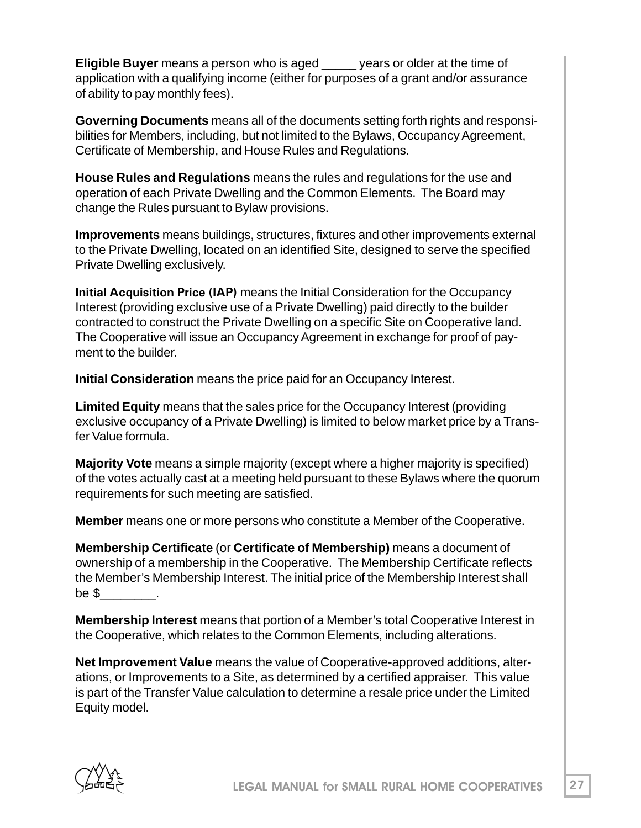**Eligible Buyer** means a person who is aged \_\_\_\_\_ years or older at the time of application with a qualifying income (either for purposes of a grant and/or assurance of ability to pay monthly fees).

**Governing Documents** means all of the documents setting forth rights and responsibilities for Members, including, but not limited to the Bylaws, Occupancy Agreement, Certificate of Membership, and House Rules and Regulations.

**House Rules and Regulations** means the rules and regulations for the use and operation of each Private Dwelling and the Common Elements. The Board may change the Rules pursuant to Bylaw provisions.

**Improvements** means buildings, structures, fixtures and other improvements external to the Private Dwelling, located on an identified Site, designed to serve the specified Private Dwelling exclusively.

**Initial Acquisition Price (IAP)** means the Initial Consideration for the Occupancy Interest (providing exclusive use of a Private Dwelling) paid directly to the builder contracted to construct the Private Dwelling on a specific Site on Cooperative land. The Cooperative will issue an Occupancy Agreement in exchange for proof of payment to the builder.

**Initial Consideration** means the price paid for an Occupancy Interest.

**Limited Equity** means that the sales price for the Occupancy Interest (providing exclusive occupancy of a Private Dwelling) is limited to below market price by a Transfer Value formula.

**Majority Vote** means a simple majority (except where a higher majority is specified) of the votes actually cast at a meeting held pursuant to these Bylaws where the quorum requirements for such meeting are satisfied.

**Member** means one or more persons who constitute a Member of the Cooperative.

**Membership Certificate** (or **Certificate of Membership)** means a document of ownership of a membership in the Cooperative. The Membership Certificate reflects the Member's Membership Interest. The initial price of the Membership Interest shall  $be \, \texttt{\$}$ 

**Membership Interest** means that portion of a Member's total Cooperative Interest in the Cooperative, which relates to the Common Elements, including alterations.

**Net Improvement Value** means the value of Cooperative-approved additions, alterations, or Improvements to a Site, as determined by a certified appraiser. This value is part of the Transfer Value calculation to determine a resale price under the Limited Equity model.

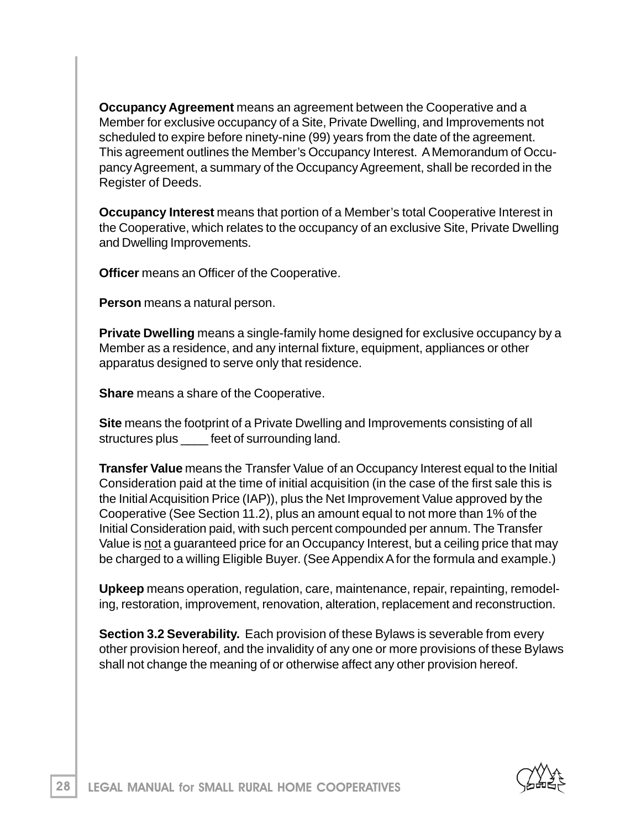**Occupancy Agreement** means an agreement between the Cooperative and a Member for exclusive occupancy of a Site, Private Dwelling, and Improvements not scheduled to expire before ninety-nine (99) years from the date of the agreement. This agreement outlines the Member's Occupancy Interest. A Memorandum of Occupancy Agreement, a summary of the Occupancy Agreement, shall be recorded in the Register of Deeds.

**Occupancy Interest** means that portion of a Member's total Cooperative Interest in the Cooperative, which relates to the occupancy of an exclusive Site, Private Dwelling and Dwelling Improvements.

**Officer** means an Officer of the Cooperative.

**Person** means a natural person.

**Private Dwelling** means a single-family home designed for exclusive occupancy by a Member as a residence, and any internal fixture, equipment, appliances or other apparatus designed to serve only that residence.

**Share** means a share of the Cooperative.

**Site** means the footprint of a Private Dwelling and Improvements consisting of all structures plus \_\_\_\_\_ feet of surrounding land.

**Transfer Value** means the Transfer Value of an Occupancy Interest equal to the Initial Consideration paid at the time of initial acquisition (in the case of the first sale this is the Initial Acquisition Price (IAP)), plus the Net Improvement Value approved by the Cooperative (See Section 11.2), plus an amount equal to not more than 1% of the Initial Consideration paid, with such percent compounded per annum. The Transfer Value is not a guaranteed price for an Occupancy Interest, but a ceiling price that may be charged to a willing Eligible Buyer. (See Appendix A for the formula and example.)

**Upkeep** means operation, regulation, care, maintenance, repair, repainting, remodeling, restoration, improvement, renovation, alteration, replacement and reconstruction.

**Section 3.2 Severability.** Each provision of these Bylaws is severable from every other provision hereof, and the invalidity of any one or more provisions of these Bylaws shall not change the meaning of or otherwise affect any other provision hereof.

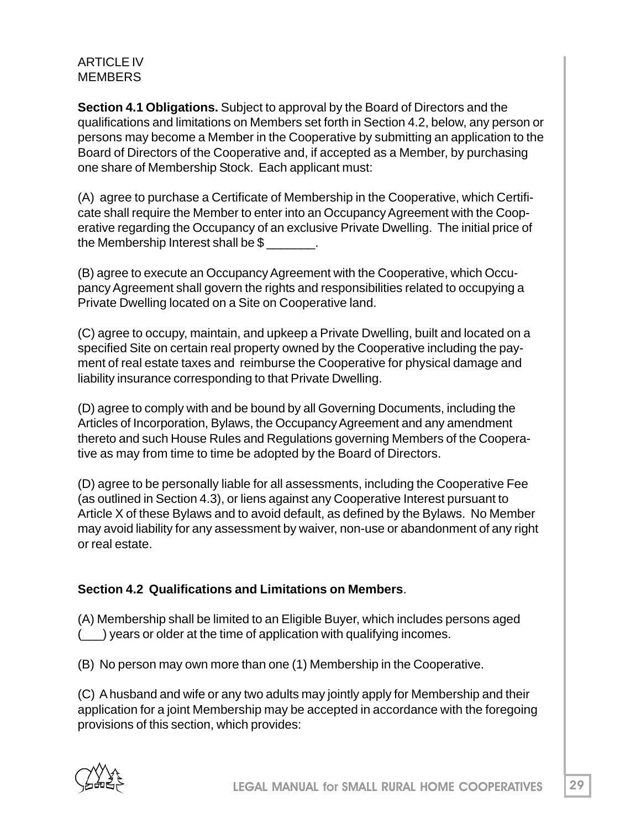## ARTICLE IV **MEMBERS**

**Section 4.1 Obligations.** Subject to approval by the Board of Directors and the qualifications and limitations on Members set forth in Section 4.2, below, any person or persons may become a Member in the Cooperative by submitting an application to the Board of Directors of the Cooperative and, if accepted as a Member, by purchasing one share of Membership Stock. Each applicant must:

(A) agree to purchase a Certificate of Membership in the Cooperative, which Certificate shall require the Member to enter into an Occupancy Agreement with the Cooperative regarding the Occupancy of an exclusive Private Dwelling. The initial price of the Membership Interest shall be \$

(B) agree to execute an Occupancy Agreement with the Cooperative, which Occupancy Agreement shall govern the rights and responsibilities related to occupying a Private Dwelling located on a Site on Cooperative land.

(C) agree to occupy, maintain, and upkeep a Private Dwelling, built and located on a specified Site on certain real property owned by the Cooperative including the payment of real estate taxes and reimburse the Cooperative for physical damage and liability insurance corresponding to that Private Dwelling.

(D) agree to comply with and be bound by all Governing Documents, including the Articles of Incorporation, Bylaws, the Occupancy Agreement and any amendment thereto and such House Rules and Regulations governing Members of the Cooperative as may from time to time be adopted by the Board of Directors.

(D) agree to be personally liable for all assessments, including the Cooperative Fee (as outlined in Section 4.3), or liens against any Cooperative Interest pursuant to Article X of these Bylaws and to avoid default, as defined by the Bylaws. No Member may avoid liability for any assessment by waiver, non-use or abandonment of any right or real estate.

## **Section 4.2 Qualifications and Limitations on Members**.

(A) Membership shall be limited to an Eligible Buyer, which includes persons aged (\_\_\_) years or older at the time of application with qualifying incomes.

(B) No person may own more than one (1) Membership in the Cooperative.

(C) A husband and wife or any two adults may jointly apply for Membership and their application for a joint Membership may be accepted in accordance with the foregoing provisions of this section, which provides:

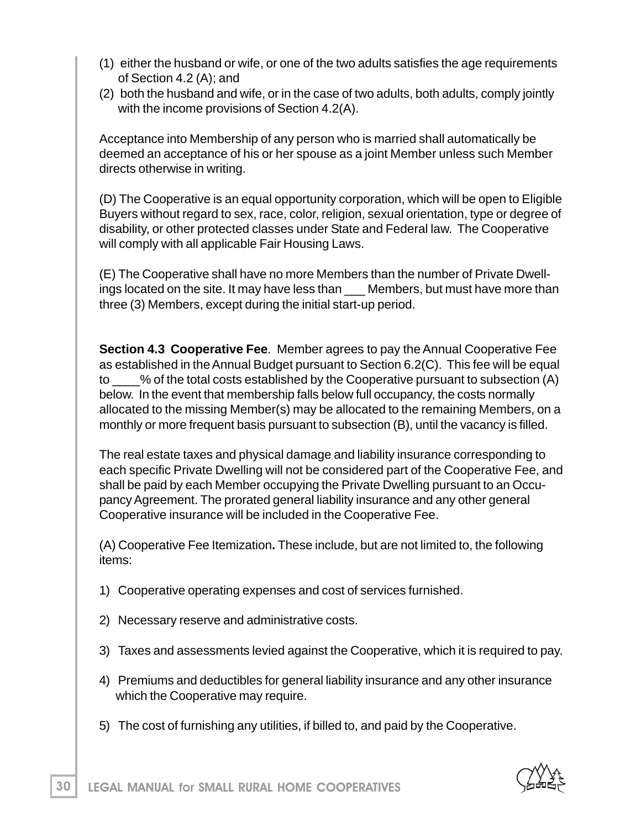- (1) either the husband or wife, or one of the two adults satisfies the age requirements of Section 4.2 (A); and
- (2) both the husband and wife, or in the case of two adults, both adults, comply jointly with the income provisions of Section 4.2(A).

Acceptance into Membership of any person who is married shall automatically be deemed an acceptance of his or her spouse as a joint Member unless such Member directs otherwise in writing.

(D) The Cooperative is an equal opportunity corporation, which will be open to Eligible Buyers without regard to sex, race, color, religion, sexual orientation, type or degree of disability, or other protected classes under State and Federal law. The Cooperative will comply with all applicable Fair Housing Laws.

(E) The Cooperative shall have no more Members than the number of Private Dwellings located on the site. It may have less than Members, but must have more than three (3) Members, except during the initial start-up period.

**Section 4.3 Cooperative Fee**. Member agrees to pay the Annual Cooperative Fee as established in the Annual Budget pursuant to Section 6.2(C). This fee will be equal to \_\_\_\_% of the total costs established by the Cooperative pursuant to subsection (A) below. In the event that membership falls below full occupancy, the costs normally allocated to the missing Member(s) may be allocated to the remaining Members, on a monthly or more frequent basis pursuant to subsection (B), until the vacancy is filled.

The real estate taxes and physical damage and liability insurance corresponding to each specific Private Dwelling will not be considered part of the Cooperative Fee, and shall be paid by each Member occupying the Private Dwelling pursuant to an Occupancy Agreement. The prorated general liability insurance and any other general Cooperative insurance will be included in the Cooperative Fee.

(A) Cooperative Fee Itemization**.** These include, but are not limited to, the following items:

- 1) Cooperative operating expenses and cost of services furnished.
- 2) Necessary reserve and administrative costs.
- 3) Taxes and assessments levied against the Cooperative, which it is required to pay.
- 4) Premiums and deductibles for general liability insurance and any other insurance which the Cooperative may require.
- 5) The cost of furnishing any utilities, if billed to, and paid by the Cooperative.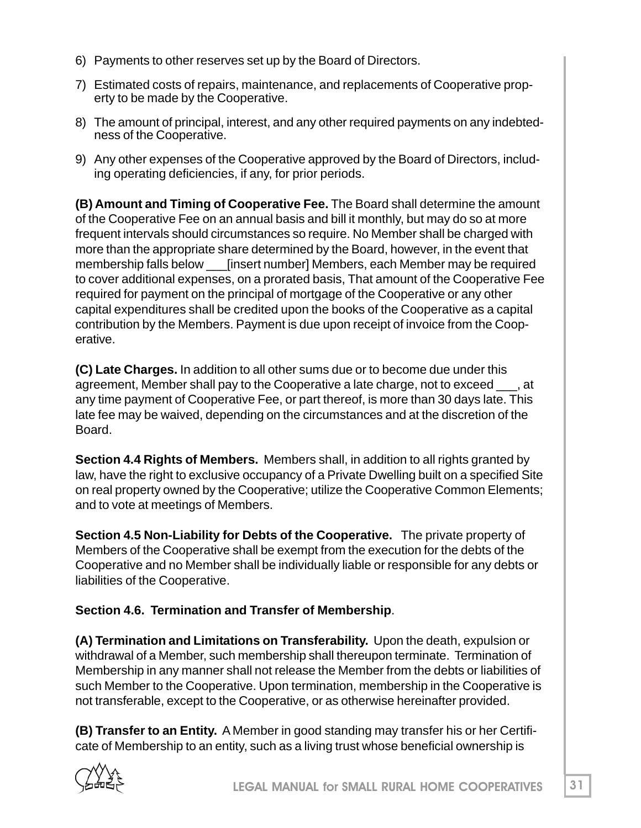- 6) Payments to other reserves set up by the Board of Directors.
- 7) Estimated costs of repairs, maintenance, and replacements of Cooperative property to be made by the Cooperative.
- 8) The amount of principal, interest, and any other required payments on any indebtedness of the Cooperative.
- 9) Any other expenses of the Cooperative approved by the Board of Directors, including operating deficiencies, if any, for prior periods.

**(B) Amount and Timing of Cooperative Fee.** The Board shall determine the amount of the Cooperative Fee on an annual basis and bill it monthly, but may do so at more frequent intervals should circumstances so require. No Member shall be charged with more than the appropriate share determined by the Board, however, in the event that membership falls below \_\_\_[insert number] Members, each Member may be required to cover additional expenses, on a prorated basis, That amount of the Cooperative Fee required for payment on the principal of mortgage of the Cooperative or any other capital expenditures shall be credited upon the books of the Cooperative as a capital contribution by the Members. Payment is due upon receipt of invoice from the Cooperative.

**(C) Late Charges.** In addition to all other sums due or to become due under this agreement, Member shall pay to the Cooperative a late charge, not to exceed \_\_\_, at any time payment of Cooperative Fee, or part thereof, is more than 30 days late. This late fee may be waived, depending on the circumstances and at the discretion of the Board.

**Section 4.4 Rights of Members.** Members shall, in addition to all rights granted by law, have the right to exclusive occupancy of a Private Dwelling built on a specified Site on real property owned by the Cooperative; utilize the Cooperative Common Elements; and to vote at meetings of Members.

**Section 4.5 Non-Liability for Debts of the Cooperative.** The private property of Members of the Cooperative shall be exempt from the execution for the debts of the Cooperative and no Member shall be individually liable or responsible for any debts or liabilities of the Cooperative.

## **Section 4.6. Termination and Transfer of Membership**.

**(A) Termination and Limitations on Transferability.** Upon the death, expulsion or withdrawal of a Member, such membership shall thereupon terminate. Termination of Membership in any manner shall not release the Member from the debts or liabilities of such Member to the Cooperative. Upon termination, membership in the Cooperative is not transferable, except to the Cooperative, or as otherwise hereinafter provided.

**(B) Transfer to an Entity.** A Member in good standing may transfer his or her Certificate of Membership to an entity, such as a living trust whose beneficial ownership is

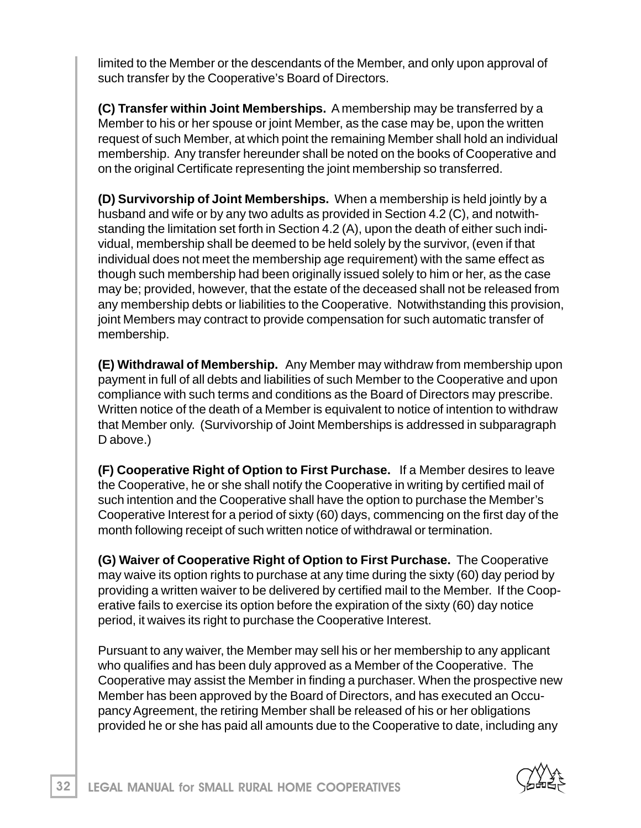limited to the Member or the descendants of the Member, and only upon approval of such transfer by the Cooperative's Board of Directors.

**(C) Transfer within Joint Memberships.** A membership may be transferred by a Member to his or her spouse or joint Member, as the case may be, upon the written request of such Member, at which point the remaining Member shall hold an individual membership. Any transfer hereunder shall be noted on the books of Cooperative and on the original Certificate representing the joint membership so transferred.

**(D) Survivorship of Joint Memberships.** When a membership is held jointly by a husband and wife or by any two adults as provided in Section 4.2 (C), and notwithstanding the limitation set forth in Section 4.2 (A), upon the death of either such individual, membership shall be deemed to be held solely by the survivor, (even if that individual does not meet the membership age requirement) with the same effect as though such membership had been originally issued solely to him or her, as the case may be; provided, however, that the estate of the deceased shall not be released from any membership debts or liabilities to the Cooperative. Notwithstanding this provision, joint Members may contract to provide compensation for such automatic transfer of membership.

**(E) Withdrawal of Membership.** Any Member may withdraw from membership upon payment in full of all debts and liabilities of such Member to the Cooperative and upon compliance with such terms and conditions as the Board of Directors may prescribe. Written notice of the death of a Member is equivalent to notice of intention to withdraw that Member only. (Survivorship of Joint Memberships is addressed in subparagraph D above.)

**(F) Cooperative Right of Option to First Purchase.** If a Member desires to leave the Cooperative, he or she shall notify the Cooperative in writing by certified mail of such intention and the Cooperative shall have the option to purchase the Member's Cooperative Interest for a period of sixty (60) days, commencing on the first day of the month following receipt of such written notice of withdrawal or termination.

**(G) Waiver of Cooperative Right of Option to First Purchase.** The Cooperative may waive its option rights to purchase at any time during the sixty (60) day period by providing a written waiver to be delivered by certified mail to the Member. If the Cooperative fails to exercise its option before the expiration of the sixty (60) day notice period, it waives its right to purchase the Cooperative Interest.

Pursuant to any waiver, the Member may sell his or her membership to any applicant who qualifies and has been duly approved as a Member of the Cooperative. The Cooperative may assist the Member in finding a purchaser. When the prospective new Member has been approved by the Board of Directors, and has executed an Occupancy Agreement, the retiring Member shall be released of his or her obligations provided he or she has paid all amounts due to the Cooperative to date, including any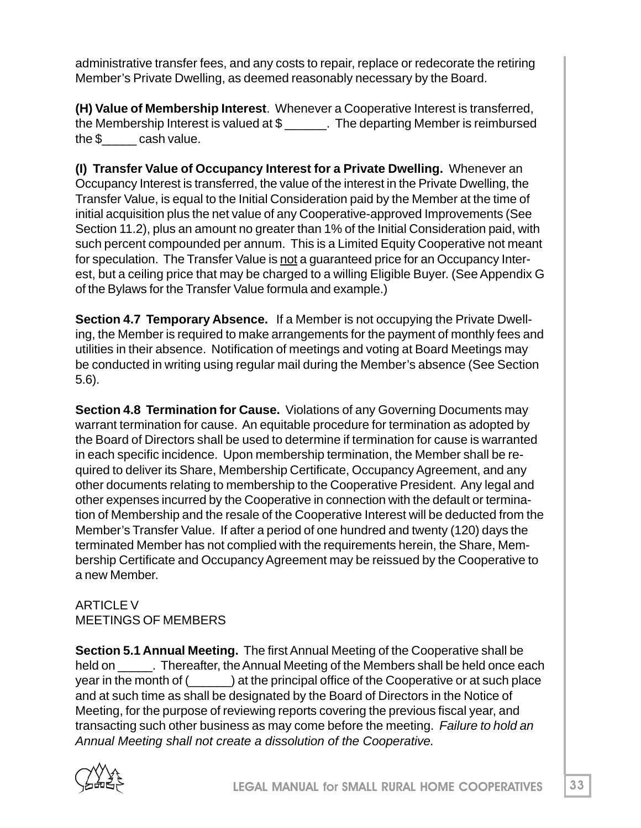administrative transfer fees, and any costs to repair, replace or redecorate the retiring Member's Private Dwelling, as deemed reasonably necessary by the Board.

**(H) Value of Membership Interest**. Whenever a Cooperative Interest is transferred, the Membership Interest is valued at \$ \_\_\_\_\_\_. The departing Member is reimbursed the \$ cash value.

**(I) Transfer Value of Occupancy Interest for a Private Dwelling.** Whenever an Occupancy Interest is transferred, the value of the interest in the Private Dwelling, the Transfer Value, is equal to the Initial Consideration paid by the Member at the time of initial acquisition plus the net value of any Cooperative-approved Improvements (See Section 11.2), plus an amount no greater than 1% of the Initial Consideration paid, with such percent compounded per annum. This is a Limited Equity Cooperative not meant for speculation. The Transfer Value is not a guaranteed price for an Occupancy Interest, but a ceiling price that may be charged to a willing Eligible Buyer. (See Appendix G of the Bylaws for the Transfer Value formula and example.)

**Section 4.7 Temporary Absence.** If a Member is not occupying the Private Dwelling, the Member is required to make arrangements for the payment of monthly fees and utilities in their absence. Notification of meetings and voting at Board Meetings may be conducted in writing using regular mail during the Member's absence (See Section 5.6).

**Section 4.8 Termination for Cause.** Violations of any Governing Documents may warrant termination for cause. An equitable procedure for termination as adopted by the Board of Directors shall be used to determine if termination for cause is warranted in each specific incidence. Upon membership termination, the Member shall be required to deliver its Share, Membership Certificate, Occupancy Agreement, and any other documents relating to membership to the Cooperative President. Any legal and other expenses incurred by the Cooperative in connection with the default or termination of Membership and the resale of the Cooperative Interest will be deducted from the Member's Transfer Value. If after a period of one hundred and twenty (120) days the terminated Member has not complied with the requirements herein, the Share, Membership Certificate and Occupancy Agreement may be reissued by the Cooperative to a new Member.

## ARTICLE V MEETINGS OF MEMBERS

**Section 5.1 Annual Meeting.** The first Annual Meeting of the Cooperative shall be held on \_\_\_\_\_\_. Thereafter, the Annual Meeting of the Members shall be held once each year in the month of (\_\_\_\_\_\_) at the principal office of the Cooperative or at such place and at such time as shall be designated by the Board of Directors in the Notice of Meeting, for the purpose of reviewing reports covering the previous fiscal year, and transacting such other business as may come before the meeting. *Failure to hold an Annual Meeting shall not create a dissolution of the Cooperative.*

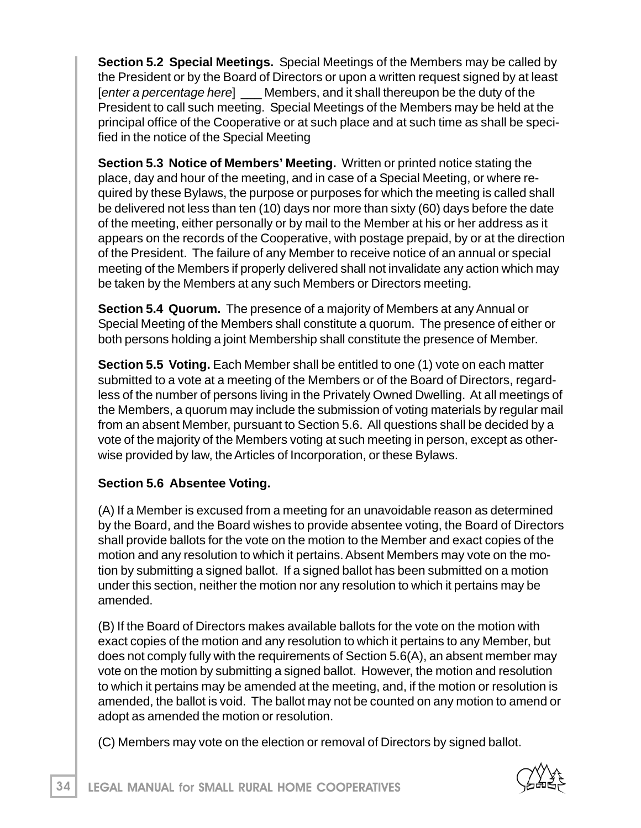.**Section 5.2 Special Meetings.** Special Meetings of the Members may be called by the President or by the Board of Directors or upon a written request signed by at least [*enter a percentage here*] \_\_\_ Members, and it shall thereupon be the duty of the President to call such meeting. Special Meetings of the Members may be held at the principal office of the Cooperative or at such place and at such time as shall be specified in the notice of the Special Meeting

**Section 5.3 Notice of Members' Meeting.** Written or printed notice stating the place, day and hour of the meeting, and in case of a Special Meeting, or where required by these Bylaws, the purpose or purposes for which the meeting is called shall be delivered not less than ten (10) days nor more than sixty (60) days before the date of the meeting, either personally or by mail to the Member at his or her address as it appears on the records of the Cooperative, with postage prepaid, by or at the direction of the President. The failure of any Member to receive notice of an annual or special meeting of the Members if properly delivered shall not invalidate any action which may be taken by the Members at any such Members or Directors meeting.

**Section 5.4 Quorum.** The presence of a majority of Members at any Annual or Special Meeting of the Members shall constitute a quorum. The presence of either or both persons holding a joint Membership shall constitute the presence of Member.

**Section 5.5 Voting.** Each Member shall be entitled to one (1) vote on each matter submitted to a vote at a meeting of the Members or of the Board of Directors, regardless of the number of persons living in the Privately Owned Dwelling. At all meetings of the Members, a quorum may include the submission of voting materials by regular mail from an absent Member, pursuant to Section 5.6. All questions shall be decided by a vote of the majority of the Members voting at such meeting in person, except as otherwise provided by law, the Articles of Incorporation, or these Bylaws.

## **Section 5.6 Absentee Voting.**

(A) If a Member is excused from a meeting for an unavoidable reason as determined by the Board, and the Board wishes to provide absentee voting, the Board of Directors shall provide ballots for the vote on the motion to the Member and exact copies of the motion and any resolution to which it pertains. Absent Members may vote on the motion by submitting a signed ballot. If a signed ballot has been submitted on a motion under this section, neither the motion nor any resolution to which it pertains may be amended.

(B) If the Board of Directors makes available ballots for the vote on the motion with exact copies of the motion and any resolution to which it pertains to any Member, but does not comply fully with the requirements of Section 5.6(A), an absent member may vote on the motion by submitting a signed ballot. However, the motion and resolution to which it pertains may be amended at the meeting, and, if the motion or resolution is amended, the ballot is void. The ballot may not be counted on any motion to amend or adopt as amended the motion or resolution.

(C) Members may vote on the election or removal of Directors by signed ballot.

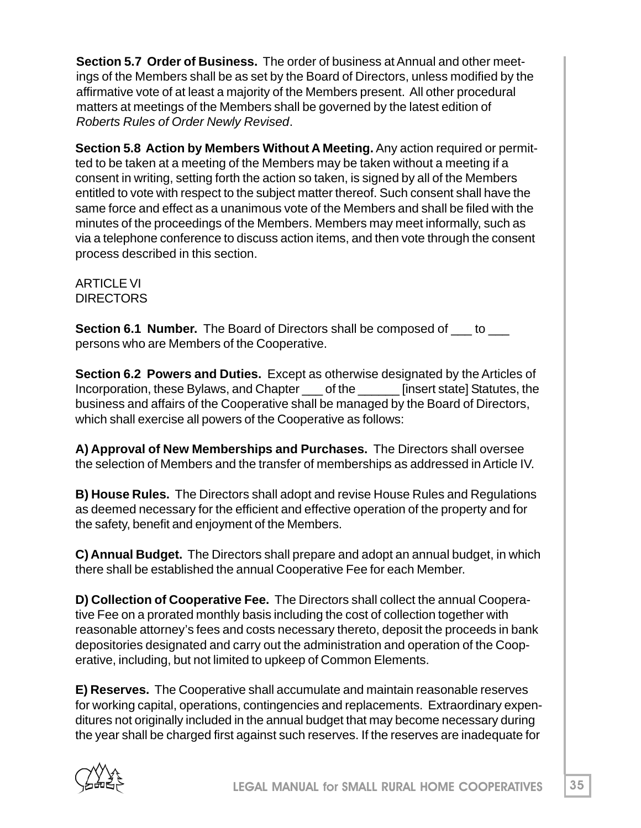**Section 5.7 Order of Business.** The order of business at Annual and other meetings of the Members shall be as set by the Board of Directors, unless modified by the affirmative vote of at least a majority of the Members present. All other procedural matters at meetings of the Members shall be governed by the latest edition of *Roberts Rules of Order Newly Revised*.

**Section 5.8 Action by Members Without A Meeting.** Any action required or permitted to be taken at a meeting of the Members may be taken without a meeting if a consent in writing, setting forth the action so taken, is signed by all of the Members entitled to vote with respect to the subject matter thereof. Such consent shall have the same force and effect as a unanimous vote of the Members and shall be filed with the minutes of the proceedings of the Members. Members may meet informally, such as via a telephone conference to discuss action items, and then vote through the consent process described in this section.

ARTICLE VI DIRECTORS

**Section 6.1 Number.** The Board of Directors shall be composed of to persons who are Members of the Cooperative.

**Section 6.2 Powers and Duties.** Except as otherwise designated by the Articles of Incorporation, these Bylaws, and Chapter \_\_\_ of the \_\_\_\_\_\_ [insert state] Statutes, the business and affairs of the Cooperative shall be managed by the Board of Directors, which shall exercise all powers of the Cooperative as follows:

**A) Approval of New Memberships and Purchases.** The Directors shall oversee the selection of Members and the transfer of memberships as addressed in Article IV.

**B) House Rules.** The Directors shall adopt and revise House Rules and Regulations as deemed necessary for the efficient and effective operation of the property and for the safety, benefit and enjoyment of the Members.

**C) Annual Budget.** The Directors shall prepare and adopt an annual budget, in which there shall be established the annual Cooperative Fee for each Member.

**D) Collection of Cooperative Fee.** The Directors shall collect the annual Cooperative Fee on a prorated monthly basis including the cost of collection together with reasonable attorney's fees and costs necessary thereto, deposit the proceeds in bank depositories designated and carry out the administration and operation of the Cooperative, including, but not limited to upkeep of Common Elements.

**E) Reserves.** The Cooperative shall accumulate and maintain reasonable reserves for working capital, operations, contingencies and replacements. Extraordinary expenditures not originally included in the annual budget that may become necessary during the year shall be charged first against such reserves. If the reserves are inadequate for

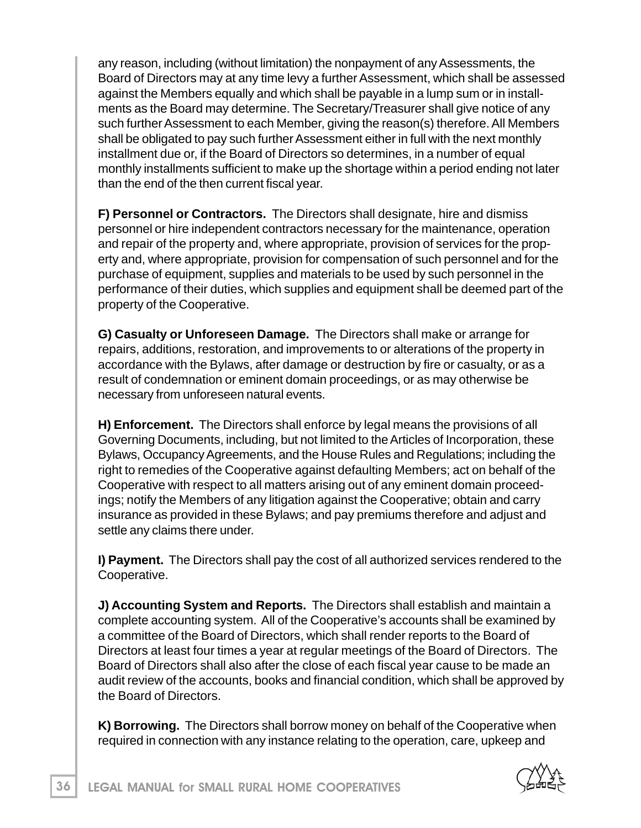any reason, including (without limitation) the nonpayment of any Assessments, the Board of Directors may at any time levy a further Assessment, which shall be assessed against the Members equally and which shall be payable in a lump sum or in installments as the Board may determine. The Secretary/Treasurer shall give notice of any such further Assessment to each Member, giving the reason(s) therefore. All Members shall be obligated to pay such further Assessment either in full with the next monthly installment due or, if the Board of Directors so determines, in a number of equal monthly installments sufficient to make up the shortage within a period ending not later than the end of the then current fiscal year.

**F) Personnel or Contractors.** The Directors shall designate, hire and dismiss personnel or hire independent contractors necessary for the maintenance, operation and repair of the property and, where appropriate, provision of services for the property and, where appropriate, provision for compensation of such personnel and for the purchase of equipment, supplies and materials to be used by such personnel in the performance of their duties, which supplies and equipment shall be deemed part of the property of the Cooperative.

**G) Casualty or Unforeseen Damage.** The Directors shall make or arrange for repairs, additions, restoration, and improvements to or alterations of the property in accordance with the Bylaws, after damage or destruction by fire or casualty, or as a result of condemnation or eminent domain proceedings, or as may otherwise be necessary from unforeseen natural events.

**H) Enforcement.** The Directors shall enforce by legal means the provisions of all Governing Documents, including, but not limited to the Articles of Incorporation, these Bylaws, Occupancy Agreements, and the House Rules and Regulations; including the right to remedies of the Cooperative against defaulting Members; act on behalf of the Cooperative with respect to all matters arising out of any eminent domain proceedings; notify the Members of any litigation against the Cooperative; obtain and carry insurance as provided in these Bylaws; and pay premiums therefore and adjust and settle any claims there under.

**I) Payment.** The Directors shall pay the cost of all authorized services rendered to the Cooperative.

**J) Accounting System and Reports.** The Directors shall establish and maintain a complete accounting system. All of the Cooperative's accounts shall be examined by a committee of the Board of Directors, which shall render reports to the Board of Directors at least four times a year at regular meetings of the Board of Directors. The Board of Directors shall also after the close of each fiscal year cause to be made an audit review of the accounts, books and financial condition, which shall be approved by the Board of Directors.

**K) Borrowing.** The Directors shall borrow money on behalf of the Cooperative when required in connection with any instance relating to the operation, care, upkeep and

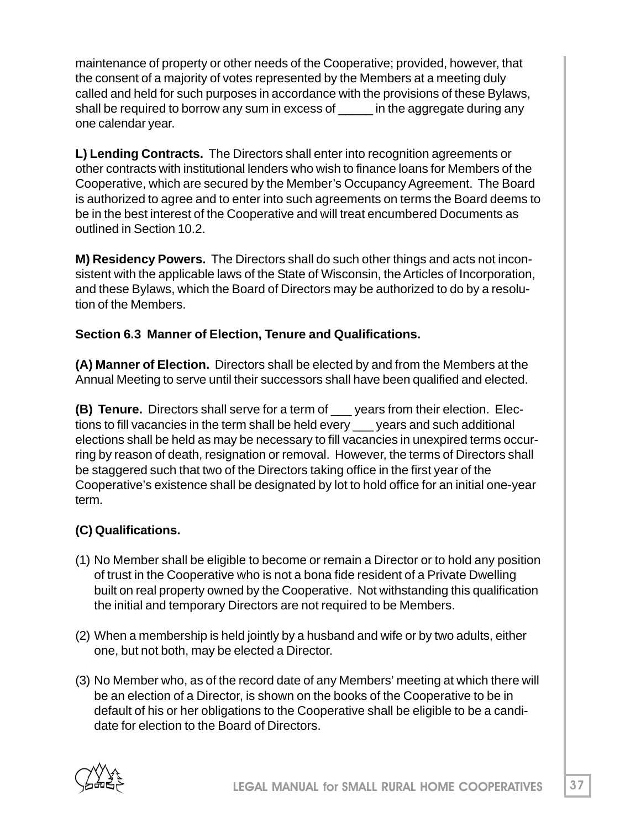maintenance of property or other needs of the Cooperative; provided, however, that the consent of a majority of votes represented by the Members at a meeting duly called and held for such purposes in accordance with the provisions of these Bylaws, shall be required to borrow any sum in excess of \_\_\_\_\_ in the aggregate during any one calendar year.

**L) Lending Contracts.** The Directors shall enter into recognition agreements or other contracts with institutional lenders who wish to finance loans for Members of the Cooperative, which are secured by the Member's Occupancy Agreement. The Board is authorized to agree and to enter into such agreements on terms the Board deems to be in the best interest of the Cooperative and will treat encumbered Documents as outlined in Section 10.2.

**M) Residency Powers.** The Directors shall do such other things and acts not inconsistent with the applicable laws of the State of Wisconsin, the Articles of Incorporation, and these Bylaws, which the Board of Directors may be authorized to do by a resolution of the Members.

## **Section 6.3 Manner of Election, Tenure and Qualifications.**

**(A) Manner of Election.** Directors shall be elected by and from the Members at the Annual Meeting to serve until their successors shall have been qualified and elected.

**(B) Tenure.** Directors shall serve for a term of \_\_\_ years from their election. Elections to fill vacancies in the term shall be held every \_\_\_ years and such additional elections shall be held as may be necessary to fill vacancies in unexpired terms occurring by reason of death, resignation or removal. However, the terms of Directors shall be staggered such that two of the Directors taking office in the first year of the Cooperative's existence shall be designated by lot to hold office for an initial one-year term.

## **(C) Qualifications.**

- (1) No Member shall be eligible to become or remain a Director or to hold any position of trust in the Cooperative who is not a bona fide resident of a Private Dwelling built on real property owned by the Cooperative. Not withstanding this qualification the initial and temporary Directors are not required to be Members.
- (2) When a membership is held jointly by a husband and wife or by two adults, either one, but not both, may be elected a Director.
- (3) No Member who, as of the record date of any Members' meeting at which there will be an election of a Director, is shown on the books of the Cooperative to be in default of his or her obligations to the Cooperative shall be eligible to be a candidate for election to the Board of Directors.

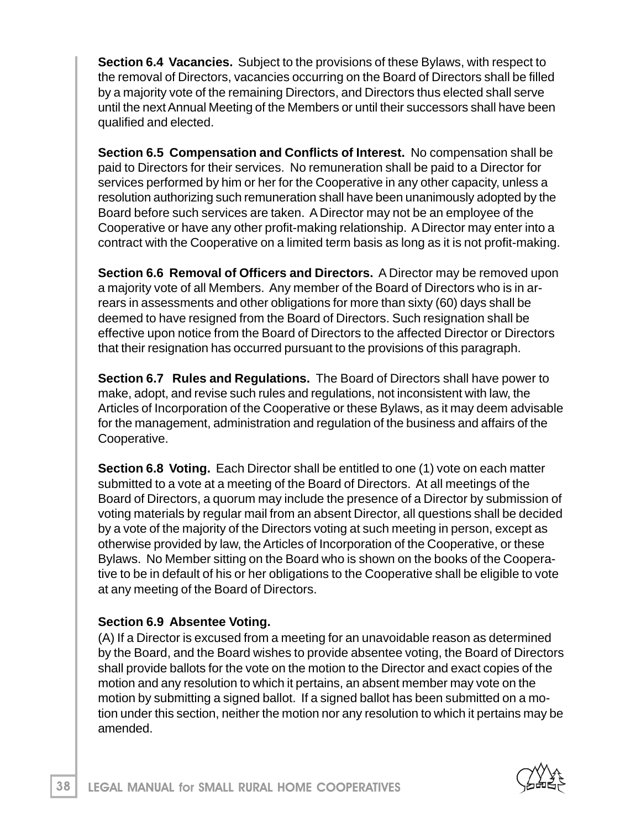**Section 6.4 Vacancies.** Subject to the provisions of these Bylaws, with respect to the removal of Directors, vacancies occurring on the Board of Directors shall be filled by a majority vote of the remaining Directors, and Directors thus elected shall serve until the next Annual Meeting of the Members or until their successors shall have been qualified and elected.

**Section 6.5 Compensation and Conflicts of Interest.** No compensation shall be paid to Directors for their services. No remuneration shall be paid to a Director for services performed by him or her for the Cooperative in any other capacity, unless a resolution authorizing such remuneration shall have been unanimously adopted by the Board before such services are taken. A Director may not be an employee of the Cooperative or have any other profit-making relationship. A Director may enter into a contract with the Cooperative on a limited term basis as long as it is not profit-making.

**Section 6.6 Removal of Officers and Directors.** A Director may be removed upon a majority vote of all Members. Any member of the Board of Directors who is in arrears in assessments and other obligations for more than sixty (60) days shall be deemed to have resigned from the Board of Directors. Such resignation shall be effective upon notice from the Board of Directors to the affected Director or Directors that their resignation has occurred pursuant to the provisions of this paragraph.

**Section 6.7 Rules and Regulations.** The Board of Directors shall have power to make, adopt, and revise such rules and regulations, not inconsistent with law, the Articles of Incorporation of the Cooperative or these Bylaws, as it may deem advisable for the management, administration and regulation of the business and affairs of the Cooperative.

**Section 6.8 Voting.** Each Director shall be entitled to one (1) vote on each matter submitted to a vote at a meeting of the Board of Directors. At all meetings of the Board of Directors, a quorum may include the presence of a Director by submission of voting materials by regular mail from an absent Director, all questions shall be decided by a vote of the majority of the Directors voting at such meeting in person, except as otherwise provided by law, the Articles of Incorporation of the Cooperative, or these Bylaws. No Member sitting on the Board who is shown on the books of the Cooperative to be in default of his or her obligations to the Cooperative shall be eligible to vote at any meeting of the Board of Directors.

## **Section 6.9 Absentee Voting.**

(A) If a Director is excused from a meeting for an unavoidable reason as determined by the Board, and the Board wishes to provide absentee voting, the Board of Directors shall provide ballots for the vote on the motion to the Director and exact copies of the motion and any resolution to which it pertains, an absent member may vote on the motion by submitting a signed ballot. If a signed ballot has been submitted on a motion under this section, neither the motion nor any resolution to which it pertains may be amended.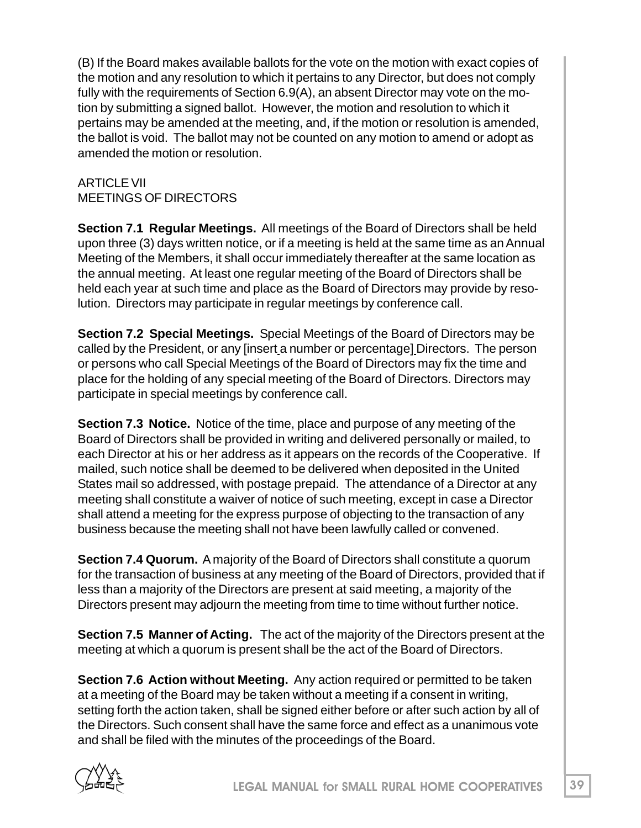(B) If the Board makes available ballots for the vote on the motion with exact copies of the motion and any resolution to which it pertains to any Director, but does not comply fully with the requirements of Section 6.9(A), an absent Director may vote on the motion by submitting a signed ballot. However, the motion and resolution to which it pertains may be amended at the meeting, and, if the motion or resolution is amended, the ballot is void. The ballot may not be counted on any motion to amend or adopt as amended the motion or resolution.

## ARTICLE VII MEETINGS OF DIRECTORS

**Section 7.1 Regular Meetings.** All meetings of the Board of Directors shall be held upon three (3) days written notice, or if a meeting is held at the same time as an Annual Meeting of the Members, it shall occur immediately thereafter at the same location as the annual meeting. At least one regular meeting of the Board of Directors shall be held each year at such time and place as the Board of Directors may provide by resolution. Directors may participate in regular meetings by conference call.

**Section 7.2 Special Meetings.** Special Meetings of the Board of Directors may be called by the President, or any [insert a number or percentage] Directors. The person or persons who call Special Meetings of the Board of Directors may fix the time and place for the holding of any special meeting of the Board of Directors. Directors may participate in special meetings by conference call.

**Section 7.3 Notice.** Notice of the time, place and purpose of any meeting of the Board of Directors shall be provided in writing and delivered personally or mailed, to each Director at his or her address as it appears on the records of the Cooperative. If mailed, such notice shall be deemed to be delivered when deposited in the United States mail so addressed, with postage prepaid. The attendance of a Director at any meeting shall constitute a waiver of notice of such meeting, except in case a Director shall attend a meeting for the express purpose of objecting to the transaction of any business because the meeting shall not have been lawfully called or convened.

**Section 7.4 Quorum.** A majority of the Board of Directors shall constitute a quorum for the transaction of business at any meeting of the Board of Directors, provided that if less than a majority of the Directors are present at said meeting, a majority of the Directors present may adjourn the meeting from time to time without further notice.

**Section 7.5 Manner of Acting.** The act of the majority of the Directors present at the meeting at which a quorum is present shall be the act of the Board of Directors.

**Section 7.6 Action without Meeting.** Any action required or permitted to be taken at a meeting of the Board may be taken without a meeting if a consent in writing, setting forth the action taken, shall be signed either before or after such action by all of the Directors. Such consent shall have the same force and effect as a unanimous vote and shall be filed with the minutes of the proceedings of the Board.

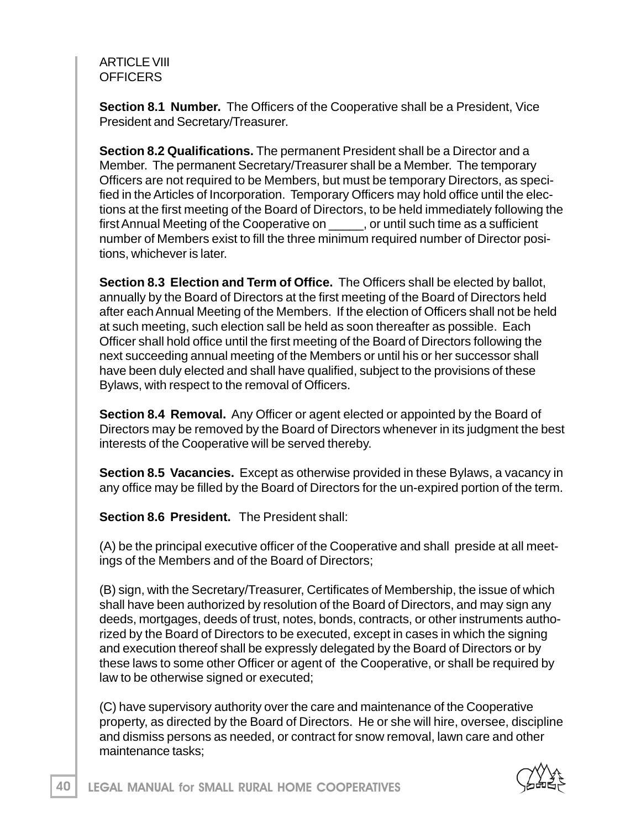#### ARTICLE VIII **OFFICERS**

**Section 8.1 Number.** The Officers of the Cooperative shall be a President, Vice President and Secretary/Treasurer.

**Section 8.2 Qualifications.** The permanent President shall be a Director and a Member. The permanent Secretary/Treasurer shall be a Member. The temporary Officers are not required to be Members, but must be temporary Directors, as specified in the Articles of Incorporation. Temporary Officers may hold office until the elections at the first meeting of the Board of Directors, to be held immediately following the first Annual Meeting of the Cooperative on \_\_\_\_\_, or until such time as a sufficient number of Members exist to fill the three minimum required number of Director positions, whichever is later.

**Section 8.3 Election and Term of Office.** The Officers shall be elected by ballot, annually by the Board of Directors at the first meeting of the Board of Directors held after each Annual Meeting of the Members. If the election of Officers shall not be held at such meeting, such election sall be held as soon thereafter as possible. Each Officer shall hold office until the first meeting of the Board of Directors following the next succeeding annual meeting of the Members or until his or her successor shall have been duly elected and shall have qualified, subject to the provisions of these Bylaws, with respect to the removal of Officers.

**Section 8.4 Removal.** Any Officer or agent elected or appointed by the Board of Directors may be removed by the Board of Directors whenever in its judgment the best interests of the Cooperative will be served thereby.

**Section 8.5 Vacancies.** Except as otherwise provided in these Bylaws, a vacancy in any office may be filled by the Board of Directors for the un-expired portion of the term.

**Section 8.6 President.** The President shall:

(A) be the principal executive officer of the Cooperative and shall preside at all meetings of the Members and of the Board of Directors;

(B) sign, with the Secretary/Treasurer, Certificates of Membership, the issue of which shall have been authorized by resolution of the Board of Directors, and may sign any deeds, mortgages, deeds of trust, notes, bonds, contracts, or other instruments authorized by the Board of Directors to be executed, except in cases in which the signing and execution thereof shall be expressly delegated by the Board of Directors or by these laws to some other Officer or agent of the Cooperative, or shall be required by law to be otherwise signed or executed;

(C) have supervisory authority over the care and maintenance of the Cooperative property, as directed by the Board of Directors. He or she will hire, oversee, discipline and dismiss persons as needed, or contract for snow removal, lawn care and other maintenance tasks;

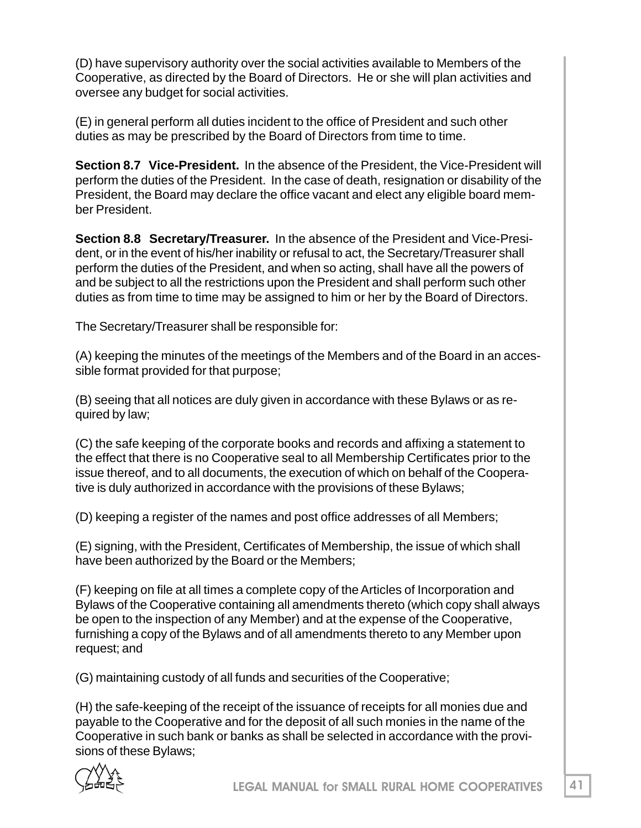(D) have supervisory authority over the social activities available to Members of the Cooperative, as directed by the Board of Directors. He or she will plan activities and oversee any budget for social activities.

(E) in general perform all duties incident to the office of President and such other duties as may be prescribed by the Board of Directors from time to time.

**Section 8.7 Vice-President.** In the absence of the President, the Vice-President will perform the duties of the President. In the case of death, resignation or disability of the President, the Board may declare the office vacant and elect any eligible board member President.

**Section 8.8 Secretary/Treasurer.** In the absence of the President and Vice-President, or in the event of his/her inability or refusal to act, the Secretary/Treasurer shall perform the duties of the President, and when so acting, shall have all the powers of and be subject to all the restrictions upon the President and shall perform such other duties as from time to time may be assigned to him or her by the Board of Directors.

The Secretary/Treasurer shall be responsible for:

(A) keeping the minutes of the meetings of the Members and of the Board in an accessible format provided for that purpose;

(B) seeing that all notices are duly given in accordance with these Bylaws or as required by law;

(C) the safe keeping of the corporate books and records and affixing a statement to the effect that there is no Cooperative seal to all Membership Certificates prior to the issue thereof, and to all documents, the execution of which on behalf of the Cooperative is duly authorized in accordance with the provisions of these Bylaws;

(D) keeping a register of the names and post office addresses of all Members;

(E) signing, with the President, Certificates of Membership, the issue of which shall have been authorized by the Board or the Members;

(F) keeping on file at all times a complete copy of the Articles of Incorporation and Bylaws of the Cooperative containing all amendments thereto (which copy shall always be open to the inspection of any Member) and at the expense of the Cooperative, furnishing a copy of the Bylaws and of all amendments thereto to any Member upon request; and

(G) maintaining custody of all funds and securities of the Cooperative;

(H) the safe-keeping of the receipt of the issuance of receipts for all monies due and payable to the Cooperative and for the deposit of all such monies in the name of the Cooperative in such bank or banks as shall be selected in accordance with the provisions of these Bylaws;

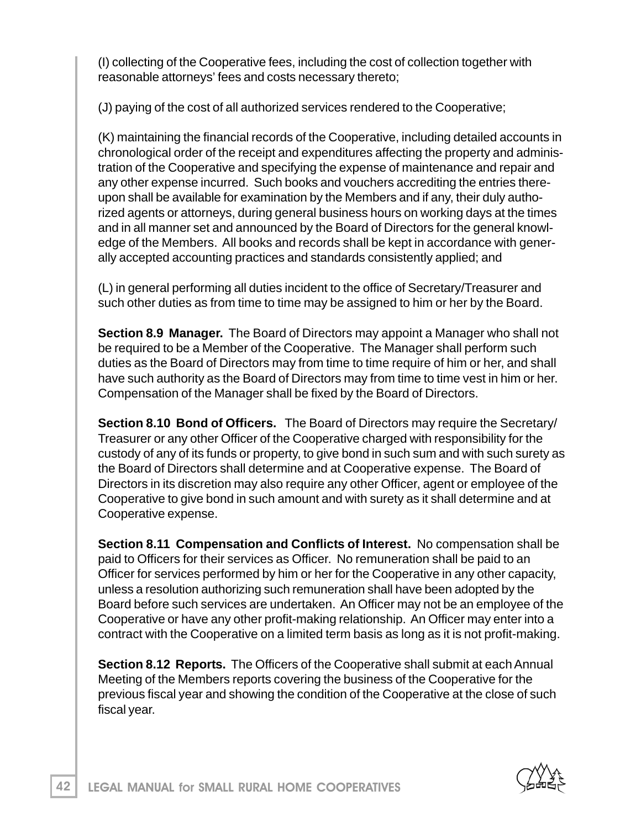(I) collecting of the Cooperative fees, including the cost of collection together with reasonable attorneys' fees and costs necessary thereto;

(J) paying of the cost of all authorized services rendered to the Cooperative;

(K) maintaining the financial records of the Cooperative, including detailed accounts in chronological order of the receipt and expenditures affecting the property and administration of the Cooperative and specifying the expense of maintenance and repair and any other expense incurred. Such books and vouchers accrediting the entries thereupon shall be available for examination by the Members and if any, their duly authorized agents or attorneys, during general business hours on working days at the times and in all manner set and announced by the Board of Directors for the general knowledge of the Members. All books and records shall be kept in accordance with generally accepted accounting practices and standards consistently applied; and

(L) in general performing all duties incident to the office of Secretary/Treasurer and such other duties as from time to time may be assigned to him or her by the Board.

**Section 8.9 Manager.** The Board of Directors may appoint a Manager who shall not be required to be a Member of the Cooperative. The Manager shall perform such duties as the Board of Directors may from time to time require of him or her, and shall have such authority as the Board of Directors may from time to time vest in him or her. Compensation of the Manager shall be fixed by the Board of Directors.

**Section 8.10 Bond of Officers.** The Board of Directors may require the Secretary/ Treasurer or any other Officer of the Cooperative charged with responsibility for the custody of any of its funds or property, to give bond in such sum and with such surety as the Board of Directors shall determine and at Cooperative expense. The Board of Directors in its discretion may also require any other Officer, agent or employee of the Cooperative to give bond in such amount and with surety as it shall determine and at Cooperative expense.

**Section 8.11 Compensation and Conflicts of Interest.** No compensation shall be paid to Officers for their services as Officer. No remuneration shall be paid to an Officer for services performed by him or her for the Cooperative in any other capacity, unless a resolution authorizing such remuneration shall have been adopted by the Board before such services are undertaken. An Officer may not be an employee of the Cooperative or have any other profit-making relationship. An Officer may enter into a contract with the Cooperative on a limited term basis as long as it is not profit-making.

**Section 8.12 Reports.** The Officers of the Cooperative shall submit at each Annual Meeting of the Members reports covering the business of the Cooperative for the previous fiscal year and showing the condition of the Cooperative at the close of such fiscal year.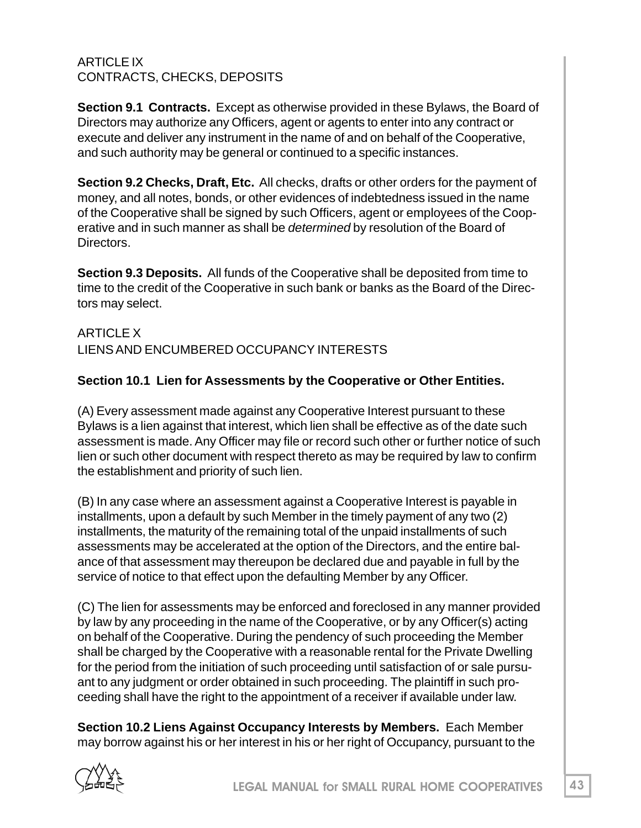## ARTICLE IX CONTRACTS, CHECKS, DEPOSITS

**Section 9.1 Contracts.** Except as otherwise provided in these Bylaws, the Board of Directors may authorize any Officers, agent or agents to enter into any contract or execute and deliver any instrument in the name of and on behalf of the Cooperative, and such authority may be general or continued to a specific instances.

**Section 9.2 Checks, Draft, Etc.** All checks, drafts or other orders for the payment of money, and all notes, bonds, or other evidences of indebtedness issued in the name of the Cooperative shall be signed by such Officers, agent or employees of the Cooperative and in such manner as shall be *determined* by resolution of the Board of Directors.

**Section 9.3 Deposits.** All funds of the Cooperative shall be deposited from time to time to the credit of the Cooperative in such bank or banks as the Board of the Directors may select.

## ARTICLE X LIENS AND ENCUMBERED OCCUPANCY INTERESTS

## **Section 10.1 Lien for Assessments by the Cooperative or Other Entities.**

(A) Every assessment made against any Cooperative Interest pursuant to these Bylaws is a lien against that interest, which lien shall be effective as of the date such assessment is made. Any Officer may file or record such other or further notice of such lien or such other document with respect thereto as may be required by law to confirm the establishment and priority of such lien.

(B) In any case where an assessment against a Cooperative Interest is payable in installments, upon a default by such Member in the timely payment of any two (2) installments, the maturity of the remaining total of the unpaid installments of such assessments may be accelerated at the option of the Directors, and the entire balance of that assessment may thereupon be declared due and payable in full by the service of notice to that effect upon the defaulting Member by any Officer.

(C) The lien for assessments may be enforced and foreclosed in any manner provided by law by any proceeding in the name of the Cooperative, or by any Officer(s) acting on behalf of the Cooperative. During the pendency of such proceeding the Member shall be charged by the Cooperative with a reasonable rental for the Private Dwelling for the period from the initiation of such proceeding until satisfaction of or sale pursuant to any judgment or order obtained in such proceeding. The plaintiff in such proceeding shall have the right to the appointment of a receiver if available under law.

**Section 10.2 Liens Against Occupancy Interests by Members.** Each Member may borrow against his or her interest in his or her right of Occupancy, pursuant to the

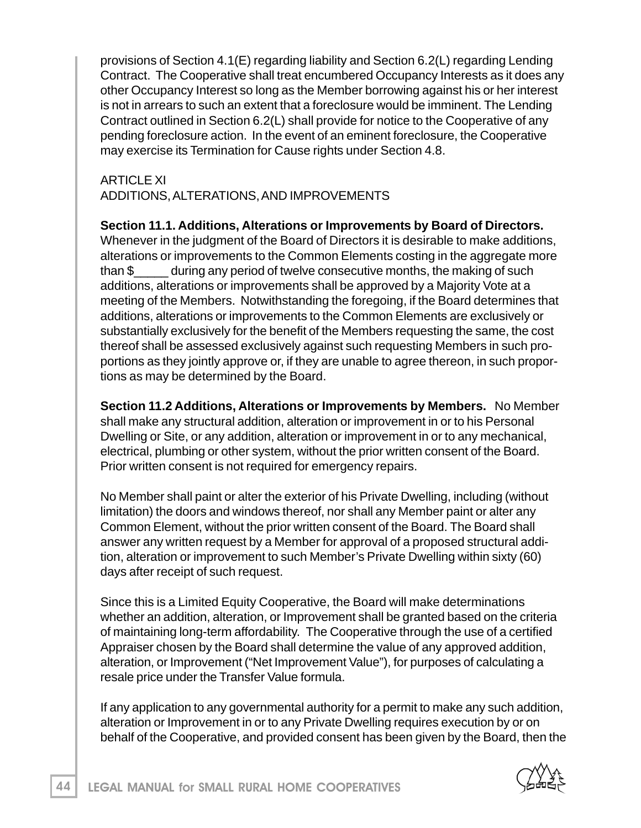provisions of Section 4.1(E) regarding liability and Section 6.2(L) regarding Lending Contract. The Cooperative shall treat encumbered Occupancy Interests as it does any other Occupancy Interest so long as the Member borrowing against his or her interest is not in arrears to such an extent that a foreclosure would be imminent. The Lending Contract outlined in Section 6.2(L) shall provide for notice to the Cooperative of any pending foreclosure action. In the event of an eminent foreclosure, the Cooperative may exercise its Termination for Cause rights under Section 4.8.

ARTICLE XI ADDITIONS, ALTERATIONS, AND IMPROVEMENTS

**Section 11.1. Additions, Alterations or Improvements by Board of Directors.** Whenever in the judgment of the Board of Directors it is desirable to make additions, alterations or improvements to the Common Elements costing in the aggregate more than \$\_\_\_\_\_ during any period of twelve consecutive months, the making of such additions, alterations or improvements shall be approved by a Majority Vote at a meeting of the Members. Notwithstanding the foregoing, if the Board determines that additions, alterations or improvements to the Common Elements are exclusively or substantially exclusively for the benefit of the Members requesting the same, the cost thereof shall be assessed exclusively against such requesting Members in such proportions as they jointly approve or, if they are unable to agree thereon, in such proportions as may be determined by the Board.

**Section 11.2 Additions, Alterations or Improvements by Members.** No Member shall make any structural addition, alteration or improvement in or to his Personal Dwelling or Site, or any addition, alteration or improvement in or to any mechanical, electrical, plumbing or other system, without the prior written consent of the Board. Prior written consent is not required for emergency repairs.

No Member shall paint or alter the exterior of his Private Dwelling, including (without limitation) the doors and windows thereof, nor shall any Member paint or alter any Common Element, without the prior written consent of the Board. The Board shall answer any written request by a Member for approval of a proposed structural addition, alteration or improvement to such Member's Private Dwelling within sixty (60) days after receipt of such request.

Since this is a Limited Equity Cooperative, the Board will make determinations whether an addition, alteration, or Improvement shall be granted based on the criteria of maintaining long-term affordability. The Cooperative through the use of a certified Appraiser chosen by the Board shall determine the value of any approved addition, alteration, or Improvement ("Net Improvement Value"), for purposes of calculating a resale price under the Transfer Value formula.

If any application to any governmental authority for a permit to make any such addition, alteration or Improvement in or to any Private Dwelling requires execution by or on behalf of the Cooperative, and provided consent has been given by the Board, then the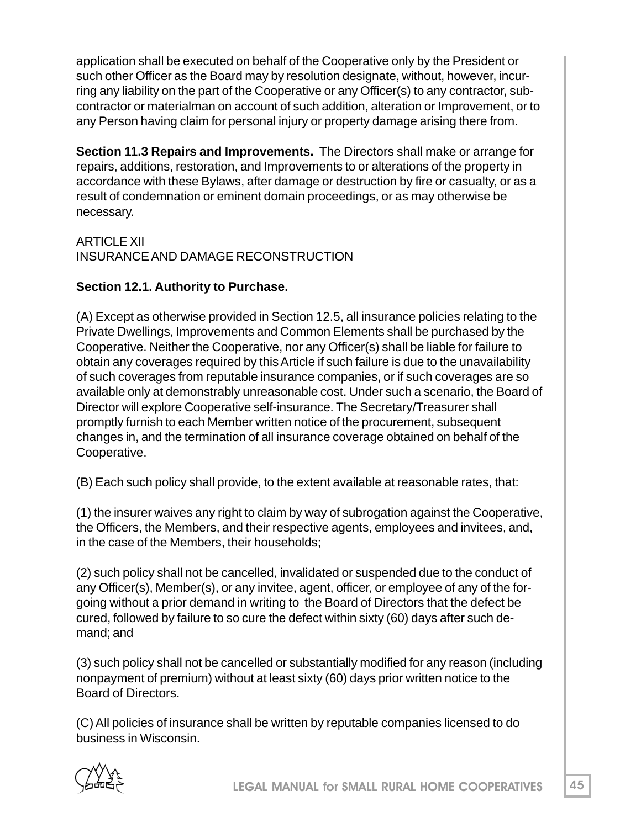application shall be executed on behalf of the Cooperative only by the President or such other Officer as the Board may by resolution designate, without, however, incurring any liability on the part of the Cooperative or any Officer(s) to any contractor, subcontractor or materialman on account of such addition, alteration or Improvement, or to any Person having claim for personal injury or property damage arising there from.

**Section 11.3 Repairs and Improvements.** The Directors shall make or arrange for repairs, additions, restoration, and Improvements to or alterations of the property in accordance with these Bylaws, after damage or destruction by fire or casualty, or as a result of condemnation or eminent domain proceedings, or as may otherwise be necessary.

## ARTICLE XII INSURANCE AND DAMAGE RECONSTRUCTION

## **Section 12.1. Authority to Purchase.**

(A) Except as otherwise provided in Section 12.5, all insurance policies relating to the Private Dwellings, Improvements and Common Elements shall be purchased by the Cooperative. Neither the Cooperative, nor any Officer(s) shall be liable for failure to obtain any coverages required by this Article if such failure is due to the unavailability of such coverages from reputable insurance companies, or if such coverages are so available only at demonstrably unreasonable cost. Under such a scenario, the Board of Director will explore Cooperative self-insurance. The Secretary/Treasurer shall promptly furnish to each Member written notice of the procurement, subsequent changes in, and the termination of all insurance coverage obtained on behalf of the Cooperative.

(B) Each such policy shall provide, to the extent available at reasonable rates, that:

(1) the insurer waives any right to claim by way of subrogation against the Cooperative, the Officers, the Members, and their respective agents, employees and invitees, and, in the case of the Members, their households;

(2) such policy shall not be cancelled, invalidated or suspended due to the conduct of any Officer(s), Member(s), or any invitee, agent, officer, or employee of any of the forgoing without a prior demand in writing to the Board of Directors that the defect be cured, followed by failure to so cure the defect within sixty (60) days after such demand; and

(3) such policy shall not be cancelled or substantially modified for any reason (including nonpayment of premium) without at least sixty (60) days prior written notice to the Board of Directors.

(C) All policies of insurance shall be written by reputable companies licensed to do business in Wisconsin.

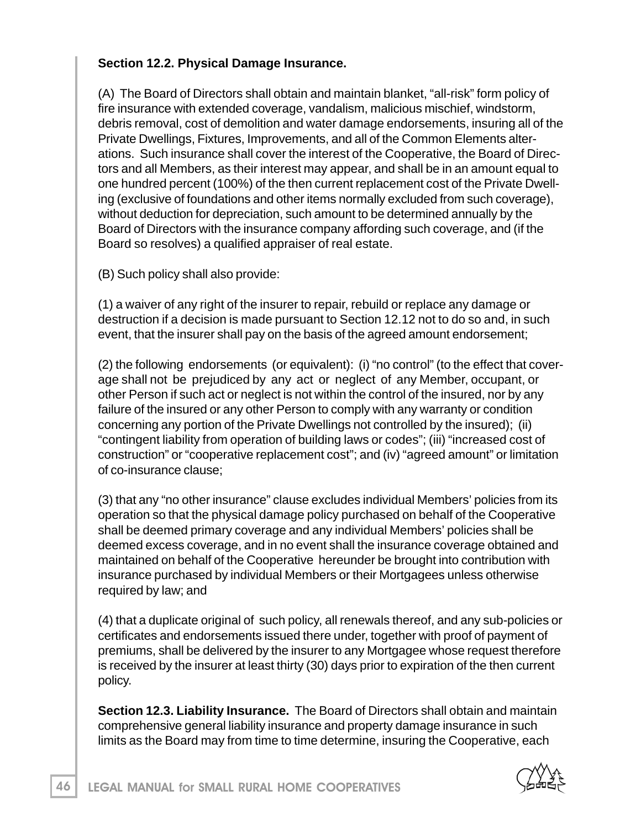#### **Section 12.2. Physical Damage Insurance.**

(A) The Board of Directors shall obtain and maintain blanket, "all-risk" form policy of fire insurance with extended coverage, vandalism, malicious mischief, windstorm, debris removal, cost of demolition and water damage endorsements, insuring all of the Private Dwellings, Fixtures, Improvements, and all of the Common Elements alterations. Such insurance shall cover the interest of the Cooperative, the Board of Directors and all Members, as their interest may appear, and shall be in an amount equal to one hundred percent (100%) of the then current replacement cost of the Private Dwelling (exclusive of foundations and other items normally excluded from such coverage), without deduction for depreciation, such amount to be determined annually by the Board of Directors with the insurance company affording such coverage, and (if the Board so resolves) a qualified appraiser of real estate.

(B) Such policy shall also provide:

(1) a waiver of any right of the insurer to repair, rebuild or replace any damage or destruction if a decision is made pursuant to Section 12.12 not to do so and, in such event, that the insurer shall pay on the basis of the agreed amount endorsement;

(2) the following endorsements (or equivalent): (i) "no control" (to the effect that coverage shall not be prejudiced by any act or neglect of any Member, occupant, or other Person if such act or neglect is not within the control of the insured, nor by any failure of the insured or any other Person to comply with any warranty or condition concerning any portion of the Private Dwellings not controlled by the insured); (ii) "contingent liability from operation of building laws or codes"; (iii) "increased cost of construction" or "cooperative replacement cost"; and (iv) "agreed amount" or limitation of co-insurance clause;

(3) that any "no other insurance" clause excludes individual Members' policies from its operation so that the physical damage policy purchased on behalf of the Cooperative shall be deemed primary coverage and any individual Members' policies shall be deemed excess coverage, and in no event shall the insurance coverage obtained and maintained on behalf of the Cooperative hereunder be brought into contribution with insurance purchased by individual Members or their Mortgagees unless otherwise required by law; and

(4) that a duplicate original of such policy, all renewals thereof, and any sub-policies or certificates and endorsements issued there under, together with proof of payment of premiums, shall be delivered by the insurer to any Mortgagee whose request therefore is received by the insurer at least thirty (30) days prior to expiration of the then current policy.

**Section 12.3. Liability Insurance.** The Board of Directors shall obtain and maintain comprehensive general liability insurance and property damage insurance in such limits as the Board may from time to time determine, insuring the Cooperative, each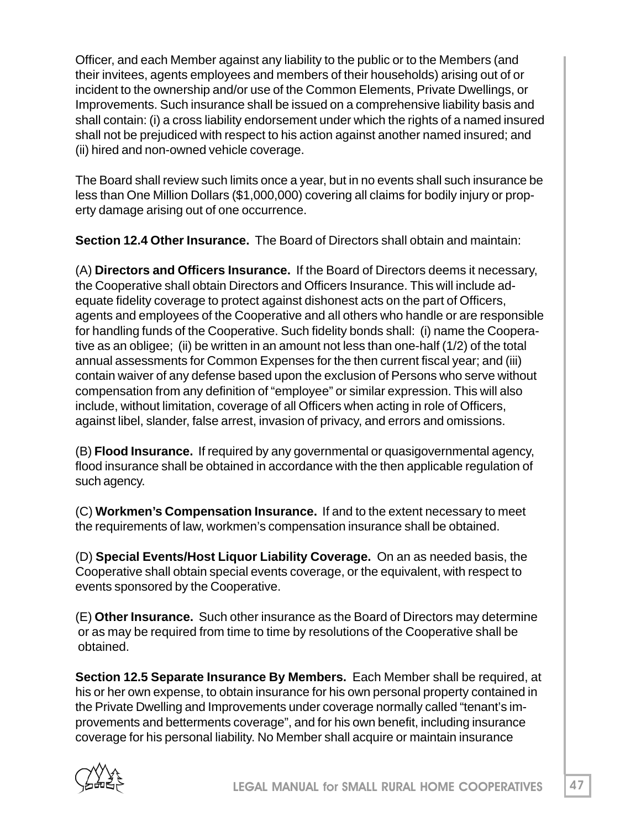Officer, and each Member against any liability to the public or to the Members (and their invitees, agents employees and members of their households) arising out of or incident to the ownership and/or use of the Common Elements, Private Dwellings, or Improvements. Such insurance shall be issued on a comprehensive liability basis and shall contain: (i) a cross liability endorsement under which the rights of a named insured shall not be prejudiced with respect to his action against another named insured; and (ii) hired and non-owned vehicle coverage.

The Board shall review such limits once a year, but in no events shall such insurance be less than One Million Dollars (\$1,000,000) covering all claims for bodily injury or property damage arising out of one occurrence.

**Section 12.4 Other Insurance.** The Board of Directors shall obtain and maintain:

(A) **Directors and Officers Insurance.** If the Board of Directors deems it necessary, the Cooperative shall obtain Directors and Officers Insurance. This will include adequate fidelity coverage to protect against dishonest acts on the part of Officers, agents and employees of the Cooperative and all others who handle or are responsible for handling funds of the Cooperative. Such fidelity bonds shall: (i) name the Cooperative as an obligee; (ii) be written in an amount not less than one-half (1/2) of the total annual assessments for Common Expenses for the then current fiscal year; and (iii) contain waiver of any defense based upon the exclusion of Persons who serve without compensation from any definition of "employee" or similar expression. This will also include, without limitation, coverage of all Officers when acting in role of Officers, against libel, slander, false arrest, invasion of privacy, and errors and omissions.

(B) **Flood Insurance.** If required by any governmental or quasigovernmental agency, flood insurance shall be obtained in accordance with the then applicable regulation of such agency.

(C) **Workmen's Compensation Insurance.** If and to the extent necessary to meet the requirements of law, workmen's compensation insurance shall be obtained.

(D) **Special Events/Host Liquor Liability Coverage.** On an as needed basis, the Cooperative shall obtain special events coverage, or the equivalent, with respect to events sponsored by the Cooperative.

(E) **Other Insurance.** Such other insurance as the Board of Directors may determine or as may be required from time to time by resolutions of the Cooperative shall be obtained.

**Section 12.5 Separate Insurance By Members.** Each Member shall be required, at his or her own expense, to obtain insurance for his own personal property contained in the Private Dwelling and Improvements under coverage normally called "tenant's improvements and betterments coverage", and for his own benefit, including insurance coverage for his personal liability. No Member shall acquire or maintain insurance

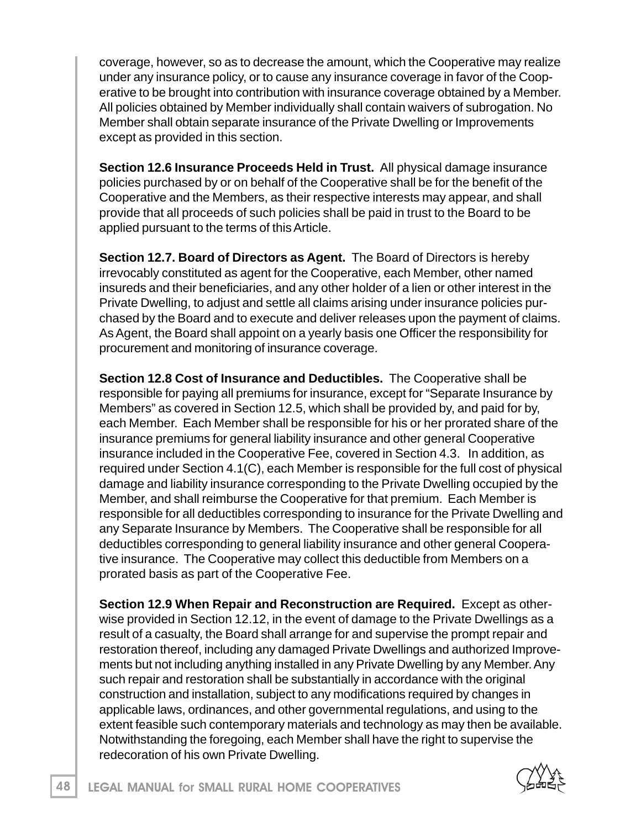coverage, however, so as to decrease the amount, which the Cooperative may realize under any insurance policy, or to cause any insurance coverage in favor of the Cooperative to be brought into contribution with insurance coverage obtained by a Member. All policies obtained by Member individually shall contain waivers of subrogation. No Member shall obtain separate insurance of the Private Dwelling or Improvements except as provided in this section.

**Section 12.6 Insurance Proceeds Held in Trust.** All physical damage insurance policies purchased by or on behalf of the Cooperative shall be for the benefit of the Cooperative and the Members, as their respective interests may appear, and shall provide that all proceeds of such policies shall be paid in trust to the Board to be applied pursuant to the terms of this Article.

**Section 12.7. Board of Directors as Agent.** The Board of Directors is hereby irrevocably constituted as agent for the Cooperative, each Member, other named insureds and their beneficiaries, and any other holder of a lien or other interest in the Private Dwelling, to adjust and settle all claims arising under insurance policies purchased by the Board and to execute and deliver releases upon the payment of claims. As Agent, the Board shall appoint on a yearly basis one Officer the responsibility for procurement and monitoring of insurance coverage.

**Section 12.8 Cost of Insurance and Deductibles.** The Cooperative shall be responsible for paying all premiums for insurance, except for "Separate Insurance by Members" as covered in Section 12.5, which shall be provided by, and paid for by, each Member. Each Member shall be responsible for his or her prorated share of the insurance premiums for general liability insurance and other general Cooperative insurance included in the Cooperative Fee, covered in Section 4.3. In addition, as required under Section 4.1(C), each Member is responsible for the full cost of physical damage and liability insurance corresponding to the Private Dwelling occupied by the Member, and shall reimburse the Cooperative for that premium. Each Member is responsible for all deductibles corresponding to insurance for the Private Dwelling and any Separate Insurance by Members. The Cooperative shall be responsible for all deductibles corresponding to general liability insurance and other general Cooperative insurance. The Cooperative may collect this deductible from Members on a prorated basis as part of the Cooperative Fee.

**Section 12.9 When Repair and Reconstruction are Required.** Except as otherwise provided in Section 12.12, in the event of damage to the Private Dwellings as a result of a casualty, the Board shall arrange for and supervise the prompt repair and restoration thereof, including any damaged Private Dwellings and authorized Improvements but not including anything installed in any Private Dwelling by any Member. Any such repair and restoration shall be substantially in accordance with the original construction and installation, subject to any modifications required by changes in applicable laws, ordinances, and other governmental regulations, and using to the extent feasible such contemporary materials and technology as may then be available. Notwithstanding the foregoing, each Member shall have the right to supervise the redecoration of his own Private Dwelling.

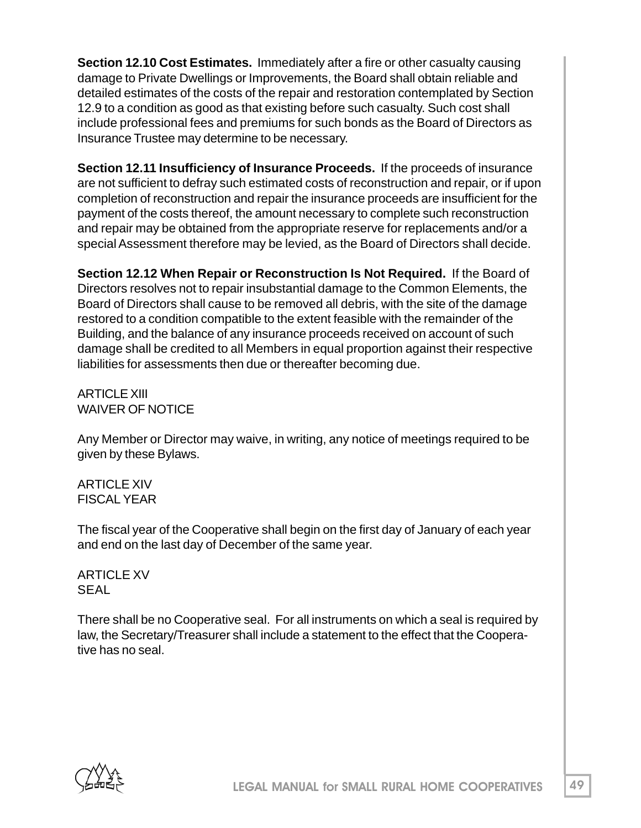**Section 12.10 Cost Estimates.** Immediately after a fire or other casualty causing damage to Private Dwellings or Improvements, the Board shall obtain reliable and detailed estimates of the costs of the repair and restoration contemplated by Section 12.9 to a condition as good as that existing before such casualty. Such cost shall include professional fees and premiums for such bonds as the Board of Directors as Insurance Trustee may determine to be necessary.

**Section 12.11 Insufficiency of Insurance Proceeds.** If the proceeds of insurance are not sufficient to defray such estimated costs of reconstruction and repair, or if upon completion of reconstruction and repair the insurance proceeds are insufficient for the payment of the costs thereof, the amount necessary to complete such reconstruction and repair may be obtained from the appropriate reserve for replacements and/or a special Assessment therefore may be levied, as the Board of Directors shall decide.

**Section 12.12 When Repair or Reconstruction Is Not Required.** If the Board of Directors resolves not to repair insubstantial damage to the Common Elements, the Board of Directors shall cause to be removed all debris, with the site of the damage restored to a condition compatible to the extent feasible with the remainder of the Building, and the balance of any insurance proceeds received on account of such damage shall be credited to all Members in equal proportion against their respective liabilities for assessments then due or thereafter becoming due.

ARTICLE XIII WAIVER OF NOTICE

Any Member or Director may waive, in writing, any notice of meetings required to be given by these Bylaws.

ARTICLE XIV FISCAL YEAR

The fiscal year of the Cooperative shall begin on the first day of January of each year and end on the last day of December of the same year.

ARTICLE XV **SEAL** 

There shall be no Cooperative seal. For all instruments on which a seal is required by law, the Secretary/Treasurer shall include a statement to the effect that the Cooperative has no seal.

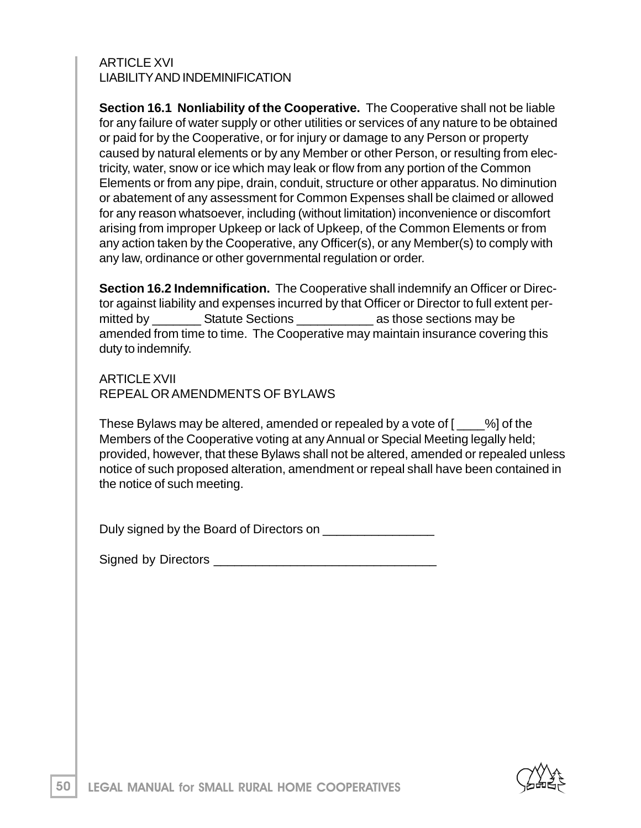## ARTICLE XVI LIABILITY AND INDEMINIFICATION

**Section 16.1 Nonliability of the Cooperative.** The Cooperative shall not be liable for any failure of water supply or other utilities or services of any nature to be obtained or paid for by the Cooperative, or for injury or damage to any Person or property caused by natural elements or by any Member or other Person, or resulting from electricity, water, snow or ice which may leak or flow from any portion of the Common Elements or from any pipe, drain, conduit, structure or other apparatus. No diminution or abatement of any assessment for Common Expenses shall be claimed or allowed for any reason whatsoever, including (without limitation) inconvenience or discomfort arising from improper Upkeep or lack of Upkeep, of the Common Elements or from any action taken by the Cooperative, any Officer(s), or any Member(s) to comply with any law, ordinance or other governmental regulation or order.

**Section 16.2 Indemnification.** The Cooperative shall indemnify an Officer or Director against liability and expenses incurred by that Officer or Director to full extent permitted by exactled Statute Sections as those sections may be amended from time to time. The Cooperative may maintain insurance covering this duty to indemnify.

ARTICLE XVII REPEAL OR AMENDMENTS OF BYLAWS

These Bylaws may be altered, amended or repealed by a vote of  $\lceil \frac{9}{2} \rceil$  of the Members of the Cooperative voting at any Annual or Special Meeting legally held; provided, however, that these Bylaws shall not be altered, amended or repealed unless notice of such proposed alteration, amendment or repeal shall have been contained in the notice of such meeting.

Duly signed by the Board of Directors on \_\_\_\_\_\_\_\_\_\_\_\_\_\_\_\_

Signed by Directors **Example 20** Signed by Directors **Example 20** Signed by  $\frac{1}{2}$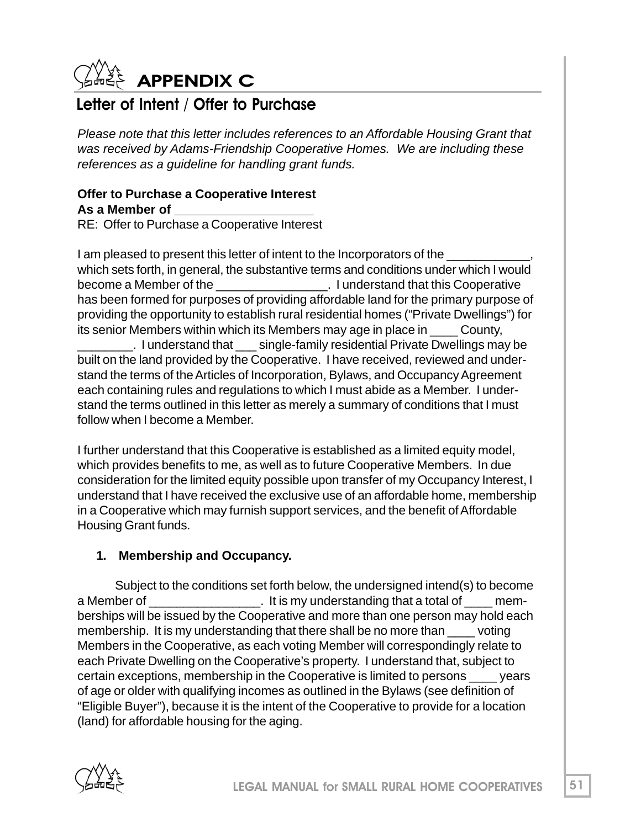

# Letter of Intent / Offer to Purchase

*Please note that this letter includes references to an Affordable Housing Grant that was received by Adams-Friendship Cooperative Homes. We are including these references as a guideline for handling grant funds.*

## **Offer to Purchase a Cooperative Interest As a Member of \_\_\_\_\_\_\_\_\_\_\_\_\_\_\_\_\_\_\_\_**

RE: Offer to Purchase a Cooperative Interest

I am pleased to present this letter of intent to the Incorporators of the which sets forth, in general, the substantive terms and conditions under which I would become a Member of the \_\_\_\_\_\_\_\_\_\_\_\_\_\_\_\_. I understand that this Cooperative has been formed for purposes of providing affordable land for the primary purpose of providing the opportunity to establish rural residential homes ("Private Dwellings") for its senior Members within which its Members may age in place in County, \_\_\_\_\_\_\_\_. I understand that \_\_\_ single-family residential Private Dwellings may be built on the land provided by the Cooperative. I have received, reviewed and understand the terms of the Articles of Incorporation, Bylaws, and Occupancy Agreement each containing rules and regulations to which I must abide as a Member. I understand the terms outlined in this letter as merely a summary of conditions that I must follow when I become a Member.

I further understand that this Cooperative is established as a limited equity model, which provides benefits to me, as well as to future Cooperative Members. In due consideration for the limited equity possible upon transfer of my Occupancy Interest, I understand that I have received the exclusive use of an affordable home, membership in a Cooperative which may furnish support services, and the benefit of Affordable Housing Grant funds.

## **1. Membership and Occupancy.**

Subject to the conditions set forth below, the undersigned intend(s) to become a Member of \_\_\_\_\_\_\_\_\_\_\_\_\_\_\_\_\_. It is my understanding that a total of \_\_\_\_ memberships will be issued by the Cooperative and more than one person may hold each membership. It is my understanding that there shall be no more than \_\_\_\_\_ voting Members in the Cooperative, as each voting Member will correspondingly relate to each Private Dwelling on the Cooperative's property. I understand that, subject to certain exceptions, membership in the Cooperative is limited to persons \_\_\_\_ years of age or older with qualifying incomes as outlined in the Bylaws (see definition of "Eligible Buyer"), because it is the intent of the Cooperative to provide for a location (land) for affordable housing for the aging.

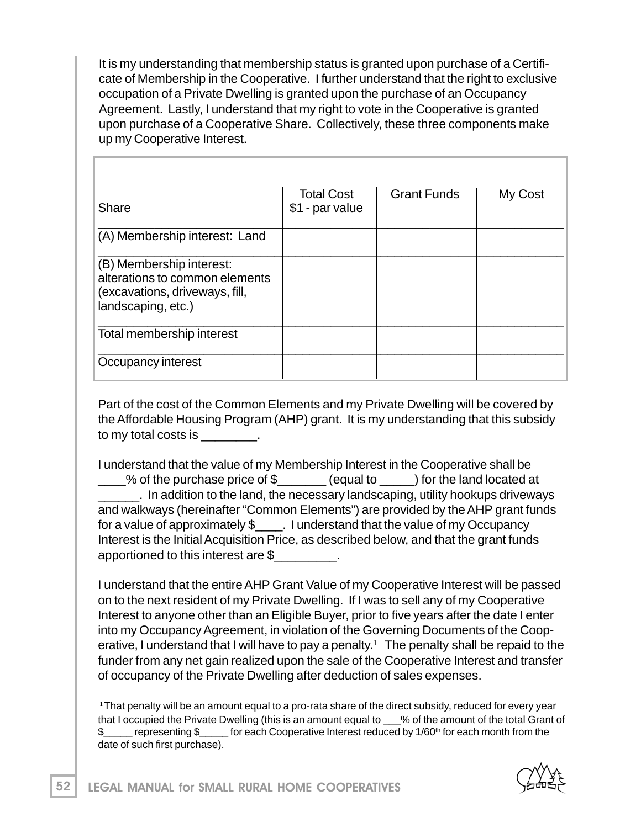It is my understanding that membership status is granted upon purchase of a Certificate of Membership in the Cooperative. I further understand that the right to exclusive occupation of a Private Dwelling is granted upon the purchase of an Occupancy Agreement. Lastly, I understand that my right to vote in the Cooperative is granted upon purchase of a Cooperative Share. Collectively, these three components make up my Cooperative Interest.

| Share                                                                                                              | <b>Total Cost</b><br>\$1 - par value | <b>Grant Funds</b> | My Cost |
|--------------------------------------------------------------------------------------------------------------------|--------------------------------------|--------------------|---------|
| (A) Membership interest: Land                                                                                      |                                      |                    |         |
| (B) Membership interest:<br>alterations to common elements<br>(excavations, driveways, fill,<br>landscaping, etc.) |                                      |                    |         |
| Total membership interest                                                                                          |                                      |                    |         |
| Occupancy interest                                                                                                 |                                      |                    |         |

Part of the cost of the Common Elements and my Private Dwelling will be covered by the Affordable Housing Program (AHP) grant. It is my understanding that this subsidy to my total costs is \_\_\_\_\_

I understand that the value of my Membership Interest in the Cooperative shall be \_\_\_\_% of the purchase price of \$\_\_\_\_\_\_\_ (equal to \_\_\_\_\_) for the land located at \_\_\_\_\_\_. In addition to the land, the necessary landscaping, utility hookups driveways and walkways (hereinafter "Common Elements") are provided by the AHP grant funds for a value of approximately \$\_\_\_\_. I understand that the value of my Occupancy Interest is the Initial Acquisition Price, as described below, and that the grant funds apportioned to this interest are \$\_\_\_\_\_\_\_\_\_.

I understand that the entire AHP Grant Value of my Cooperative Interest will be passed on to the next resident of my Private Dwelling. If I was to sell any of my Cooperative Interest to anyone other than an Eligible Buyer, prior to five years after the date I enter into my Occupancy Agreement, in violation of the Governing Documents of the Cooperative, I understand that I will have to pay a penalty.<sup>1</sup> The penalty shall be repaid to the funder from any net gain realized upon the sale of the Cooperative Interest and transfer of occupancy of the Private Dwelling after deduction of sales expenses.

**<sup>1</sup>**That penalty will be an amount equal to a pro-rata share of the direct subsidy, reduced for every year that I occupied the Private Dwelling (this is an amount equal to \_\_\_% of the amount of the total Grant of \$ representing \$ for each Cooperative Interest reduced by 1/60<sup>th</sup> for each month from the date of such first purchase).

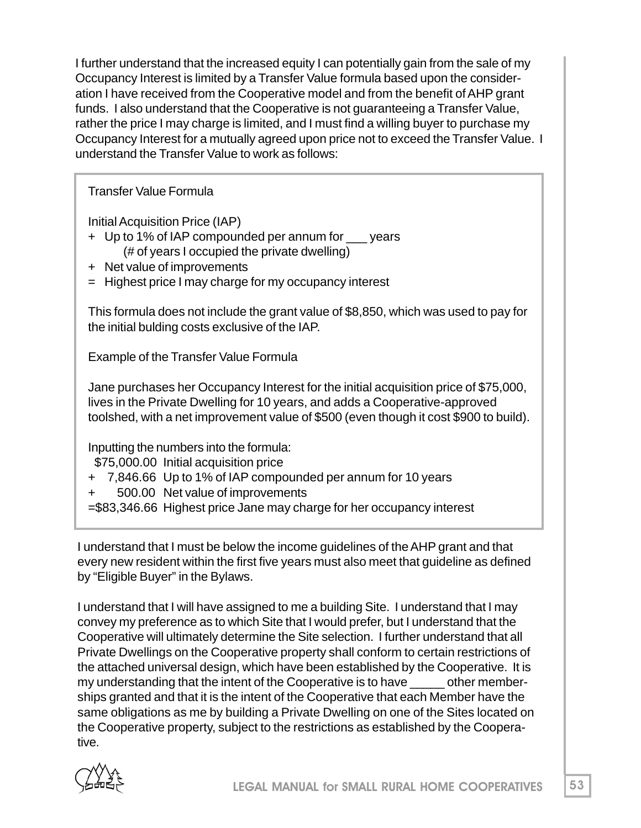I further understand that the increased equity I can potentially gain from the sale of my Occupancy Interest is limited by a Transfer Value formula based upon the consideration I have received from the Cooperative model and from the benefit of AHP grant funds. I also understand that the Cooperative is not guaranteeing a Transfer Value, rather the price I may charge is limited, and I must find a willing buyer to purchase my Occupancy Interest for a mutually agreed upon price not to exceed the Transfer Value. I understand the Transfer Value to work as follows:

Transfer Value Formula

Initial Acquisition Price (IAP)

- + Up to 1% of IAP compounded per annum for \_\_\_ years (# of years I occupied the private dwelling)
- + Net value of improvements
- = Highest price I may charge for my occupancy interest

This formula does not include the grant value of \$8,850, which was used to pay for the initial bulding costs exclusive of the IAP.

Example of the Transfer Value Formula

Jane purchases her Occupancy Interest for the initial acquisition price of \$75,000, lives in the Private Dwelling for 10 years, and adds a Cooperative-approved toolshed, with a net improvement value of \$500 (even though it cost \$900 to build).

Inputting the numbers into the formula:

\$75,000.00 Initial acquisition price

- + 7,846.66 Up to 1% of IAP compounded per annum for 10 years
- + 500.00 Net value of improvements
- =\$83,346.66 Highest price Jane may charge for her occupancy interest

I understand that I must be below the income guidelines of the AHP grant and that every new resident within the first five years must also meet that guideline as defined by "Eligible Buyer" in the Bylaws.

I understand that I will have assigned to me a building Site. I understand that I may convey my preference as to which Site that I would prefer, but I understand that the Cooperative will ultimately determine the Site selection. I further understand that all Private Dwellings on the Cooperative property shall conform to certain restrictions of the attached universal design, which have been established by the Cooperative. It is my understanding that the intent of the Cooperative is to have \_\_\_\_\_ other memberships granted and that it is the intent of the Cooperative that each Member have the same obligations as me by building a Private Dwelling on one of the Sites located on the Cooperative property, subject to the restrictions as established by the Cooperative.

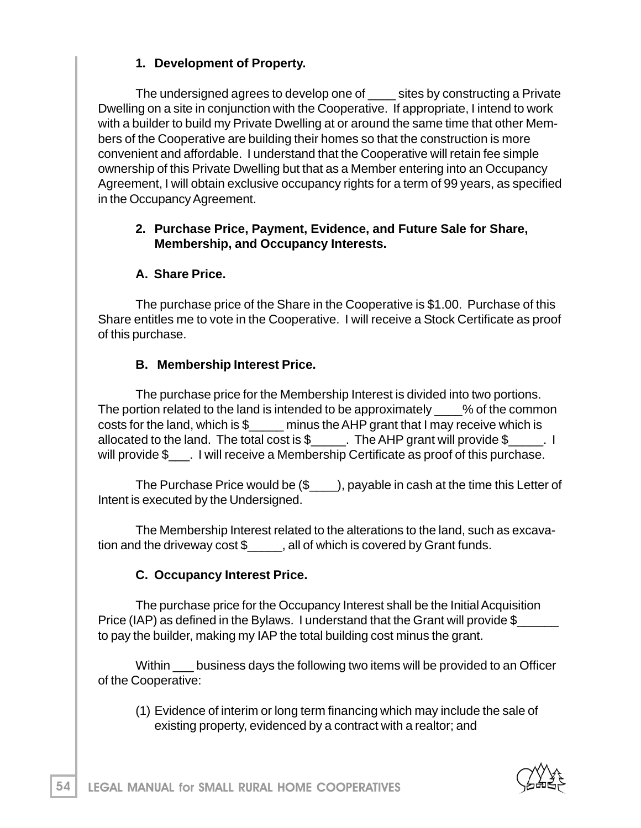## **1. Development of Property.**

The undersigned agrees to develop one of sites by constructing a Private Dwelling on a site in conjunction with the Cooperative. If appropriate, I intend to work with a builder to build my Private Dwelling at or around the same time that other Members of the Cooperative are building their homes so that the construction is more convenient and affordable. I understand that the Cooperative will retain fee simple ownership of this Private Dwelling but that as a Member entering into an Occupancy Agreement, I will obtain exclusive occupancy rights for a term of 99 years, as specified in the Occupancy Agreement.

## **2. Purchase Price, Payment, Evidence, and Future Sale for Share, Membership, and Occupancy Interests.**

## **A. Share Price.**

The purchase price of the Share in the Cooperative is \$1.00. Purchase of this Share entitles me to vote in the Cooperative. I will receive a Stock Certificate as proof of this purchase.

## **B. Membership Interest Price.**

The purchase price for the Membership Interest is divided into two portions. The portion related to the land is intended to be approximately 2000 % of the common costs for the land, which is \$\_\_\_\_\_ minus the AHP grant that I may receive which is allocated to the land. The total cost is  $\frac{1}{2}$  The AHP grant will provide  $\frac{1}{2}$ . will provide \$ . I will receive a Membership Certificate as proof of this purchase.

The Purchase Price would be (\$\_\_\_\_), payable in cash at the time this Letter of Intent is executed by the Undersigned.

The Membership Interest related to the alterations to the land, such as excavation and the driveway cost \$\_\_\_\_\_, all of which is covered by Grant funds.

## **C. Occupancy Interest Price.**

The purchase price for the Occupancy Interest shall be the Initial Acquisition Price (IAP) as defined in the Bylaws. I understand that the Grant will provide  $\$ to pay the builder, making my IAP the total building cost minus the grant.

Within \_\_\_ business days the following two items will be provided to an Officer of the Cooperative:

(1) Evidence of interim or long term financing which may include the sale of existing property, evidenced by a contract with a realtor; and

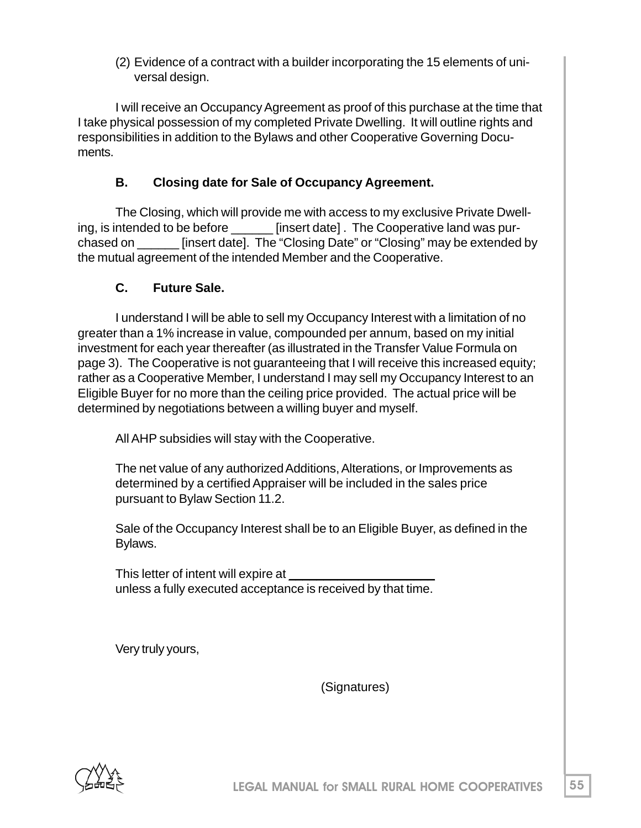(2) Evidence of a contract with a builder incorporating the 15 elements of universal design.

I will receive an Occupancy Agreement as proof of this purchase at the time that I take physical possession of my completed Private Dwelling. It will outline rights and responsibilities in addition to the Bylaws and other Cooperative Governing Documents.

## **B. Closing date for Sale of Occupancy Agreement.**

The Closing, which will provide me with access to my exclusive Private Dwelling, is intended to be before **insert date** ]. The Cooperative land was purchased on \_\_\_\_\_\_ [insert date]. The "Closing Date" or "Closing" may be extended by the mutual agreement of the intended Member and the Cooperative.

## **C. Future Sale.**

I understand I will be able to sell my Occupancy Interest with a limitation of no greater than a 1% increase in value, compounded per annum, based on my initial investment for each year thereafter (as illustrated in the Transfer Value Formula on page 3). The Cooperative is not guaranteeing that I will receive this increased equity; rather as a Cooperative Member, I understand I may sell my Occupancy Interest to an Eligible Buyer for no more than the ceiling price provided. The actual price will be determined by negotiations between a willing buyer and myself.

All AHP subsidies will stay with the Cooperative.

The net value of any authorized Additions, Alterations, or Improvements as determined by a certified Appraiser will be included in the sales price pursuant to Bylaw Section 11.2.

Sale of the Occupancy Interest shall be to an Eligible Buyer, as defined in the Bylaws.

This letter of intent will expire at \_\_\_\_\_\_\_\_\_\_\_\_\_\_\_\_\_\_\_\_\_ unless a fully executed acceptance is received by that time.

Very truly yours,

(Signatures)

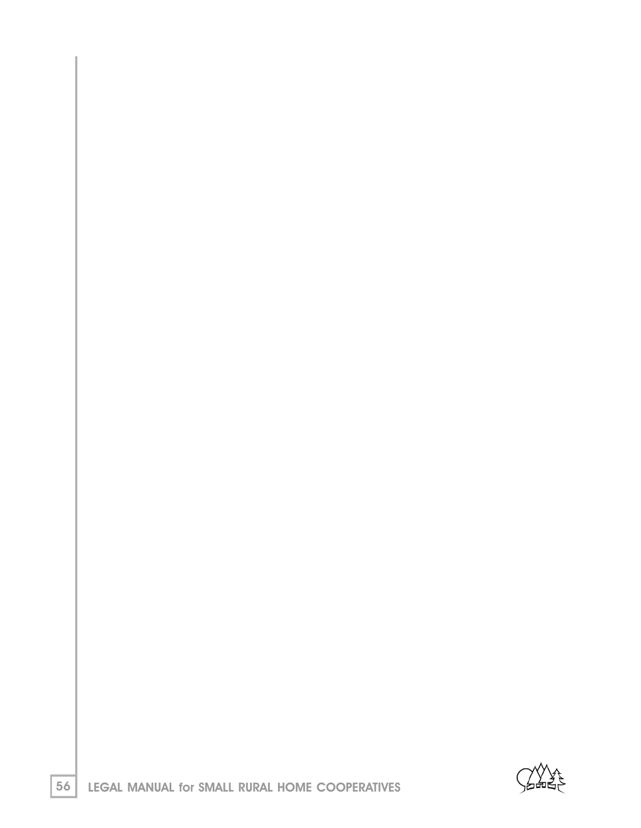

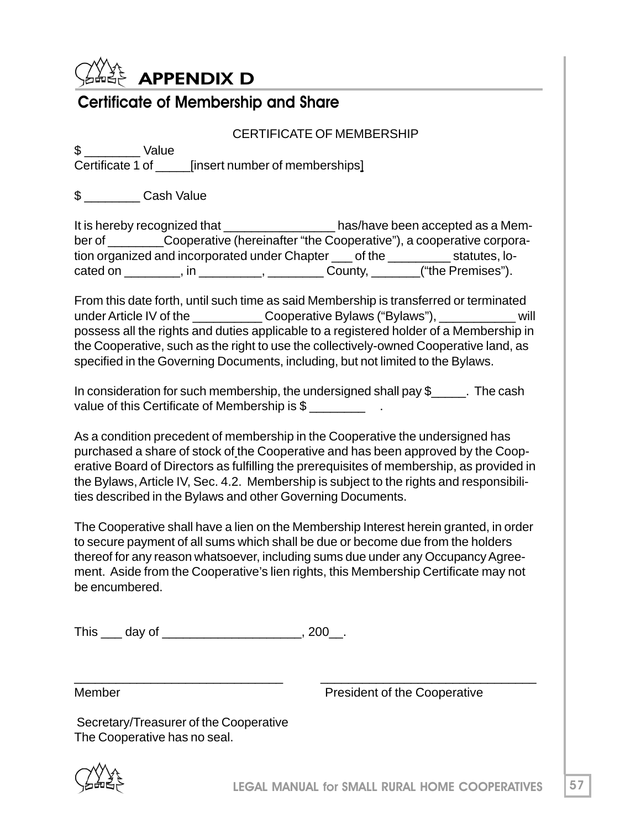

# Certificate of Membership and Share

## CERTIFICATE OF MEMBERSHIP

\$ \_\_\_\_\_\_\_\_ Value Certificate 1 of **Fall insert number of memberships** 

\$ \_\_\_\_\_\_\_\_ Cash Value

It is hereby recognized that **Exercise 20** has/have been accepted as a Member of \_\_\_\_\_\_\_\_Cooperative (hereinafter "the Cooperative"), a cooperative corporation organized and incorporated under Chapter \_\_\_ of the \_\_\_\_\_\_\_\_\_ statutes, located on \_\_\_\_\_\_\_, in \_\_\_\_\_\_\_, \_\_\_\_\_\_\_, County, \_\_\_\_\_\_("the Premises").

From this date forth, until such time as said Membership is transferred or terminated under Article IV of the Cooperative Bylaws ("Bylaws"), will possess all the rights and duties applicable to a registered holder of a Membership in the Cooperative, such as the right to use the collectively-owned Cooperative land, as specified in the Governing Documents, including, but not limited to the Bylaws.

In consideration for such membership, the undersigned shall pay \$\_\_\_\_\_. The cash value of this Certificate of Membership is  $\frac{1}{2}$  .

As a condition precedent of membership in the Cooperative the undersigned has purchased a share of stock of the Cooperative and has been approved by the Cooperative Board of Directors as fulfilling the prerequisites of membership, as provided in the Bylaws, Article IV, Sec. 4.2. Membership is subject to the rights and responsibilities described in the Bylaws and other Governing Documents.

The Cooperative shall have a lien on the Membership Interest herein granted, in order to secure payment of all sums which shall be due or become due from the holders thereof for any reason whatsoever, including sums due under any Occupancy Agreement. Aside from the Cooperative's lien rights, this Membership Certificate may not be encumbered.

\_\_\_\_\_\_\_\_\_\_\_\_\_\_\_\_\_\_\_\_\_\_\_\_\_\_\_\_\_\_ \_\_\_\_\_\_\_\_\_\_\_\_\_\_\_\_\_\_\_\_\_\_\_\_\_\_\_\_\_\_\_

This \_\_\_ day of \_\_\_\_\_\_\_\_\_\_\_\_\_\_\_\_\_\_\_\_\_, 200\_\_.

Member **Member** President of the Cooperative

 Secretary/Treasurer of the Cooperative The Cooperative has no seal.

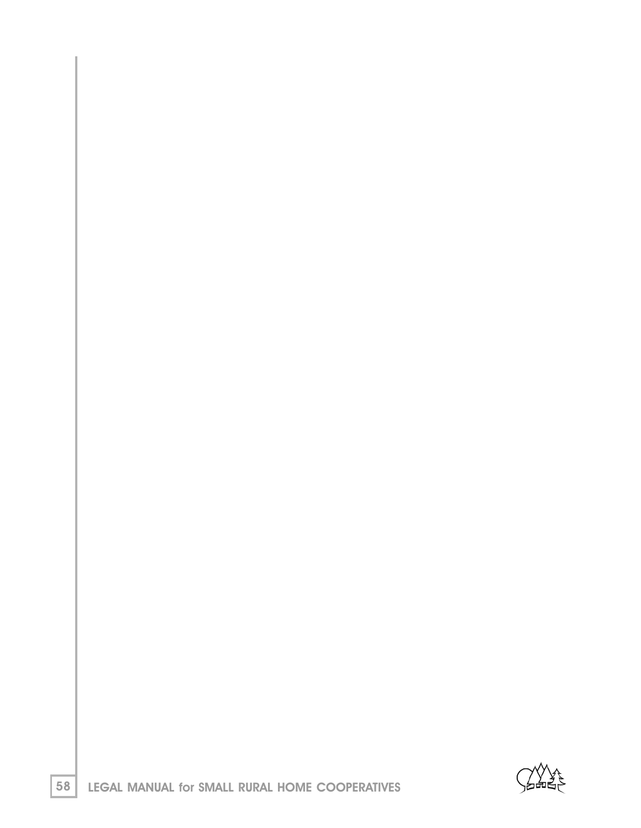

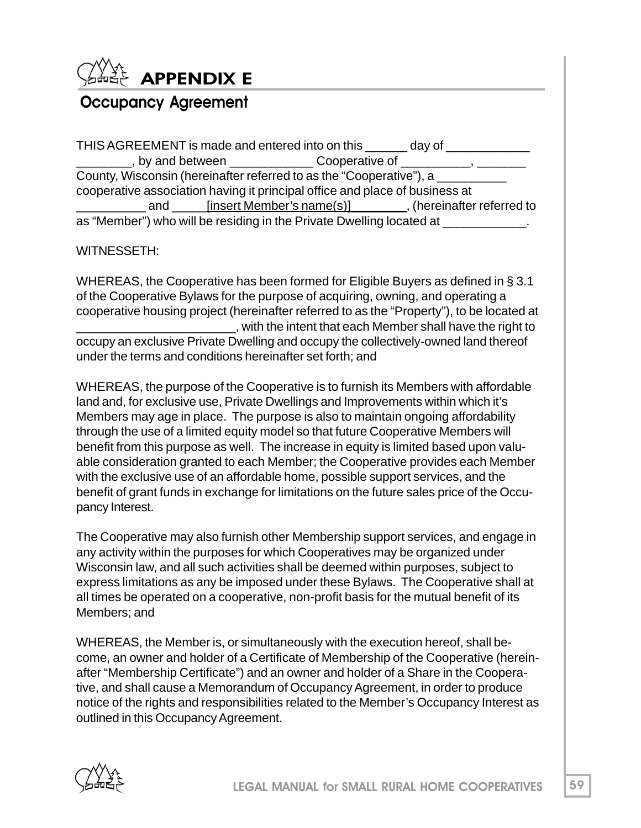

# Occupancy Agreement

| THIS AGREEMENT is made and entered into on this day of                      |                                                                           |  |  |  |
|-----------------------------------------------------------------------------|---------------------------------------------------------------------------|--|--|--|
|                                                                             | _, by and between ______________Cooperative of ___________, ______        |  |  |  |
| County, Wisconsin (hereinafter referred to as the "Cooperative"), a         |                                                                           |  |  |  |
| cooperative association having it principal office and place of business at |                                                                           |  |  |  |
|                                                                             | and _______ [insert Member's name(s)] _________, (hereinafter referred to |  |  |  |
| as "Member") who will be residing in the Private Dwelling located at        |                                                                           |  |  |  |

#### WITNESSETH:

WHEREAS, the Cooperative has been formed for Eligible Buyers as defined in § 3.1 of the Cooperative Bylaws for the purpose of acquiring, owning, and operating a cooperative housing project (hereinafter referred to as the "Property"), to be located at \_\_\_\_\_\_\_\_\_\_\_\_\_\_\_\_\_\_\_\_\_\_\_, with the intent that each Member shall have the right to occupy an exclusive Private Dwelling and occupy the collectively-owned land thereof under the terms and conditions hereinafter set forth; and

WHEREAS, the purpose of the Cooperative is to furnish its Members with affordable land and, for exclusive use, Private Dwellings and Improvements within which it's Members may age in place. The purpose is also to maintain ongoing affordability through the use of a limited equity model so that future Cooperative Members will benefit from this purpose as well. The increase in equity is limited based upon valuable consideration granted to each Member; the Cooperative provides each Member with the exclusive use of an affordable home, possible support services, and the benefit of grant funds in exchange for limitations on the future sales price of the Occupancy Interest.

The Cooperative may also furnish other Membership support services, and engage in any activity within the purposes for which Cooperatives may be organized under Wisconsin law, and all such activities shall be deemed within purposes, subject to express limitations as any be imposed under these Bylaws. The Cooperative shall at all times be operated on a cooperative, non-profit basis for the mutual benefit of its Members; and

WHEREAS, the Member is, or simultaneously with the execution hereof, shall become, an owner and holder of a Certificate of Membership of the Cooperative (hereinafter "Membership Certificate") and an owner and holder of a Share in the Cooperative, and shall cause a Memorandum of Occupancy Agreement, in order to produce notice of the rights and responsibilities related to the Member's Occupancy Interest as outlined in this Occupancy Agreement.

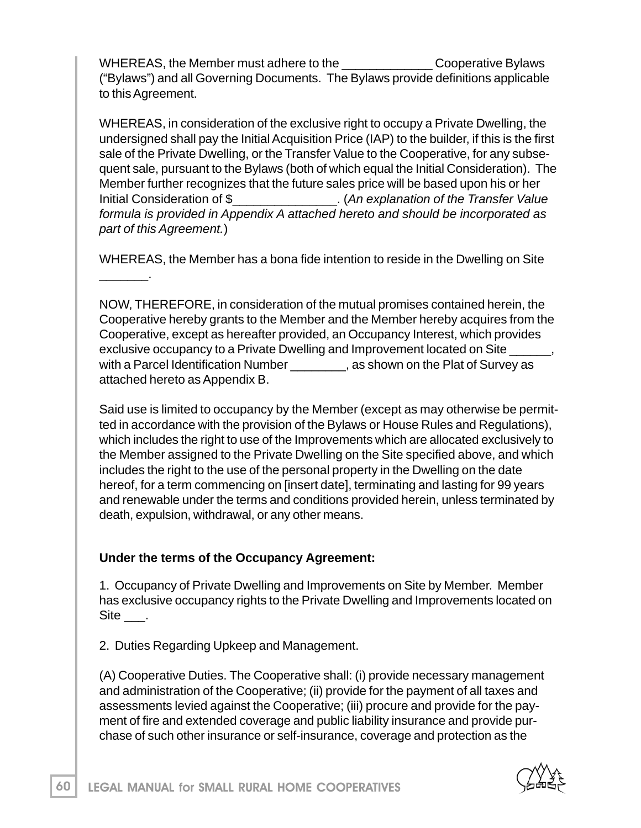WHEREAS, the Member must adhere to the **Example 20 Cooperative Bylaws** ("Bylaws") and all Governing Documents. The Bylaws provide definitions applicable to this Agreement.

WHEREAS, in consideration of the exclusive right to occupy a Private Dwelling, the undersigned shall pay the Initial Acquisition Price (IAP) to the builder, if this is the first sale of the Private Dwelling, or the Transfer Value to the Cooperative, for any subsequent sale, pursuant to the Bylaws (both of which equal the Initial Consideration). The Member further recognizes that the future sales price will be based upon his or her Initial Consideration of \$\_\_\_\_\_\_\_\_\_\_\_\_\_\_\_. (*An explanation of the Transfer Value formula is provided in Appendix A attached hereto and should be incorporated as part of this Agreement.*)

WHEREAS, the Member has a bona fide intention to reside in the Dwelling on Site \_\_\_\_\_\_\_.

NOW, THEREFORE, in consideration of the mutual promises contained herein, the Cooperative hereby grants to the Member and the Member hereby acquires from the Cooperative, except as hereafter provided, an Occupancy Interest, which provides exclusive occupancy to a Private Dwelling and Improvement located on Site \_\_\_\_\_\_, with a Parcel Identification Number \_\_\_\_\_\_\_\_, as shown on the Plat of Survey as attached hereto as Appendix B.

Said use is limited to occupancy by the Member (except as may otherwise be permitted in accordance with the provision of the Bylaws or House Rules and Regulations), which includes the right to use of the Improvements which are allocated exclusively to the Member assigned to the Private Dwelling on the Site specified above, and which includes the right to the use of the personal property in the Dwelling on the date hereof, for a term commencing on [insert date], terminating and lasting for 99 years and renewable under the terms and conditions provided herein, unless terminated by death, expulsion, withdrawal, or any other means.

## **Under the terms of the Occupancy Agreement:**

1. Occupancy of Private Dwelling and Improvements on Site by Member. Member has exclusive occupancy rights to the Private Dwelling and Improvements located on Site .

2. Duties Regarding Upkeep and Management.

(A) Cooperative Duties. The Cooperative shall: (i) provide necessary management and administration of the Cooperative; (ii) provide for the payment of all taxes and assessments levied against the Cooperative; (iii) procure and provide for the payment of fire and extended coverage and public liability insurance and provide purchase of such other insurance or self-insurance, coverage and protection as the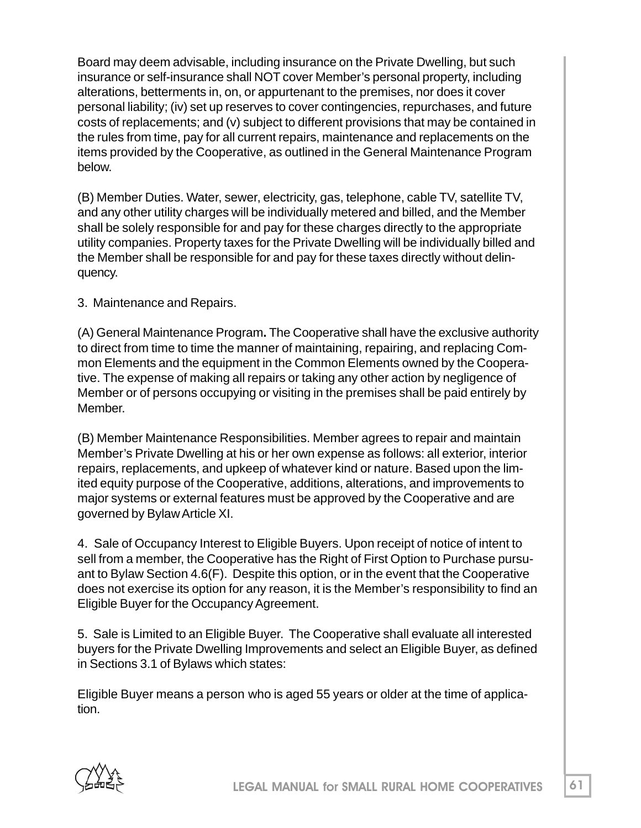Board may deem advisable, including insurance on the Private Dwelling, but such insurance or self-insurance shall NOT cover Member's personal property, including alterations, betterments in, on, or appurtenant to the premises, nor does it cover personal liability; (iv) set up reserves to cover contingencies, repurchases, and future costs of replacements; and (v) subject to different provisions that may be contained in the rules from time, pay for all current repairs, maintenance and replacements on the items provided by the Cooperative, as outlined in the General Maintenance Program below.

(B) Member Duties. Water, sewer, electricity, gas, telephone, cable TV, satellite TV, and any other utility charges will be individually metered and billed, and the Member shall be solely responsible for and pay for these charges directly to the appropriate utility companies. Property taxes for the Private Dwelling will be individually billed and the Member shall be responsible for and pay for these taxes directly without delinquency.

3. Maintenance and Repairs.

(A) General Maintenance Program**.** The Cooperative shall have the exclusive authority to direct from time to time the manner of maintaining, repairing, and replacing Common Elements and the equipment in the Common Elements owned by the Cooperative. The expense of making all repairs or taking any other action by negligence of Member or of persons occupying or visiting in the premises shall be paid entirely by Member.

(B) Member Maintenance Responsibilities. Member agrees to repair and maintain Member's Private Dwelling at his or her own expense as follows: all exterior, interior repairs, replacements, and upkeep of whatever kind or nature. Based upon the limited equity purpose of the Cooperative, additions, alterations, and improvements to major systems or external features must be approved by the Cooperative and are governed by Bylaw Article XI.

4. Sale of Occupancy Interest to Eligible Buyers. Upon receipt of notice of intent to sell from a member, the Cooperative has the Right of First Option to Purchase pursuant to Bylaw Section 4.6(F). Despite this option, or in the event that the Cooperative does not exercise its option for any reason, it is the Member's responsibility to find an Eligible Buyer for the Occupancy Agreement.

5. Sale is Limited to an Eligible Buyer. The Cooperative shall evaluate all interested buyers for the Private Dwelling Improvements and select an Eligible Buyer, as defined in Sections 3.1 of Bylaws which states:

Eligible Buyer means a person who is aged 55 years or older at the time of application.

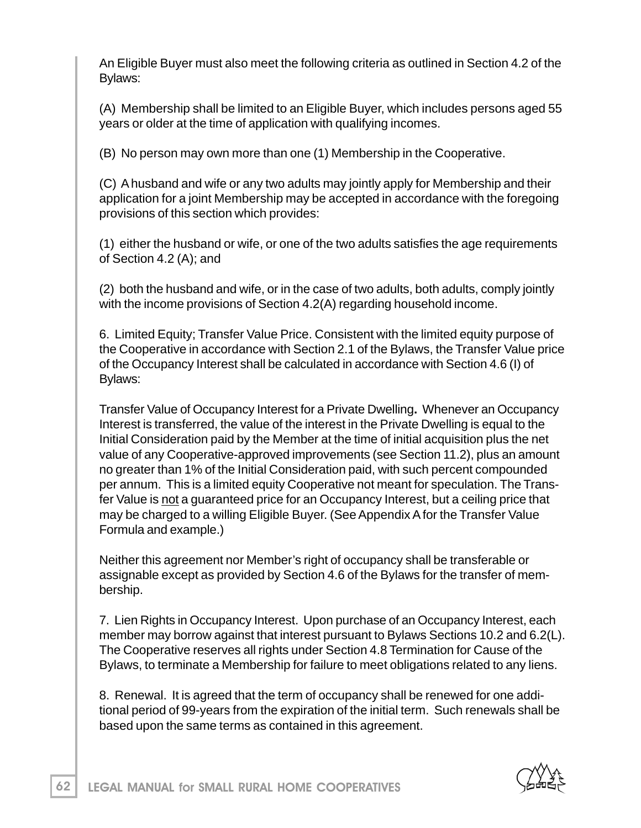An Eligible Buyer must also meet the following criteria as outlined in Section 4.2 of the Bylaws:

(A) Membership shall be limited to an Eligible Buyer, which includes persons aged 55 years or older at the time of application with qualifying incomes.

(B) No person may own more than one (1) Membership in the Cooperative.

(C) A husband and wife or any two adults may jointly apply for Membership and their application for a joint Membership may be accepted in accordance with the foregoing provisions of this section which provides:

(1) either the husband or wife, or one of the two adults satisfies the age requirements of Section 4.2 (A); and

(2) both the husband and wife, or in the case of two adults, both adults, comply jointly with the income provisions of Section 4.2(A) regarding household income.

6. Limited Equity; Transfer Value Price. Consistent with the limited equity purpose of the Cooperative in accordance with Section 2.1 of the Bylaws, the Transfer Value price of the Occupancy Interest shall be calculated in accordance with Section 4.6 (I) of Bylaws:

Transfer Value of Occupancy Interest for a Private Dwelling**.** Whenever an Occupancy Interest is transferred, the value of the interest in the Private Dwelling is equal to the Initial Consideration paid by the Member at the time of initial acquisition plus the net value of any Cooperative-approved improvements (see Section 11.2), plus an amount no greater than 1% of the Initial Consideration paid, with such percent compounded per annum. This is a limited equity Cooperative not meant for speculation. The Transfer Value is not a guaranteed price for an Occupancy Interest, but a ceiling price that may be charged to a willing Eligible Buyer. (See Appendix A for the Transfer Value Formula and example.)

Neither this agreement nor Member's right of occupancy shall be transferable or assignable except as provided by Section 4.6 of the Bylaws for the transfer of membership.

7. Lien Rights in Occupancy Interest. Upon purchase of an Occupancy Interest, each member may borrow against that interest pursuant to Bylaws Sections 10.2 and 6.2(L). The Cooperative reserves all rights under Section 4.8 Termination for Cause of the Bylaws, to terminate a Membership for failure to meet obligations related to any liens.

8. Renewal. It is agreed that the term of occupancy shall be renewed for one additional period of 99-years from the expiration of the initial term. Such renewals shall be based upon the same terms as contained in this agreement.

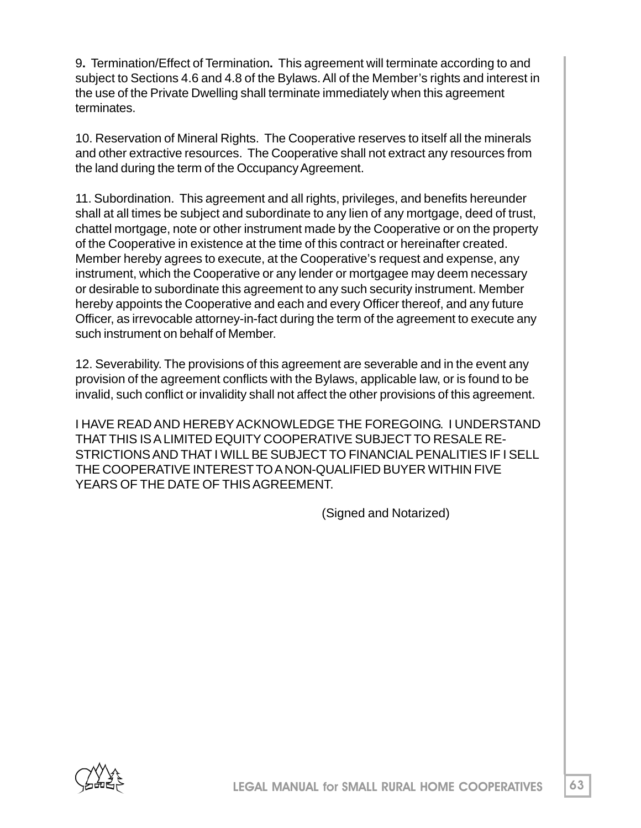9**.** Termination/Effect of Termination**.** This agreement will terminate according to and subject to Sections 4.6 and 4.8 of the Bylaws. All of the Member's rights and interest in the use of the Private Dwelling shall terminate immediately when this agreement terminates.

10. Reservation of Mineral Rights. The Cooperative reserves to itself all the minerals and other extractive resources. The Cooperative shall not extract any resources from the land during the term of the Occupancy Agreement.

11. Subordination. This agreement and all rights, privileges, and benefits hereunder shall at all times be subject and subordinate to any lien of any mortgage, deed of trust, chattel mortgage, note or other instrument made by the Cooperative or on the property of the Cooperative in existence at the time of this contract or hereinafter created. Member hereby agrees to execute, at the Cooperative's request and expense, any instrument, which the Cooperative or any lender or mortgagee may deem necessary or desirable to subordinate this agreement to any such security instrument. Member hereby appoints the Cooperative and each and every Officer thereof, and any future Officer, as irrevocable attorney-in-fact during the term of the agreement to execute any such instrument on behalf of Member.

12. Severability. The provisions of this agreement are severable and in the event any provision of the agreement conflicts with the Bylaws, applicable law, or is found to be invalid, such conflict or invalidity shall not affect the other provisions of this agreement.

I HAVE READ AND HEREBY ACKNOWLEDGE THE FOREGOING. I UNDERSTAND THAT THIS IS A LIMITED EQUITY COOPERATIVE SUBJECT TO RESALE RE-STRICTIONS AND THAT I WILL BE SUBJECT TO FINANCIAL PENALITIES IF I SELL THE COOPERATIVE INTEREST TO A NON-QUALIFIED BUYER WITHIN FIVE YEARS OF THE DATE OF THIS AGREEMENT.

(Signed and Notarized)

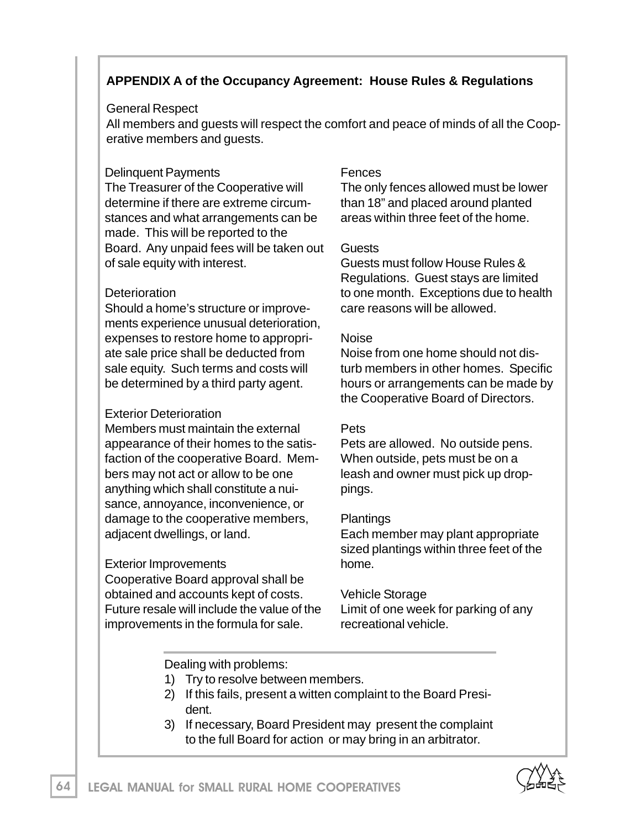## **APPENDIX A of the Occupancy Agreement: House Rules & Regulations**

#### General Respect

All members and guests will respect the comfort and peace of minds of all the Cooperative members and guests.

#### Delinquent Payments

The Treasurer of the Cooperative will determine if there are extreme circumstances and what arrangements can be made. This will be reported to the Board. Any unpaid fees will be taken out of sale equity with interest.

#### **Deterioration**

Should a home's structure or improvements experience unusual deterioration, expenses to restore home to appropriate sale price shall be deducted from sale equity. Such terms and costs will be determined by a third party agent.

#### Exterior Deterioration

Members must maintain the external appearance of their homes to the satisfaction of the cooperative Board. Members may not act or allow to be one anything which shall constitute a nuisance, annoyance, inconvenience, or damage to the cooperative members, adjacent dwellings, or land.

#### Exterior Improvements

Cooperative Board approval shall be obtained and accounts kept of costs. Future resale will include the value of the improvements in the formula for sale.

#### Fences

The only fences allowed must be lower than 18" and placed around planted areas within three feet of the home.

#### **Guests**

Guests must follow House Rules & Regulations. Guest stays are limited to one month. Exceptions due to health care reasons will be allowed.

#### Noise

Noise from one home should not disturb members in other homes. Specific hours or arrangements can be made by the Cooperative Board of Directors.

#### Pets

Pets are allowed. No outside pens. When outside, pets must be on a leash and owner must pick up droppings.

#### **Plantings**

Each member may plant appropriate sized plantings within three feet of the home.

#### Vehicle Storage

Limit of one week for parking of any recreational vehicle.

Dealing with problems:

- 1) Try to resolve between members.
- 2) If this fails, present a witten complaint to the Board President.
- 3) If necessary, Board President may present the complaint to the full Board for action or may bring in an arbitrator.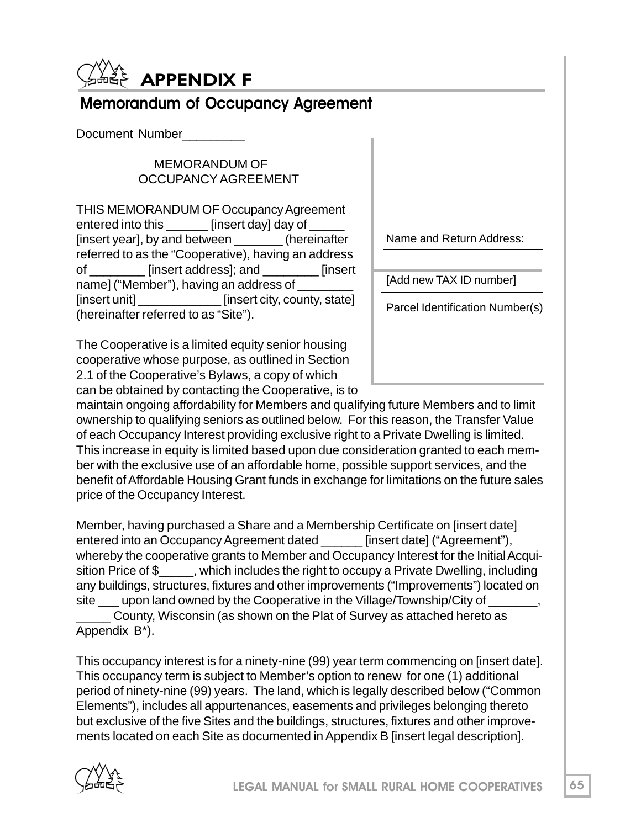

# Memorandum of Occupancy Agreement

Document Number

#### MEMORANDUM OF OCCUPANCY AGREEMENT

THIS MEMORANDUM OF Occupancy Agreement entered into this \_\_\_\_\_\_\_ [insert day] day of [insert year], by and between \_\_\_\_\_\_\_ (hereinafter referred to as the "Cooperative), having an address of \_\_\_\_\_\_\_\_ [insert address]; and \_\_\_\_\_\_\_\_ [insert name] ("Member"), having an address of [insert unit] \_\_\_\_\_\_\_\_\_\_\_\_ [insert city, county, state] (hereinafter referred to as "Site").

Name and Return Address:

[Add new TAX ID number]

Parcel Identification Number(s)

The Cooperative is a limited equity senior housing cooperative whose purpose, as outlined in Section 2.1 of the Cooperative's Bylaws, a copy of which can be obtained by contacting the Cooperative, is to

maintain ongoing affordability for Members and qualifying future Members and to limit ownership to qualifying seniors as outlined below. For this reason, the Transfer Value of each Occupancy Interest providing exclusive right to a Private Dwelling is limited. This increase in equity is limited based upon due consideration granted to each member with the exclusive use of an affordable home, possible support services, and the benefit of Affordable Housing Grant funds in exchange for limitations on the future sales price of the Occupancy Interest.

Member, having purchased a Share and a Membership Certificate on [insert date] entered into an Occupancy Agreement dated \_\_\_\_\_\_\_ [insert date] ("Agreement"), whereby the cooperative grants to Member and Occupancy Interest for the Initial Acquisition Price of \$ \, which includes the right to occupy a Private Dwelling, including any buildings, structures, fixtures and other improvements ("Improvements") located on site \_\_\_\_ upon land owned by the Cooperative in the Village/Township/City of \_\_\_ County, Wisconsin (as shown on the Plat of Survey as attached hereto as

Appendix B\*).

This occupancy interest is for a ninety-nine (99) year term commencing on [insert date]. This occupancy term is subject to Member's option to renew for one (1) additional period of ninety-nine (99) years. The land, which is legally described below ("Common Elements"), includes all appurtenances, easements and privileges belonging thereto but exclusive of the five Sites and the buildings, structures, fixtures and other improvements located on each Site as documented in Appendix B [insert legal description].

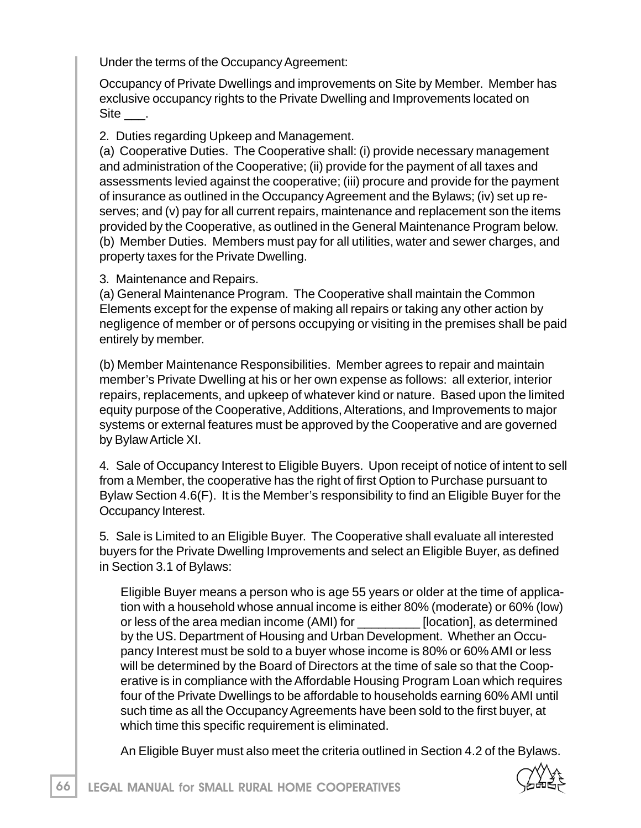Under the terms of the Occupancy Agreement:

Occupancy of Private Dwellings and improvements on Site by Member. Member has exclusive occupancy rights to the Private Dwelling and Improvements located on Site .

2. Duties regarding Upkeep and Management.

(a) Cooperative Duties. The Cooperative shall: (i) provide necessary management and administration of the Cooperative; (ii) provide for the payment of all taxes and assessments levied against the cooperative; (iii) procure and provide for the payment of insurance as outlined in the Occupancy Agreement and the Bylaws; (iv) set up reserves; and (v) pay for all current repairs, maintenance and replacement son the items provided by the Cooperative, as outlined in the General Maintenance Program below. (b) Member Duties. Members must pay for all utilities, water and sewer charges, and property taxes for the Private Dwelling.

3. Maintenance and Repairs.

(a) General Maintenance Program. The Cooperative shall maintain the Common Elements except for the expense of making all repairs or taking any other action by negligence of member or of persons occupying or visiting in the premises shall be paid entirely by member.

(b) Member Maintenance Responsibilities. Member agrees to repair and maintain member's Private Dwelling at his or her own expense as follows: all exterior, interior repairs, replacements, and upkeep of whatever kind or nature. Based upon the limited equity purpose of the Cooperative, Additions, Alterations, and Improvements to major systems or external features must be approved by the Cooperative and are governed by Bylaw Article XI.

4. Sale of Occupancy Interest to Eligible Buyers. Upon receipt of notice of intent to sell from a Member, the cooperative has the right of first Option to Purchase pursuant to Bylaw Section 4.6(F). It is the Member's responsibility to find an Eligible Buyer for the Occupancy Interest.

5. Sale is Limited to an Eligible Buyer. The Cooperative shall evaluate all interested buyers for the Private Dwelling Improvements and select an Eligible Buyer, as defined in Section 3.1 of Bylaws:

Eligible Buyer means a person who is age 55 years or older at the time of application with a household whose annual income is either 80% (moderate) or 60% (low) or less of the area median income (AMI) for \_\_\_\_\_\_\_\_\_ [location], as determined by the US. Department of Housing and Urban Development. Whether an Occupancy Interest must be sold to a buyer whose income is 80% or 60% AMI or less will be determined by the Board of Directors at the time of sale so that the Cooperative is in compliance with the Affordable Housing Program Loan which requires four of the Private Dwellings to be affordable to households earning 60% AMI until such time as all the Occupancy Agreements have been sold to the first buyer, at which time this specific requirement is eliminated.

An Eligible Buyer must also meet the criteria outlined in Section 4.2 of the Bylaws.

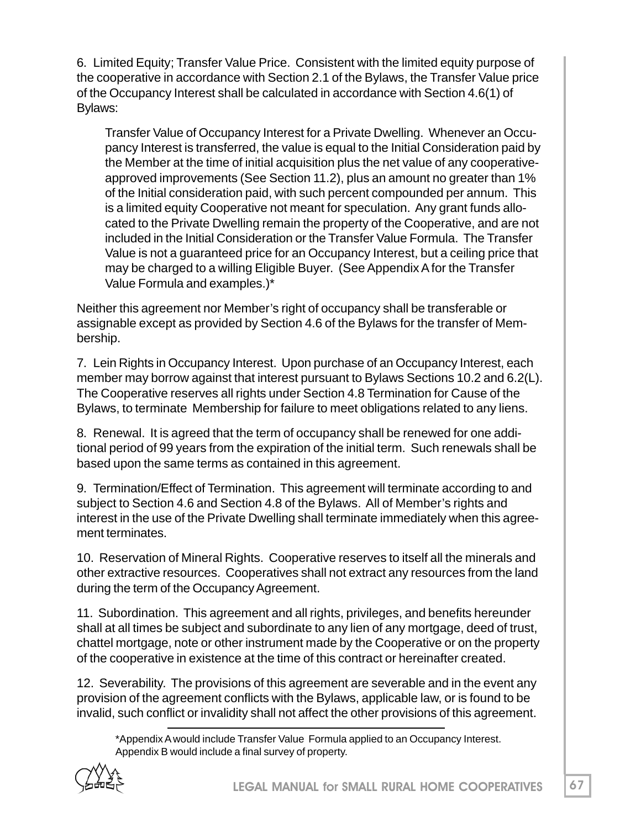6. Limited Equity; Transfer Value Price. Consistent with the limited equity purpose of the cooperative in accordance with Section 2.1 of the Bylaws, the Transfer Value price of the Occupancy Interest shall be calculated in accordance with Section 4.6(1) of Bylaws:

Transfer Value of Occupancy Interest for a Private Dwelling. Whenever an Occupancy Interest is transferred, the value is equal to the Initial Consideration paid by the Member at the time of initial acquisition plus the net value of any cooperativeapproved improvements (See Section 11.2), plus an amount no greater than 1% of the Initial consideration paid, with such percent compounded per annum. This is a limited equity Cooperative not meant for speculation. Any grant funds allocated to the Private Dwelling remain the property of the Cooperative, and are not included in the Initial Consideration or the Transfer Value Formula. The Transfer Value is not a guaranteed price for an Occupancy Interest, but a ceiling price that may be charged to a willing Eligible Buyer. (See Appendix A for the Transfer Value Formula and examples.)\*

Neither this agreement nor Member's right of occupancy shall be transferable or assignable except as provided by Section 4.6 of the Bylaws for the transfer of Membership.

7. Lein Rights in Occupancy Interest. Upon purchase of an Occupancy Interest, each member may borrow against that interest pursuant to Bylaws Sections 10.2 and 6.2(L). The Cooperative reserves all rights under Section 4.8 Termination for Cause of the Bylaws, to terminate Membership for failure to meet obligations related to any liens.

8. Renewal. It is agreed that the term of occupancy shall be renewed for one additional period of 99 years from the expiration of the initial term. Such renewals shall be based upon the same terms as contained in this agreement.

9. Termination/Effect of Termination. This agreement will terminate according to and subject to Section 4.6 and Section 4.8 of the Bylaws. All of Member's rights and interest in the use of the Private Dwelling shall terminate immediately when this agreement terminates.

10. Reservation of Mineral Rights. Cooperative reserves to itself all the minerals and other extractive resources. Cooperatives shall not extract any resources from the land during the term of the Occupancy Agreement.

11. Subordination. This agreement and all rights, privileges, and benefits hereunder shall at all times be subject and subordinate to any lien of any mortgage, deed of trust, chattel mortgage, note or other instrument made by the Cooperative or on the property of the cooperative in existence at the time of this contract or hereinafter created.

12. Severability. The provisions of this agreement are severable and in the event any provision of the agreement conflicts with the Bylaws, applicable law, or is found to be invalid, such conflict or invalidity shall not affect the other provisions of this agreement.

<sup>\*</sup>Appendix A would include Transfer Value Formula applied to an Occupancy Interest. Appendix B would include a final survey of property.

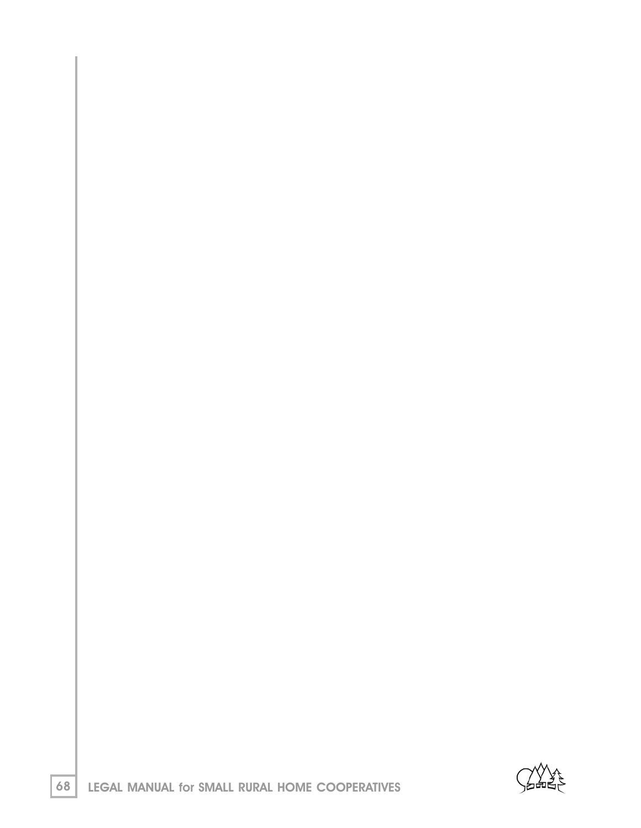

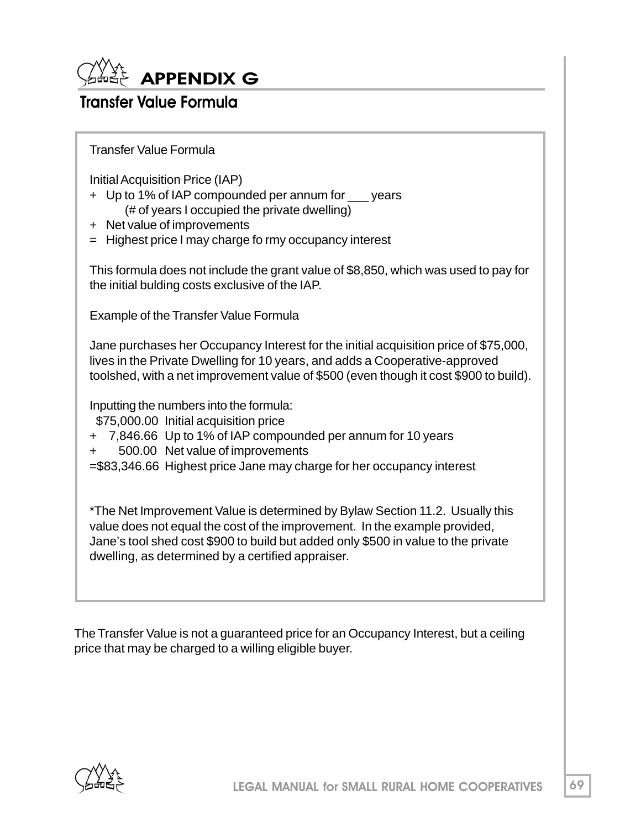

# Transfer Value Formula

Transfer Value Formula

Initial Acquisition Price (IAP)

- + Up to 1% of IAP compounded per annum for \_\_\_ years (# of years I occupied the private dwelling)
- + Net value of improvements
- = Highest price I may charge fo rmy occupancy interest

This formula does not include the grant value of \$8,850, which was used to pay for the initial bulding costs exclusive of the IAP.

Example of the Transfer Value Formula

Jane purchases her Occupancy Interest for the initial acquisition price of \$75,000, lives in the Private Dwelling for 10 years, and adds a Cooperative-approved toolshed, with a net improvement value of \$500 (even though it cost \$900 to build).

Inputting the numbers into the formula:

\$75,000.00 Initial acquisition price

- + 7,846.66 Up to 1% of IAP compounded per annum for 10 years
- 500.00 Net value of improvements
- =\$83,346.66 Highest price Jane may charge for her occupancy interest

\*The Net Improvement Value is determined by Bylaw Section 11.2. Usually this value does not equal the cost of the improvement. In the example provided, Jane's tool shed cost \$900 to build but added only \$500 in value to the private dwelling, as determined by a certified appraiser.

The Transfer Value is not a guaranteed price for an Occupancy Interest, but a ceiling price that may be charged to a willing eligible buyer.

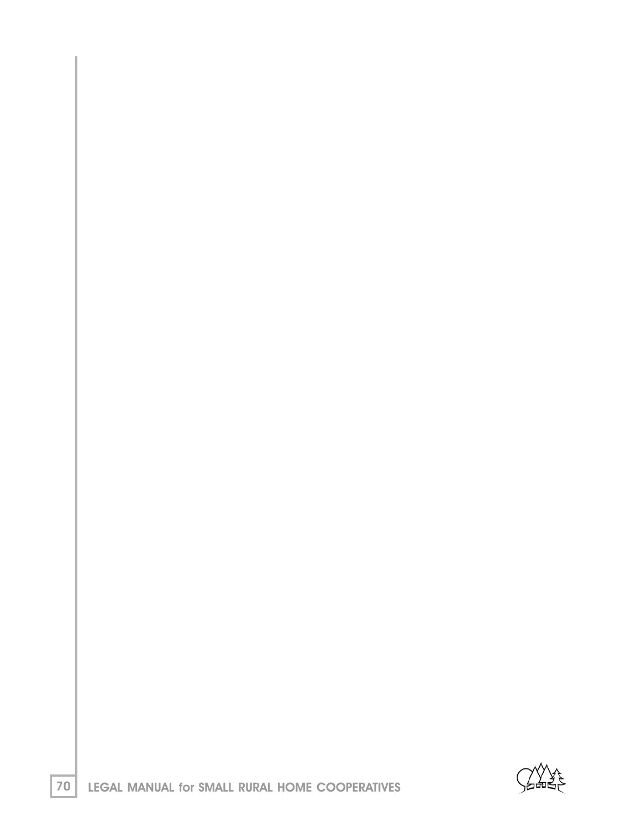